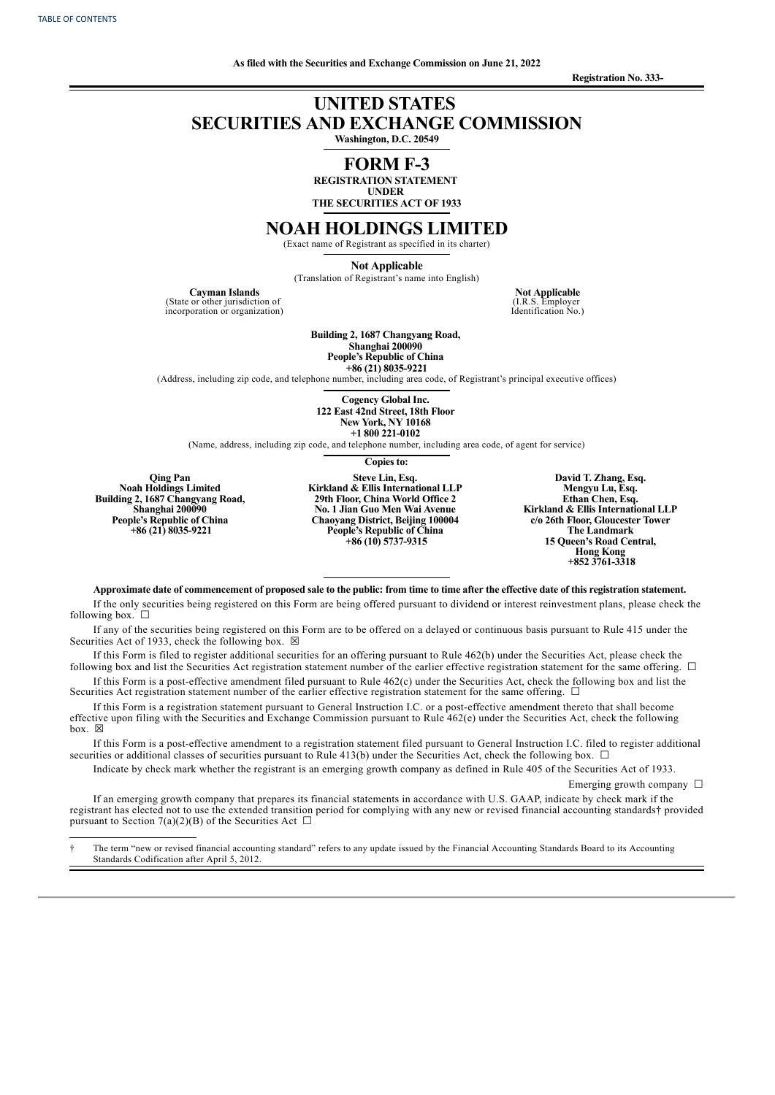**Registration No. 333-**

# **UNITED STATES SECURITIES AND EXCHANGE COMMISSION**

**Washington, D.C. 20549**

## **FORM F-3 REGISTRATION STATEMENT**

**UNDER THE SECURITIES ACT OF 1933**

## **NOAH HOLDINGS LIMITED**

(Exact name of Registrant as specified in its charter)

**Not Applicable** (Translation of Registrant's name into English)

**Cayman Islands**

(State or other jurisdiction of incorporation or organization)

**Not Applicable** (I.R.S. Employer Identification No.)

**Building 2, 1687 Changyang Road, Shanghai 200090**

**People's Republic of China +86 (21) 8035-9221**

(Address, including zip code, and telephone number, including area code, of Registrant's principal executive offices)

**Cogency Global Inc. 122 East 42nd Street, 18th Floor New York, NY 10168 +1 800 221-0102**

(Name, address, including zip code, and telephone number, including area code, of agent for service)

**Copies to:**

**Qing Pan Noah Holdings Limited Building 2, 1687 Changyang Road, Shanghai 200090 People's Republic of China +86 (21) 8035-9221**

pursuant to Section 7(a)(2)(B) of the Securities Act  $\Box$ 

**Steve Lin, Esq. Kirkland & Ellis International LLP 29th Floor, China World Office 2 No. 1 Jian Guo Men Wai Avenue Chaoyang District, Beijing 100004 People's Republic of China +86 (10) 5737-9315**

**David T. Zhang, Esq. Mengyu Lu, Esq. Ethan Chen, Esq. Kirkland & Ellis International LLP c/o 26th Floor, Gloucester Tower The Landmark 15 Queen's Road Central, Hong Kong +852 3761-3318**

Approximate date of commencement of proposed sale to the public: from time to time after the effective date of this registration statement.

If the only securities being registered on this Form are being offered pursuant to dividend or interest reinvestment plans, please check the following box.  $\Box$ 

If any of the securities being registered on this Form are to be offered on a delayed or continuous basis pursuant to Rule 415 under the Securities Act of 1933, check the following box.  $\boxtimes$ 

If this Form is filed to register additional securities for an offering pursuant to Rule 462(b) under the Securities Act, please check the following box and list the Securities Act registration statement number of the earlier effective registration statement for the same offering. □

If this Form is a post-effective amendment filed pursuant to Rule 462(c) under the Securities Act, check the following box and list the Securities Act registration statement number of the earlier effective registration statement for the same offering. □

If this Form is a registration statement pursuant to General Instruction I.C. or a post-effective amendment thereto that shall become effective upon filing with the Securities and Exchange Commission pursuant to Rule 462(e) under the Securities Act, check the following box.  $\boxtimes$ 

If this Form is a post-effective amendment to a registration statement filed pursuant to General Instruction I.C. filed to register additional securities or additional classes of securities pursuant to Rule 413(b) under the Securities Act, check the following box.  $\Box$ 

Indicate by check mark whether the registrant is an emerging growth company as defined in Rule 405 of the Securities Act of 1933. Emerging growth company  $\Box$ 

If an emerging growth company that prepares its financial statements in accordance with U.S. GAAP, indicate by check mark if the registrant has elected not to use the extended transition period for complying with any new or revised financial accounting standards† provided

† The term "new or revised financial accounting standard" refers to any update issued by the Financial Accounting Standards Board to its Accounting Standards Codification after April 5, 2012.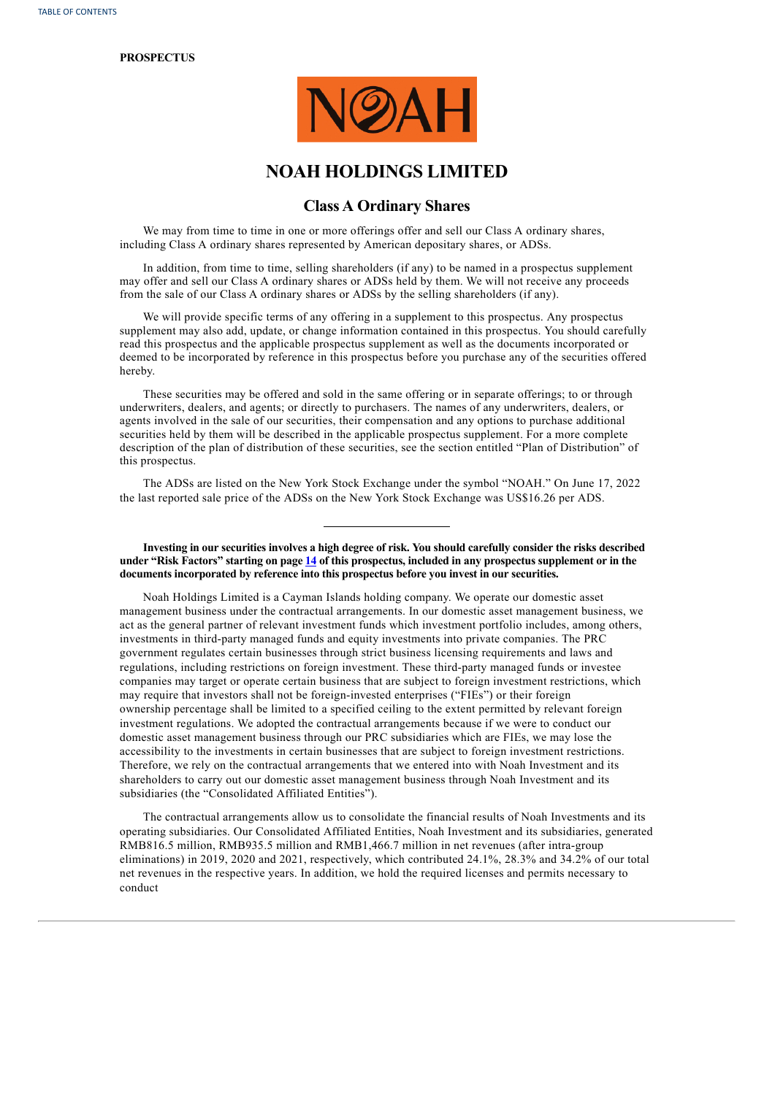#### **PROSPECTUS**



# **NOAH HOLDINGS LIMITED**

## **Class A Ordinary Shares**

We may from time to time in one or more offerings offer and sell our Class A ordinary shares, including Class A ordinary shares represented by American depositary shares, or ADSs.

In addition, from time to time, selling shareholders (if any) to be named in a prospectus supplement may offer and sell our Class A ordinary shares or ADSs held by them. We will not receive any proceeds from the sale of our Class A ordinary shares or ADSs by the selling shareholders (if any).

We will provide specific terms of any offering in a supplement to this prospectus. Any prospectus supplement may also add, update, or change information contained in this prospectus. You should carefully read this prospectus and the applicable prospectus supplement as well as the documents incorporated or deemed to be incorporated by reference in this prospectus before you purchase any of the securities offered hereby.

These securities may be offered and sold in the same offering or in separate offerings; to or through underwriters, dealers, and agents; or directly to purchasers. The names of any underwriters, dealers, or agents involved in the sale of our securities, their compensation and any options to purchase additional securities held by them will be described in the applicable prospectus supplement. For a more complete description of the plan of distribution of these securities, see the section entitled "Plan of Distribution" of this prospectus.

The ADSs are listed on the New York Stock Exchange under the symbol "NOAH." On June 17, 2022 the last reported sale price of the ADSs on the New York Stock Exchange was US\$16.26 per ADS.

Investing in our securities involves a high degree of risk. You should carefully consider the risks described under "Risk Factors" starting on page [14](#page-17-0) of this prospectus, included in any prospectus supplement or in the **documents incorporated by reference into this prospectus before you invest in our securities.**

Noah Holdings Limited is a Cayman Islands holding company. We operate our domestic asset management business under the contractual arrangements. In our domestic asset management business, we act as the general partner of relevant investment funds which investment portfolio includes, among others, investments in third-party managed funds and equity investments into private companies. The PRC government regulates certain businesses through strict business licensing requirements and laws and regulations, including restrictions on foreign investment. These third-party managed funds or investee companies may target or operate certain business that are subject to foreign investment restrictions, which may require that investors shall not be foreign-invested enterprises ("FIEs") or their foreign ownership percentage shall be limited to a specified ceiling to the extent permitted by relevant foreign investment regulations. We adopted the contractual arrangements because if we were to conduct our domestic asset management business through our PRC subsidiaries which are FIEs, we may lose the accessibility to the investments in certain businesses that are subject to foreign investment restrictions. Therefore, we rely on the contractual arrangements that we entered into with Noah Investment and its shareholders to carry out our domestic asset management business through Noah Investment and its subsidiaries (the "Consolidated Affiliated Entities").

The contractual arrangements allow us to consolidate the financial results of Noah Investments and its operating subsidiaries. Our Consolidated Affiliated Entities, Noah Investment and its subsidiaries, generated RMB816.5 million, RMB935.5 million and RMB1,466.7 million in net revenues (after intra-group eliminations) in 2019, 2020 and 2021, respectively, which contributed 24.1%, 28.3% and 34.2% of our total net revenues in the respective years. In addition, we hold the required licenses and permits necessary to conduct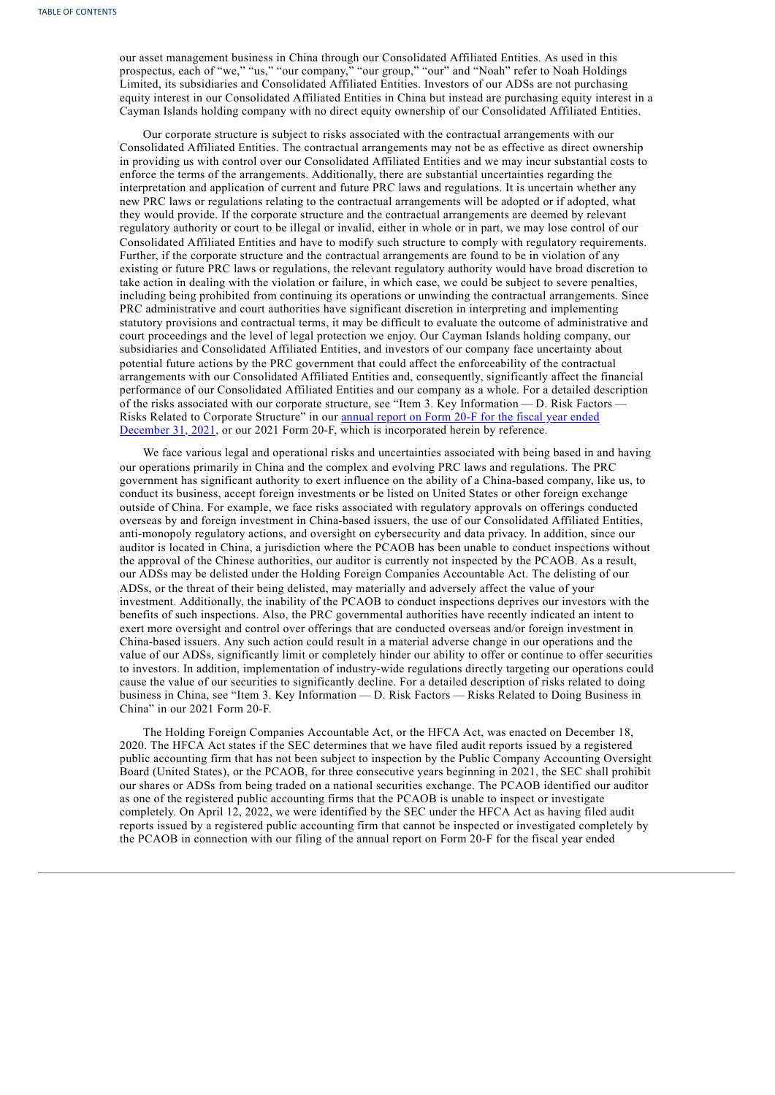our asset management business in China through our Consolidated Affiliated Entities. As used in this prospectus, each of "we," "us," "our company," "our group," "our" and "Noah" refer to Noah Holdings Limited, its subsidiaries and Consolidated Affiliated Entities. Investors of our ADSs are not purchasing equity interest in our Consolidated Affiliated Entities in China but instead are purchasing equity interest in a Cayman Islands holding company with no direct equity ownership of our Consolidated Affiliated Entities.

Our corporate structure is subject to risks associated with the contractual arrangements with our Consolidated Affiliated Entities. The contractual arrangements may not be as effective as direct ownership in providing us with control over our Consolidated Affiliated Entities and we may incur substantial costs to enforce the terms of the arrangements. Additionally, there are substantial uncertainties regarding the interpretation and application of current and future PRC laws and regulations. It is uncertain whether any new PRC laws or regulations relating to the contractual arrangements will be adopted or if adopted, what they would provide. If the corporate structure and the contractual arrangements are deemed by relevant regulatory authority or court to be illegal or invalid, either in whole or in part, we may lose control of our Consolidated Affiliated Entities and have to modify such structure to comply with regulatory requirements. Further, if the corporate structure and the contractual arrangements are found to be in violation of any existing or future PRC laws or regulations, the relevant regulatory authority would have broad discretion to take action in dealing with the violation or failure, in which case, we could be subject to severe penalties, including being prohibited from continuing its operations or unwinding the contractual arrangements. Since PRC administrative and court authorities have significant discretion in interpreting and implementing statutory provisions and contractual terms, it may be difficult to evaluate the outcome of administrative and court proceedings and the level of legal protection we enjoy. Our Cayman Islands holding company, our subsidiaries and Consolidated Affiliated Entities, and investors of our company face uncertainty about potential future actions by the PRC government that could affect the enforceability of the contractual arrangements with our Consolidated Affiliated Entities and, consequently, significantly affect the financial performance of our Consolidated Affiliated Entities and our company as a whole. For a detailed description of the risks associated with our corporate structure, see "Item 3. Key Information — D. Risk Factors — Risks Related to Corporate Structure" in our annual report on Form 20-F for the fiscal year ended December 31, 2021, or our 2021 Form 20-F, which is [incorporated](http://www.sec.gov/ix?doc=/Archives/edgar/data/1499543/000110465922042988/noah-20220331x20f.htm) herein by reference.

We face various legal and operational risks and uncertainties associated with being based in and having our operations primarily in China and the complex and evolving PRC laws and regulations. The PRC government has significant authority to exert influence on the ability of a China-based company, like us, to conduct its business, accept foreign investments or be listed on United States or other foreign exchange outside of China. For example, we face risks associated with regulatory approvals on offerings conducted overseas by and foreign investment in China-based issuers, the use of our Consolidated Affiliated Entities, anti-monopoly regulatory actions, and oversight on cybersecurity and data privacy. In addition, since our auditor is located in China, a jurisdiction where the PCAOB has been unable to conduct inspections without the approval of the Chinese authorities, our auditor is currently not inspected by the PCAOB. As a result, our ADSs may be delisted under the Holding Foreign Companies Accountable Act. The delisting of our ADSs, or the threat of their being delisted, may materially and adversely affect the value of your investment. Additionally, the inability of the PCAOB to conduct inspections deprives our investors with the benefits of such inspections. Also, the PRC governmental authorities have recently indicated an intent to exert more oversight and control over offerings that are conducted overseas and/or foreign investment in China-based issuers. Any such action could result in a material adverse change in our operations and the value of our ADSs, significantly limit or completely hinder our ability to offer or continue to offer securities to investors. In addition, implementation of industry-wide regulations directly targeting our operations could cause the value of our securities to significantly decline. For a detailed description of risks related to doing business in China, see "Item 3. Key Information — D. Risk Factors — Risks Related to Doing Business in China" in our 2021 Form 20-F.

The Holding Foreign Companies Accountable Act, or the HFCA Act, was enacted on December 18, 2020. The HFCA Act states if the SEC determines that we have filed audit reports issued by a registered public accounting firm that has not been subject to inspection by the Public Company Accounting Oversight Board (United States), or the PCAOB, for three consecutive years beginning in 2021, the SEC shall prohibit our shares or ADSs from being traded on a national securities exchange. The PCAOB identified our auditor as one of the registered public accounting firms that the PCAOB is unable to inspect or investigate completely. On April 12, 2022, we were identified by the SEC under the HFCA Act as having filed audit reports issued by a registered public accounting firm that cannot be inspected or investigated completely by the PCAOB in connection with our filing of the annual report on Form 20-F for the fiscal year ended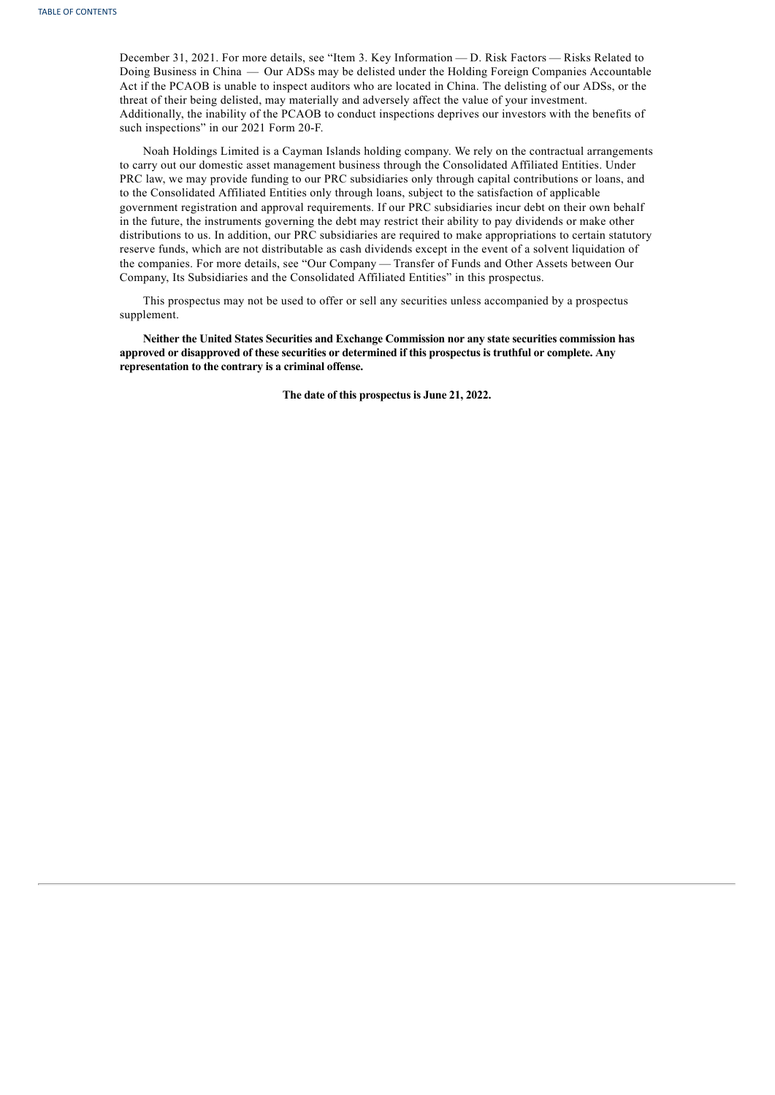December 31, 2021. For more details, see "Item 3. Key Information — D. Risk Factors — Risks Related to Doing Business in China — Our ADSs may be delisted under the Holding Foreign Companies Accountable Act if the PCAOB is unable to inspect auditors who are located in China. The delisting of our ADSs, or the threat of their being delisted, may materially and adversely affect the value of your investment. Additionally, the inability of the PCAOB to conduct inspections deprives our investors with the benefits of such inspections" in our 2021 Form 20-F.

Noah Holdings Limited is a Cayman Islands holding company. We rely on the contractual arrangements to carry out our domestic asset management business through the Consolidated Affiliated Entities. Under PRC law, we may provide funding to our PRC subsidiaries only through capital contributions or loans, and to the Consolidated Affiliated Entities only through loans, subject to the satisfaction of applicable government registration and approval requirements. If our PRC subsidiaries incur debt on their own behalf in the future, the instruments governing the debt may restrict their ability to pay dividends or make other distributions to us. In addition, our PRC subsidiaries are required to make appropriations to certain statutory reserve funds, which are not distributable as cash dividends except in the event of a solvent liquidation of the companies. For more details, see "Our Company — Transfer of Funds and Other Assets between Our Company, Its Subsidiaries and the Consolidated Affiliated Entities" in this prospectus.

This prospectus may not be used to offer or sell any securities unless accompanied by a prospectus supplement.

**Neither the United States Securities and Exchange Commission nor any state securities commission has approved or disapproved of these securities or determined if this prospectus is truthful or complete. Any representation to the contrary is a criminal offense.**

<span id="page-3-0"></span>**The date of this prospectus is June 21, 2022.**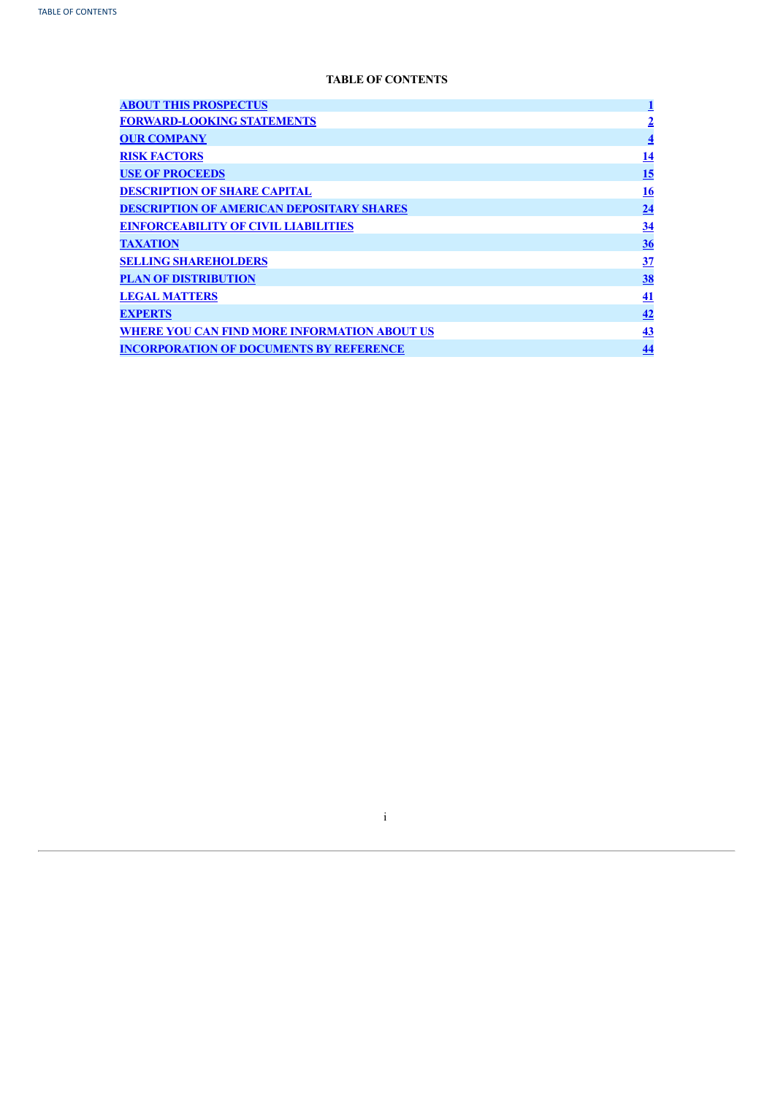# **TABLE OF CONTENTS**

| <b>ABOUT THIS PROSPECTUS</b>                        |                 |
|-----------------------------------------------------|-----------------|
| <b>FORWARD-LOOKING STATEMENTS</b>                   | $\overline{2}$  |
| <b>OUR COMPANY</b>                                  | $\overline{4}$  |
| <b>RISK FACTORS</b>                                 | <u>14</u>       |
| <b>USE OF PROCEEDS</b>                              | <u>15</u>       |
| <b>DESCRIPTION OF SHARE CAPITAL</b>                 | <u>16</u>       |
| <b>DESCRIPTION OF AMERICAN DEPOSITARY SHARES</b>    | $\overline{24}$ |
| <b>EINFORCEABILITY OF CIVIL LIABILITIES</b>         | <u>34</u>       |
| <b>TAXATION</b>                                     | 36              |
| <b>SELLING SHAREHOLDERS</b>                         | 37              |
| <b>PLAN OF DISTRIBUTION</b>                         | <u>38</u>       |
| <b>LEGAL MATTERS</b>                                | 41              |
| <b>EXPERTS</b>                                      | 42              |
| <b>WHERE YOU CAN FIND MORE INFORMATION ABOUT US</b> | 43              |
| <b>INCORPORATION OF DOCUMENTS BY REFERENCE</b>      | 44              |

<span id="page-4-0"></span>i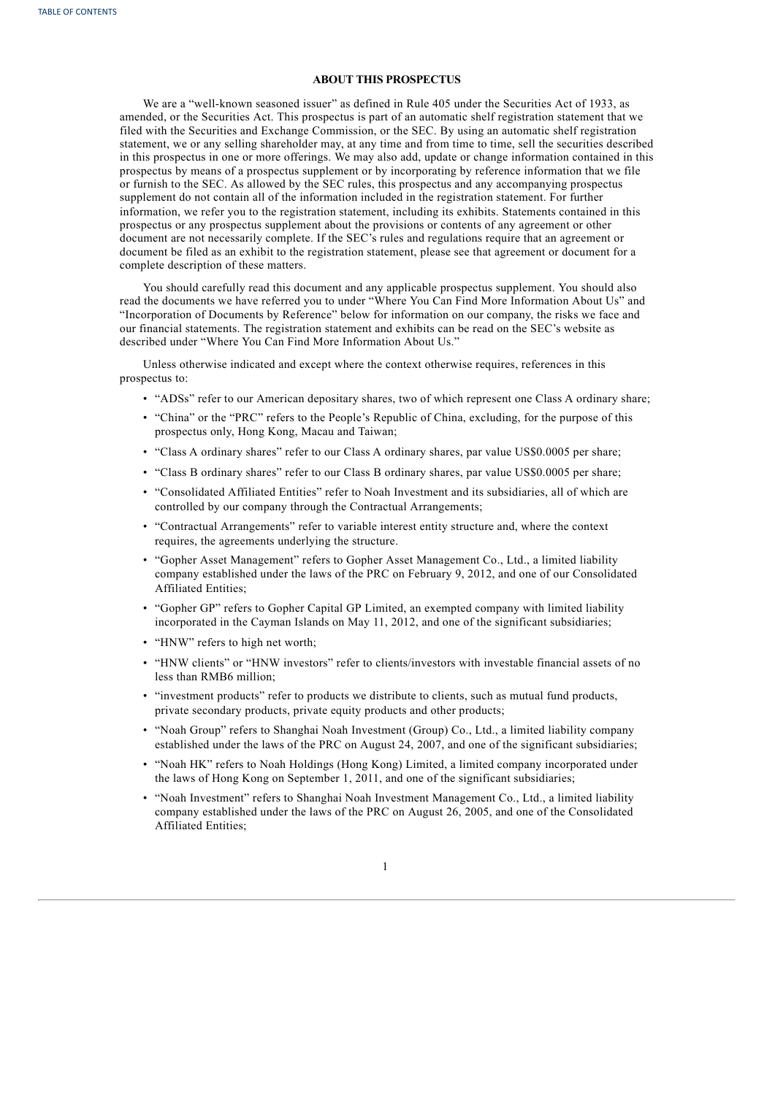## **ABOUT THIS PROSPECTUS**

We are a "well-known seasoned issuer" as defined in Rule 405 under the Securities Act of 1933, as amended, or the Securities Act. This prospectus is part of an automatic shelf registration statement that we filed with the Securities and Exchange Commission, or the SEC. By using an automatic shelf registration statement, we or any selling shareholder may, at any time and from time to time, sell the securities described in this prospectus in one or more offerings. We may also add, update or change information contained in this prospectus by means of a prospectus supplement or by incorporating by reference information that we file or furnish to the SEC. As allowed by the SEC rules, this prospectus and any accompanying prospectus supplement do not contain all of the information included in the registration statement. For further information, we refer you to the registration statement, including its exhibits. Statements contained in this prospectus or any prospectus supplement about the provisions or contents of any agreement or other document are not necessarily complete. If the SEC's rules and regulations require that an agreement or document be filed as an exhibit to the registration statement, please see that agreement or document for a complete description of these matters.

You should carefully read this document and any applicable prospectus supplement. You should also read the documents we have referred you to under "Where You Can Find More Information About Us" and "Incorporation of Documents by Reference" below for information on our company, the risks we face and our financial statements. The registration statement and exhibits can be read on the SEC's website as described under "Where You Can Find More Information About Us."

Unless otherwise indicated and except where the context otherwise requires, references in this prospectus to:

- "ADSs" refer to our American depositary shares, two of which represent one Class A ordinary share;
- "China" or the "PRC" refers to the People's Republic of China, excluding, for the purpose of this prospectus only, Hong Kong, Macau and Taiwan;
- "Class A ordinary shares" refer to our Class A ordinary shares, par value US\$0.0005 per share;
- "Class B ordinary shares" refer to our Class B ordinary shares, par value US\$0.0005 per share;
- "Consolidated Affiliated Entities" refer to Noah Investment and its subsidiaries, all of which are controlled by our company through the Contractual Arrangements;
- "Contractual Arrangements" refer to variable interest entity structure and, where the context requires, the agreements underlying the structure.
- "Gopher Asset Management" refers to Gopher Asset Management Co., Ltd., a limited liability company established under the laws of the PRC on February 9, 2012, and one of our Consolidated Affiliated Entities;
- "Gopher GP" refers to Gopher Capital GP Limited, an exempted company with limited liability incorporated in the Cayman Islands on May 11, 2012, and one of the significant subsidiaries;
- "HNW" refers to high net worth;
- "HNW clients" or "HNW investors" refer to clients/investors with investable financial assets of no less than RMB6 million;
- "investment products" refer to products we distribute to clients, such as mutual fund products, private secondary products, private equity products and other products;
- "Noah Group" refers to Shanghai Noah Investment (Group) Co., Ltd., a limited liability company established under the laws of the PRC on August 24, 2007, and one of the significant subsidiaries;
- "Noah HK" refers to Noah Holdings (Hong Kong) Limited, a limited company incorporated under the laws of Hong Kong on September 1, 2011, and one of the significant subsidiaries;
- <span id="page-5-0"></span>• "Noah Investment" refers to Shanghai Noah Investment Management Co., Ltd., a limited liability company established under the laws of the PRC on August 26, 2005, and one of the Consolidated Affiliated Entities;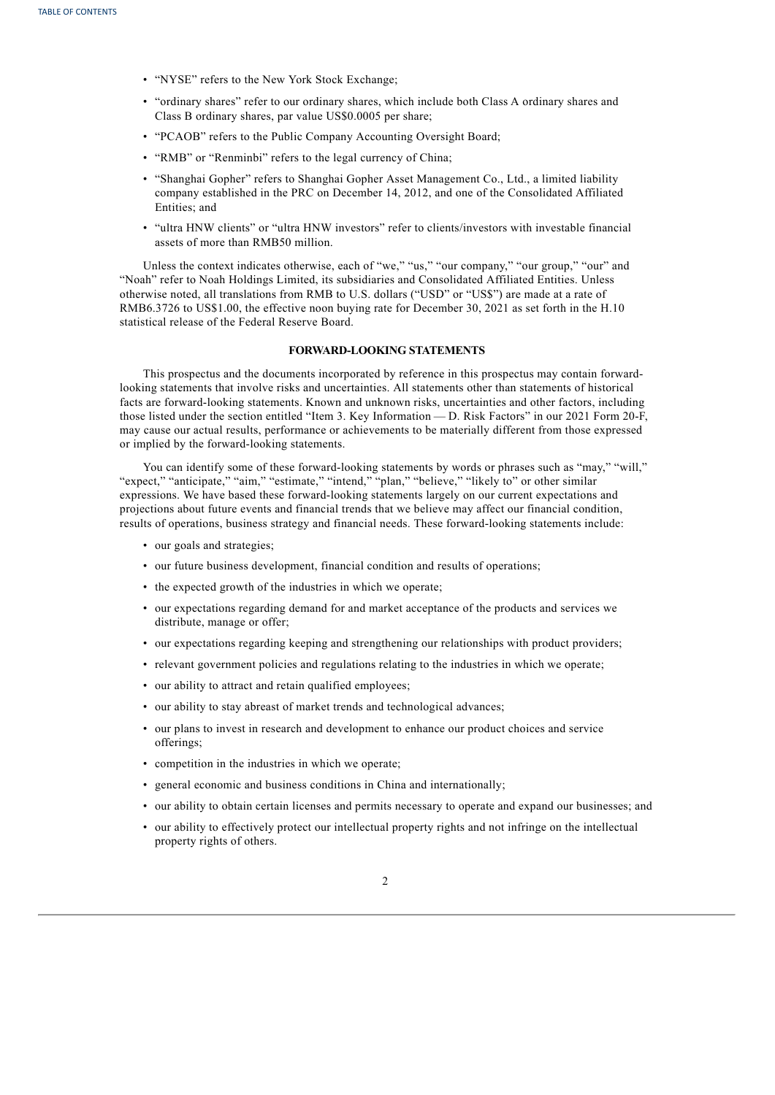- "NYSE" refers to the New York Stock Exchange;
- "ordinary shares" refer to our ordinary shares, which include both Class A ordinary shares and Class B ordinary shares, par value US\$0.0005 per share;
- "PCAOB" refers to the Public Company Accounting Oversight Board;
- "RMB" or "Renminbi" refers to the legal currency of China;
- "Shanghai Gopher" refers to Shanghai Gopher Asset Management Co., Ltd., a limited liability company established in the PRC on December 14, 2012, and one of the Consolidated Affiliated Entities; and
- "ultra HNW clients" or "ultra HNW investors" refer to clients/investors with investable financial assets of more than RMB50 million.

Unless the context indicates otherwise, each of "we," "us," "our company," "our group," "our" and "Noah" refer to Noah Holdings Limited, its subsidiaries and Consolidated Affiliated Entities. Unless otherwise noted, all translations from RMB to U.S. dollars ("USD" or "US\$") are made at a rate of RMB6.3726 to US\$1.00, the effective noon buying rate for December 30, 2021 as set forth in the H.10 statistical release of the Federal Reserve Board.

## **FORWARD-LOOKING STATEMENTS**

This prospectus and the documents incorporated by reference in this prospectus may contain forwardlooking statements that involve risks and uncertainties. All statements other than statements of historical facts are forward-looking statements. Known and unknown risks, uncertainties and other factors, including those listed under the section entitled "Item 3. Key Information — D. Risk Factors" in our 2021 Form 20-F, may cause our actual results, performance or achievements to be materially different from those expressed or implied by the forward-looking statements.

You can identify some of these forward-looking statements by words or phrases such as "may," "will," "expect," "anticipate," "aim," "estimate," "intend," "plan," "believe," "likely to" or other similar expressions. We have based these forward-looking statements largely on our current expectations and projections about future events and financial trends that we believe may affect our financial condition, results of operations, business strategy and financial needs. These forward-looking statements include:

- our goals and strategies;
- our future business development, financial condition and results of operations;
- the expected growth of the industries in which we operate;
- our expectations regarding demand for and market acceptance of the products and services we distribute, manage or offer;
- our expectations regarding keeping and strengthening our relationships with product providers;
- relevant government policies and regulations relating to the industries in which we operate;
- our ability to attract and retain qualified employees;
- our ability to stay abreast of market trends and technological advances;
- our plans to invest in research and development to enhance our product choices and service offerings;
- competition in the industries in which we operate;
- general economic and business conditions in China and internationally;
- our ability to obtain certain licenses and permits necessary to operate and expand our businesses; and
- our ability to effectively protect our intellectual property rights and not infringe on the intellectual property rights of others.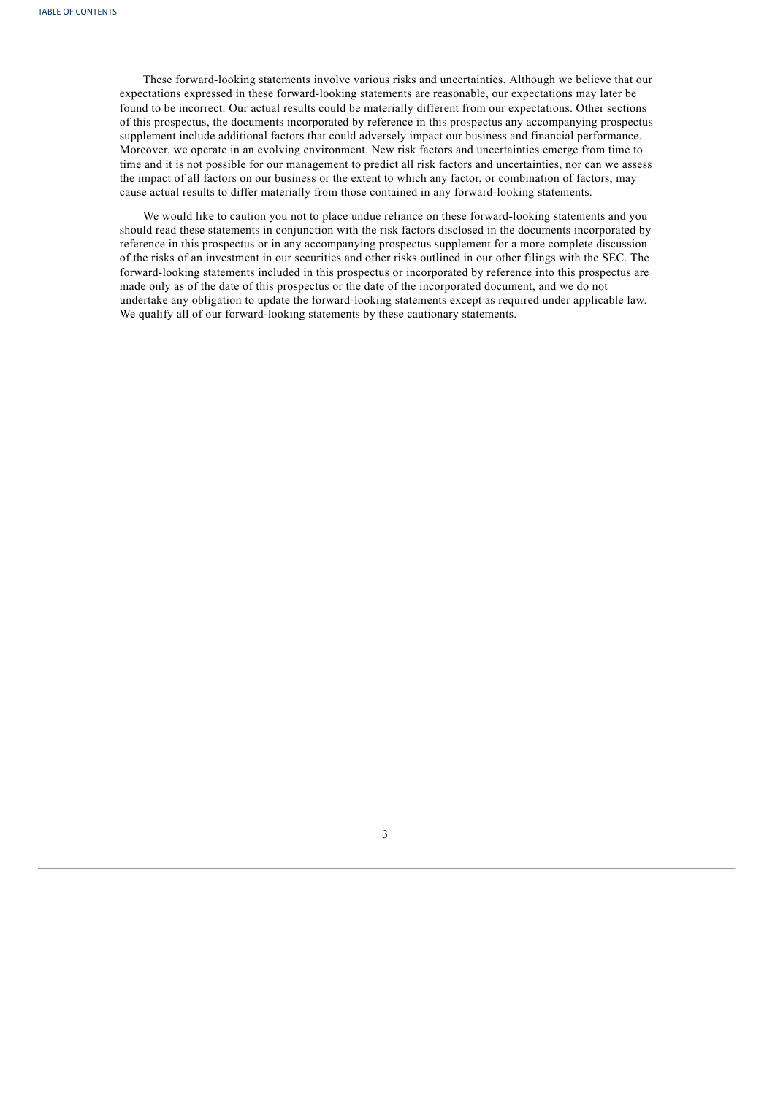These forward-looking statements involve various risks and uncertainties. Although we believe that our expectations expressed in these forward-looking statements are reasonable, our expectations may later be found to be incorrect. Our actual results could be materially different from our expectations. Other sections of this prospectus, the documents incorporated by reference in this prospectus any accompanying prospectus supplement include additional factors that could adversely impact our business and financial performance. Moreover, we operate in an evolving environment. New risk factors and uncertainties emerge from time to time and it is not possible for our management to predict all risk factors and uncertainties, nor can we assess the impact of all factors on our business or the extent to which any factor, or combination of factors, may cause actual results to differ materially from those contained in any forward-looking statements.

<span id="page-7-0"></span>We would like to caution you not to place undue reliance on these forward-looking statements and you should read these statements in conjunction with the risk factors disclosed in the documents incorporated by reference in this prospectus or in any accompanying prospectus supplement for a more complete discussion of the risks of an investment in our securities and other risks outlined in our other filings with the SEC. The forward-looking statements included in this prospectus or incorporated by reference into this prospectus are made only as of the date of this prospectus or the date of the incorporated document, and we do not undertake any obligation to update the forward-looking statements except as required under applicable law. We qualify all of our forward-looking statements by these cautionary statements.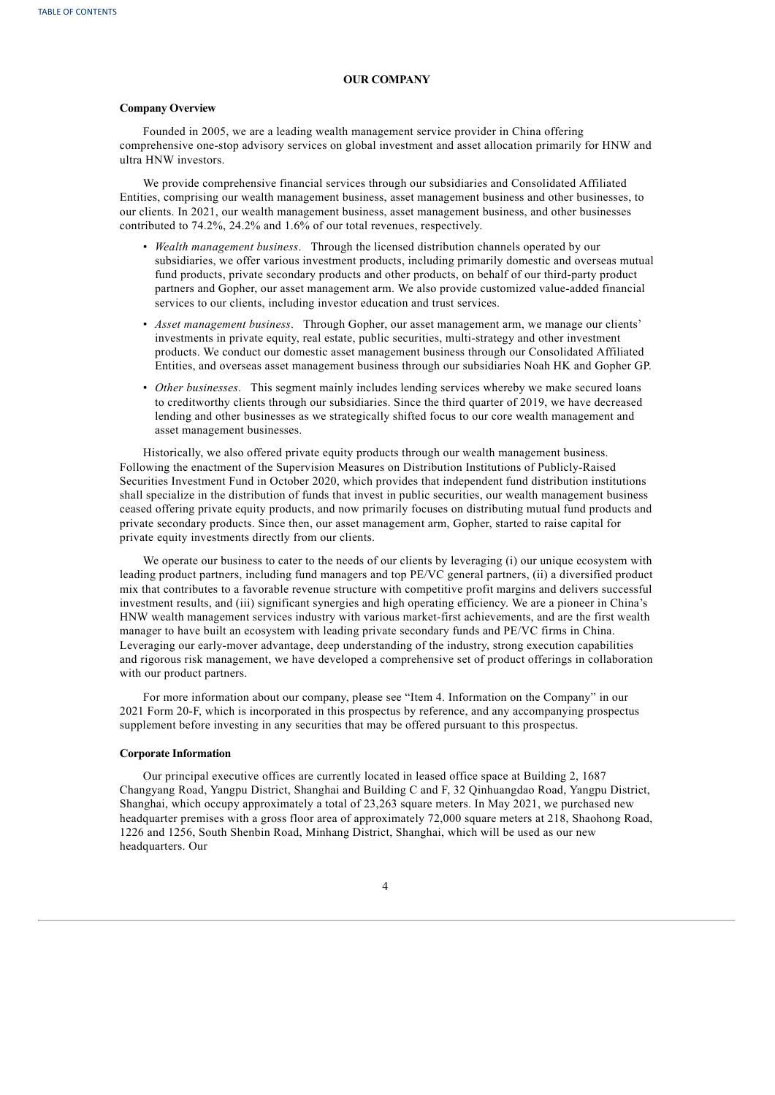## **OUR COMPANY**

#### **Company Overview**

Founded in 2005, we are a leading wealth management service provider in China offering comprehensive one-stop advisory services on global investment and asset allocation primarily for HNW and ultra HNW investors.

We provide comprehensive financial services through our subsidiaries and Consolidated Affiliated Entities, comprising our wealth management business, asset management business and other businesses, to our clients. In 2021, our wealth management business, asset management business, and other businesses contributed to 74.2%, 24.2% and 1.6% of our total revenues, respectively.

- *Wealth management business*. Through the licensed distribution channels operated by our subsidiaries, we offer various investment products, including primarily domestic and overseas mutual fund products, private secondary products and other products, on behalf of our third-party product partners and Gopher, our asset management arm. We also provide customized value-added financial services to our clients, including investor education and trust services.
- *Asset management business*. Through Gopher, our asset management arm, we manage our clients' investments in private equity, real estate, public securities, multi-strategy and other investment products. We conduct our domestic asset management business through our Consolidated Affiliated Entities, and overseas asset management business through our subsidiaries Noah HK and Gopher GP.
- *Other businesses*. This segment mainly includes lending services whereby we make secured loans to creditworthy clients through our subsidiaries. Since the third quarter of 2019, we have decreased lending and other businesses as we strategically shifted focus to our core wealth management and asset management businesses.

Historically, we also offered private equity products through our wealth management business. Following the enactment of the Supervision Measures on Distribution Institutions of Publicly-Raised Securities Investment Fund in October 2020, which provides that independent fund distribution institutions shall specialize in the distribution of funds that invest in public securities, our wealth management business ceased offering private equity products, and now primarily focuses on distributing mutual fund products and private secondary products. Since then, our asset management arm, Gopher, started to raise capital for private equity investments directly from our clients.

We operate our business to cater to the needs of our clients by leveraging (i) our unique ecosystem with leading product partners, including fund managers and top PE/VC general partners, (ii) a diversified product mix that contributes to a favorable revenue structure with competitive profit margins and delivers successful investment results, and (iii) significant synergies and high operating efficiency. We are a pioneer in China's HNW wealth management services industry with various market-first achievements, and are the first wealth manager to have built an ecosystem with leading private secondary funds and PE/VC firms in China. Leveraging our early-mover advantage, deep understanding of the industry, strong execution capabilities and rigorous risk management, we have developed a comprehensive set of product offerings in collaboration with our product partners.

For more information about our company, please see "Item 4. Information on the Company" in our 2021 Form 20-F, which is incorporated in this prospectus by reference, and any accompanying prospectus supplement before investing in any securities that may be offered pursuant to this prospectus.

## **Corporate Information**

Our principal executive offices are currently located in leased office space at Building 2, 1687 Changyang Road, Yangpu District, Shanghai and Building C and F, 32 Qinhuangdao Road, Yangpu District, Shanghai, which occupy approximately a total of 23,263 square meters. In May 2021, we purchased new headquarter premises with a gross floor area of approximately 72,000 square meters at 218, Shaohong Road, 1226 and 1256, South Shenbin Road, Minhang District, Shanghai, which will be used as our new headquarters. Our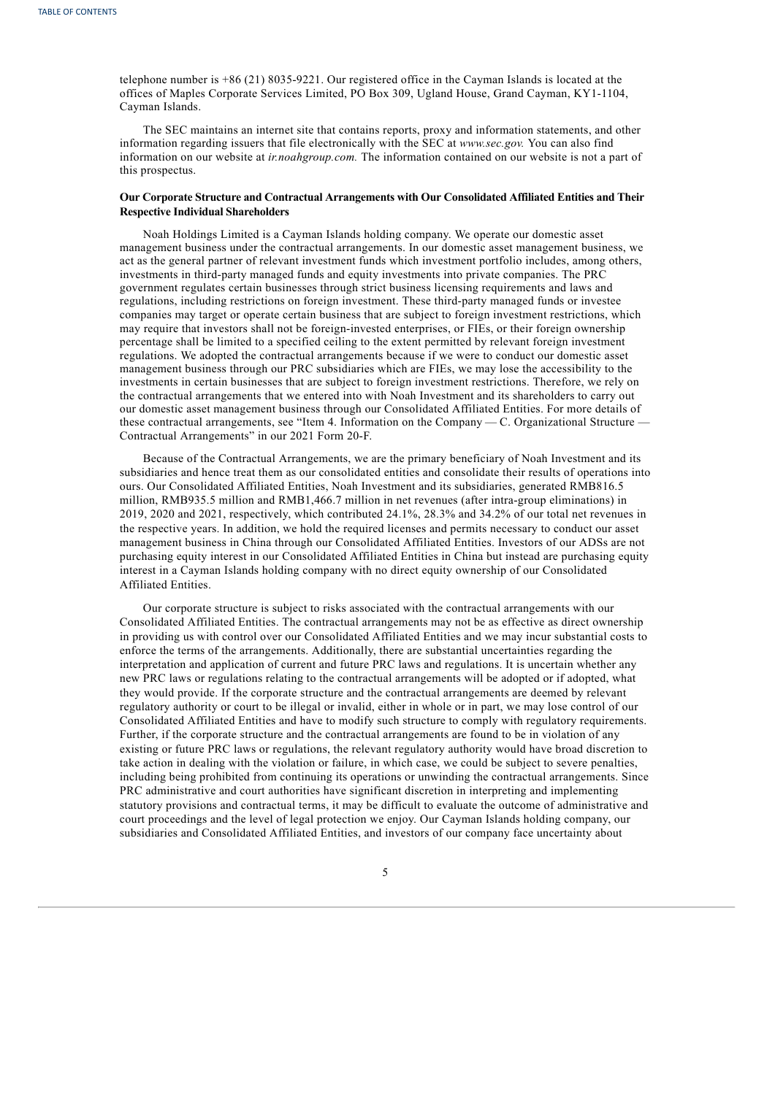telephone number is +86 (21) 8035-9221. Our registered office in the Cayman Islands is located at the offices of Maples Corporate Services Limited, PO Box 309, Ugland House, Grand Cayman, KY1-1104, Cayman Islands.

The SEC maintains an internet site that contains reports, proxy and information statements, and other information regarding issuers that file electronically with the SEC at *www.sec.gov.* You can also find information on our website at *ir.noahgroup.com.* The information contained on our website is not a part of this prospectus.

## **Our Corporate Structure and Contractual Arrangements with Our Consolidated Affiliated Entities and Their Respective Individual Shareholders**

Noah Holdings Limited is a Cayman Islands holding company. We operate our domestic asset management business under the contractual arrangements. In our domestic asset management business, we act as the general partner of relevant investment funds which investment portfolio includes, among others, investments in third-party managed funds and equity investments into private companies. The PRC government regulates certain businesses through strict business licensing requirements and laws and regulations, including restrictions on foreign investment. These third-party managed funds or investee companies may target or operate certain business that are subject to foreign investment restrictions, which may require that investors shall not be foreign-invested enterprises, or FIEs, or their foreign ownership percentage shall be limited to a specified ceiling to the extent permitted by relevant foreign investment regulations. We adopted the contractual arrangements because if we were to conduct our domestic asset management business through our PRC subsidiaries which are FIEs, we may lose the accessibility to the investments in certain businesses that are subject to foreign investment restrictions. Therefore, we rely on the contractual arrangements that we entered into with Noah Investment and its shareholders to carry out our domestic asset management business through our Consolidated Affiliated Entities. For more details of these contractual arrangements, see "Item 4. Information on the Company — C. Organizational Structure — Contractual Arrangements" in our 2021 Form 20-F.

Because of the Contractual Arrangements, we are the primary beneficiary of Noah Investment and its subsidiaries and hence treat them as our consolidated entities and consolidate their results of operations into ours. Our Consolidated Affiliated Entities, Noah Investment and its subsidiaries, generated RMB816.5 million, RMB935.5 million and RMB1,466.7 million in net revenues (after intra-group eliminations) in 2019, 2020 and 2021, respectively, which contributed 24.1%, 28.3% and 34.2% of our total net revenues in the respective years. In addition, we hold the required licenses and permits necessary to conduct our asset management business in China through our Consolidated Affiliated Entities. Investors of our ADSs are not purchasing equity interest in our Consolidated Affiliated Entities in China but instead are purchasing equity interest in a Cayman Islands holding company with no direct equity ownership of our Consolidated Affiliated Entities.

Our corporate structure is subject to risks associated with the contractual arrangements with our Consolidated Affiliated Entities. The contractual arrangements may not be as effective as direct ownership in providing us with control over our Consolidated Affiliated Entities and we may incur substantial costs to enforce the terms of the arrangements. Additionally, there are substantial uncertainties regarding the interpretation and application of current and future PRC laws and regulations. It is uncertain whether any new PRC laws or regulations relating to the contractual arrangements will be adopted or if adopted, what they would provide. If the corporate structure and the contractual arrangements are deemed by relevant regulatory authority or court to be illegal or invalid, either in whole or in part, we may lose control of our Consolidated Affiliated Entities and have to modify such structure to comply with regulatory requirements. Further, if the corporate structure and the contractual arrangements are found to be in violation of any existing or future PRC laws or regulations, the relevant regulatory authority would have broad discretion to take action in dealing with the violation or failure, in which case, we could be subject to severe penalties, including being prohibited from continuing its operations or unwinding the contractual arrangements. Since PRC administrative and court authorities have significant discretion in interpreting and implementing statutory provisions and contractual terms, it may be difficult to evaluate the outcome of administrative and court proceedings and the level of legal protection we enjoy. Our Cayman Islands holding company, our subsidiaries and Consolidated Affiliated Entities, and investors of our company face uncertainty about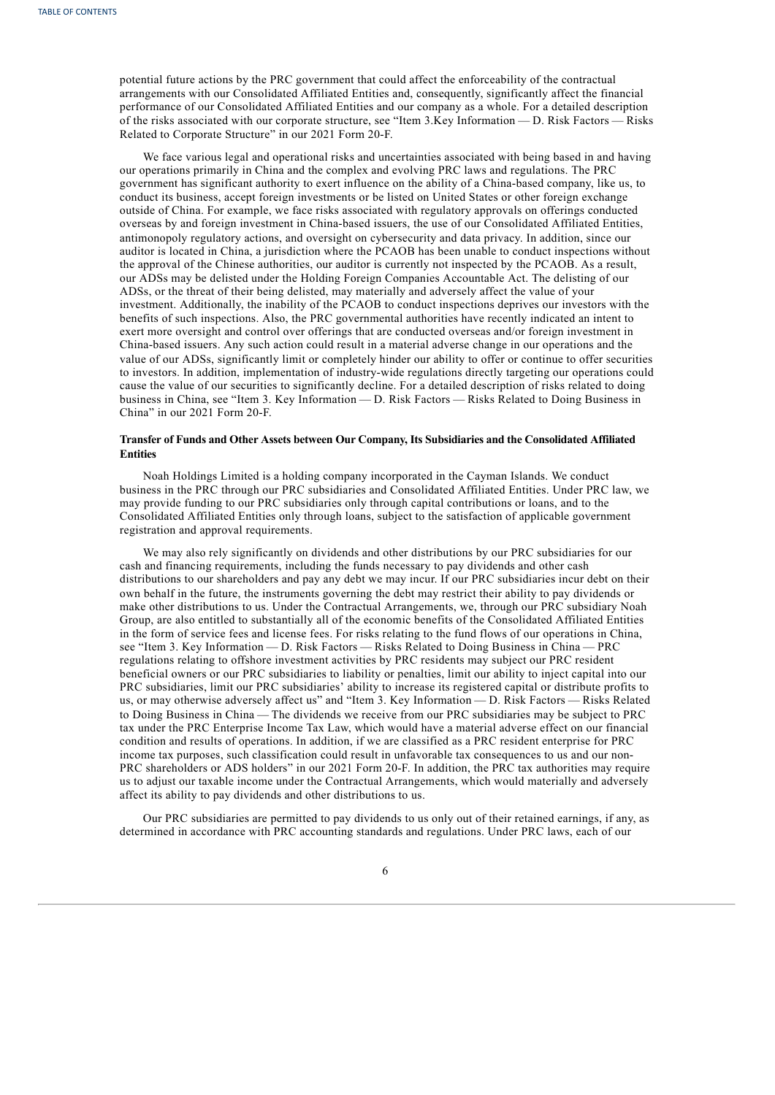potential future actions by the PRC government that could affect the enforceability of the contractual arrangements with our Consolidated Affiliated Entities and, consequently, significantly affect the financial performance of our Consolidated Affiliated Entities and our company as a whole. For a detailed description of the risks associated with our corporate structure, see "Item 3.Key Information — D. Risk Factors — Risks Related to Corporate Structure" in our 2021 Form 20-F.

We face various legal and operational risks and uncertainties associated with being based in and having our operations primarily in China and the complex and evolving PRC laws and regulations. The PRC government has significant authority to exert influence on the ability of a China-based company, like us, to conduct its business, accept foreign investments or be listed on United States or other foreign exchange outside of China. For example, we face risks associated with regulatory approvals on offerings conducted overseas by and foreign investment in China-based issuers, the use of our Consolidated Affiliated Entities, antimonopoly regulatory actions, and oversight on cybersecurity and data privacy. In addition, since our auditor is located in China, a jurisdiction where the PCAOB has been unable to conduct inspections without the approval of the Chinese authorities, our auditor is currently not inspected by the PCAOB. As a result, our ADSs may be delisted under the Holding Foreign Companies Accountable Act. The delisting of our ADSs, or the threat of their being delisted, may materially and adversely affect the value of your investment. Additionally, the inability of the PCAOB to conduct inspections deprives our investors with the benefits of such inspections. Also, the PRC governmental authorities have recently indicated an intent to exert more oversight and control over offerings that are conducted overseas and/or foreign investment in China-based issuers. Any such action could result in a material adverse change in our operations and the value of our ADSs, significantly limit or completely hinder our ability to offer or continue to offer securities to investors. In addition, implementation of industry-wide regulations directly targeting our operations could cause the value of our securities to significantly decline. For a detailed description of risks related to doing business in China, see "Item 3. Key Information — D. Risk Factors — Risks Related to Doing Business in China" in our 2021 Form 20-F.

## **Transfer of Funds and Other Assets between Our Company, Its Subsidiaries and the Consolidated Affiliated Entities**

Noah Holdings Limited is a holding company incorporated in the Cayman Islands. We conduct business in the PRC through our PRC subsidiaries and Consolidated Affiliated Entities. Under PRC law, we may provide funding to our PRC subsidiaries only through capital contributions or loans, and to the Consolidated Affiliated Entities only through loans, subject to the satisfaction of applicable government registration and approval requirements.

We may also rely significantly on dividends and other distributions by our PRC subsidiaries for our cash and financing requirements, including the funds necessary to pay dividends and other cash distributions to our shareholders and pay any debt we may incur. If our PRC subsidiaries incur debt on their own behalf in the future, the instruments governing the debt may restrict their ability to pay dividends or make other distributions to us. Under the Contractual Arrangements, we, through our PRC subsidiary Noah Group, are also entitled to substantially all of the economic benefits of the Consolidated Affiliated Entities in the form of service fees and license fees. For risks relating to the fund flows of our operations in China, see "Item 3. Key Information — D. Risk Factors — Risks Related to Doing Business in China — PRC regulations relating to offshore investment activities by PRC residents may subject our PRC resident beneficial owners or our PRC subsidiaries to liability or penalties, limit our ability to inject capital into our PRC subsidiaries, limit our PRC subsidiaries' ability to increase its registered capital or distribute profits to us, or may otherwise adversely affect us" and "Item 3. Key Information — D. Risk Factors — Risks Related to Doing Business in China — The dividends we receive from our PRC subsidiaries may be subject to PRC tax under the PRC Enterprise Income Tax Law, which would have a material adverse effect on our financial condition and results of operations. In addition, if we are classified as a PRC resident enterprise for PRC income tax purposes, such classification could result in unfavorable tax consequences to us and our non-PRC shareholders or ADS holders" in our 2021 Form 20-F. In addition, the PRC tax authorities may require us to adjust our taxable income under the Contractual Arrangements, which would materially and adversely affect its ability to pay dividends and other distributions to us.

Our PRC subsidiaries are permitted to pay dividends to us only out of their retained earnings, if any, as determined in accordance with PRC accounting standards and regulations. Under PRC laws, each of our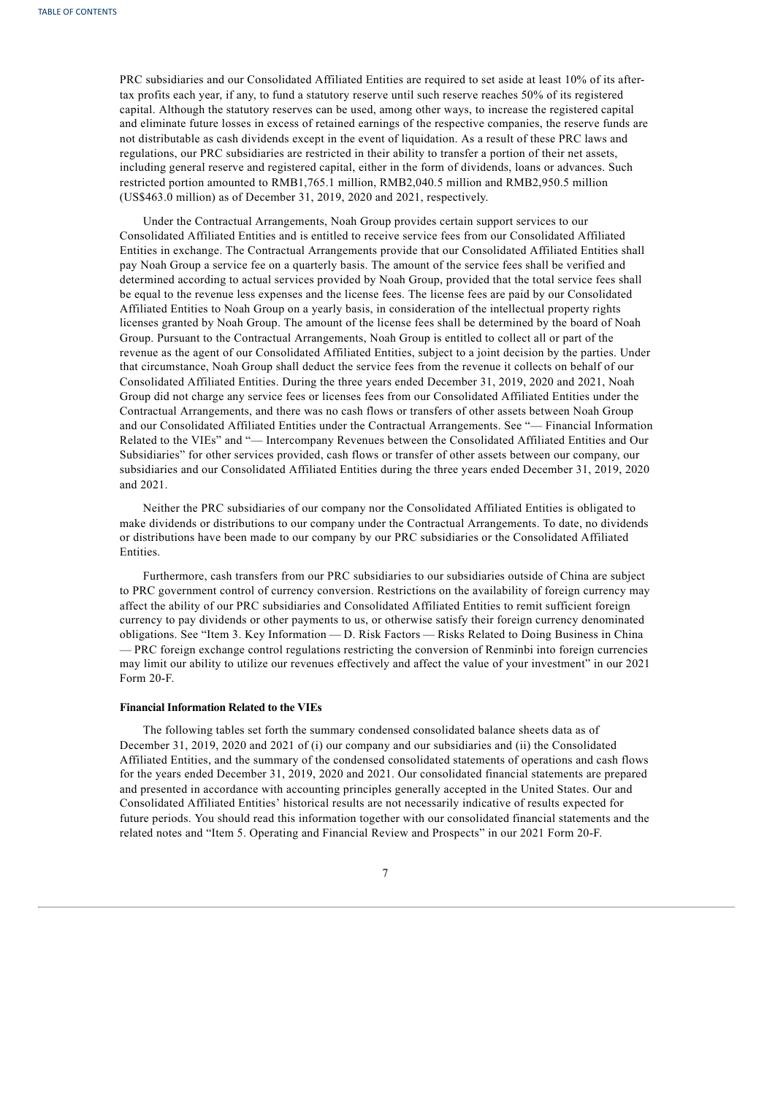PRC subsidiaries and our Consolidated Affiliated Entities are required to set aside at least 10% of its aftertax profits each year, if any, to fund a statutory reserve until such reserve reaches 50% of its registered capital. Although the statutory reserves can be used, among other ways, to increase the registered capital and eliminate future losses in excess of retained earnings of the respective companies, the reserve funds are not distributable as cash dividends except in the event of liquidation. As a result of these PRC laws and regulations, our PRC subsidiaries are restricted in their ability to transfer a portion of their net assets, including general reserve and registered capital, either in the form of dividends, loans or advances. Such restricted portion amounted to RMB1,765.1 million, RMB2,040.5 million and RMB2,950.5 million (US\$463.0 million) as of December 31, 2019, 2020 and 2021, respectively.

Under the Contractual Arrangements, Noah Group provides certain support services to our Consolidated Affiliated Entities and is entitled to receive service fees from our Consolidated Affiliated Entities in exchange. The Contractual Arrangements provide that our Consolidated Affiliated Entities shall pay Noah Group a service fee on a quarterly basis. The amount of the service fees shall be verified and determined according to actual services provided by Noah Group, provided that the total service fees shall be equal to the revenue less expenses and the license fees. The license fees are paid by our Consolidated Affiliated Entities to Noah Group on a yearly basis, in consideration of the intellectual property rights licenses granted by Noah Group. The amount of the license fees shall be determined by the board of Noah Group. Pursuant to the Contractual Arrangements, Noah Group is entitled to collect all or part of the revenue as the agent of our Consolidated Affiliated Entities, subject to a joint decision by the parties. Under that circumstance, Noah Group shall deduct the service fees from the revenue it collects on behalf of our Consolidated Affiliated Entities. During the three years ended December 31, 2019, 2020 and 2021, Noah Group did not charge any service fees or licenses fees from our Consolidated Affiliated Entities under the Contractual Arrangements, and there was no cash flows or transfers of other assets between Noah Group and our Consolidated Affiliated Entities under the Contractual Arrangements. See "— Financial Information Related to the VIEs" and "— Intercompany Revenues between the Consolidated Affiliated Entities and Our Subsidiaries" for other services provided, cash flows or transfer of other assets between our company, our subsidiaries and our Consolidated Affiliated Entities during the three years ended December 31, 2019, 2020 and 2021.

Neither the PRC subsidiaries of our company nor the Consolidated Affiliated Entities is obligated to make dividends or distributions to our company under the Contractual Arrangements. To date, no dividends or distributions have been made to our company by our PRC subsidiaries or the Consolidated Affiliated Entities.

Furthermore, cash transfers from our PRC subsidiaries to our subsidiaries outside of China are subject to PRC government control of currency conversion. Restrictions on the availability of foreign currency may affect the ability of our PRC subsidiaries and Consolidated Affiliated Entities to remit sufficient foreign currency to pay dividends or other payments to us, or otherwise satisfy their foreign currency denominated obligations. See "Item 3. Key Information — D. Risk Factors — Risks Related to Doing Business in China — PRC foreign exchange control regulations restricting the conversion of Renminbi into foreign currencies may limit our ability to utilize our revenues effectively and affect the value of your investment" in our 2021 Form 20-F.

### **Financial Information Related to the VIEs**

The following tables set forth the summary condensed consolidated balance sheets data as of December 31, 2019, 2020 and 2021 of (i) our company and our subsidiaries and (ii) the Consolidated Affiliated Entities, and the summary of the condensed consolidated statements of operations and cash flows for the years ended December 31, 2019, 2020 and 2021. Our consolidated financial statements are prepared and presented in accordance with accounting principles generally accepted in the United States. Our and Consolidated Affiliated Entities' historical results are not necessarily indicative of results expected for future periods. You should read this information together with our consolidated financial statements and the related notes and "Item 5. Operating and Financial Review and Prospects" in our 2021 Form 20-F.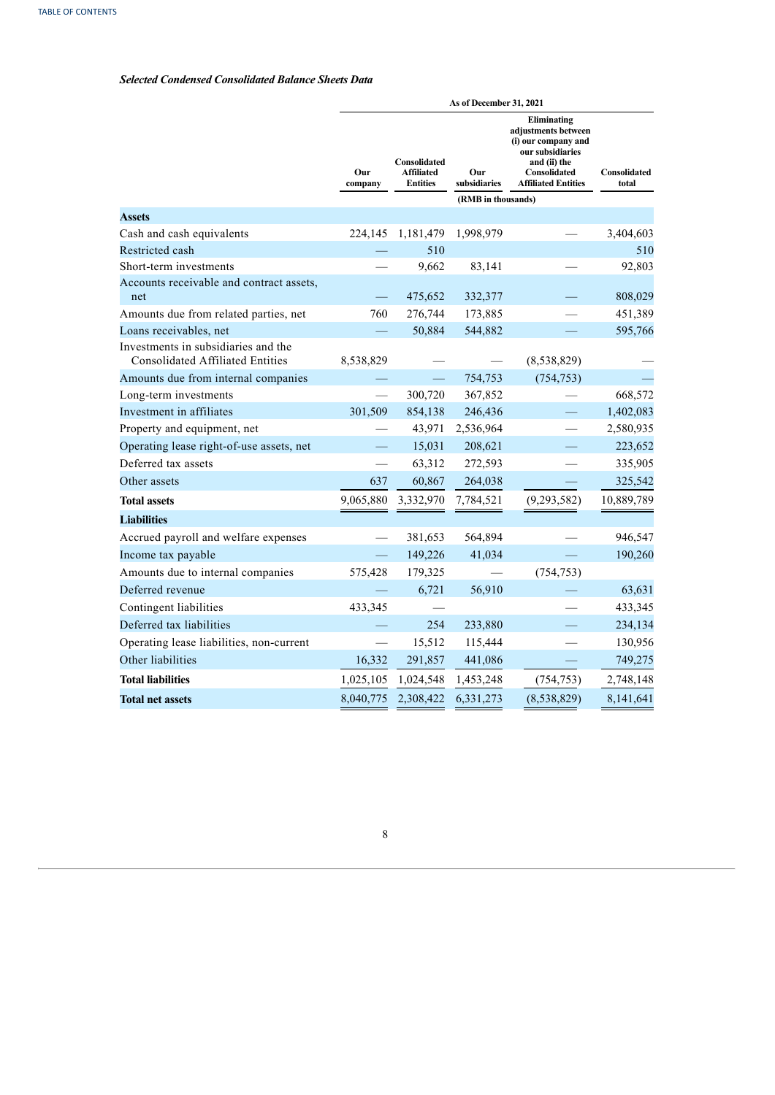## *Selected Condensed Consolidated Balance Sheets Data*

|                                                                                |                |                                               | As of December 31, 2021 |                                                                                                                                             |                       |
|--------------------------------------------------------------------------------|----------------|-----------------------------------------------|-------------------------|---------------------------------------------------------------------------------------------------------------------------------------------|-----------------------|
|                                                                                | Our<br>company | Consolidated<br>Affiliated<br><b>Entities</b> | Our<br>subsidiaries     | Eliminating<br>adjustments between<br>(i) our company and<br>our subsidiaries<br>and (ii) the<br>Consolidated<br><b>Affiliated Entities</b> | Consolidated<br>total |
|                                                                                |                |                                               | (RMB in thousands)      |                                                                                                                                             |                       |
| <b>Assets</b>                                                                  |                |                                               |                         |                                                                                                                                             |                       |
| Cash and cash equivalents                                                      | 224,145        | 1,181,479                                     | 1,998,979               |                                                                                                                                             | 3,404,603             |
| Restricted cash                                                                |                | 510                                           |                         |                                                                                                                                             | 510                   |
| Short-term investments                                                         |                | 9,662                                         | 83,141                  |                                                                                                                                             | 92,803                |
| Accounts receivable and contract assets,<br>net                                |                | 475,652                                       | 332,377                 |                                                                                                                                             | 808,029               |
| Amounts due from related parties, net                                          | 760            | 276,744                                       | 173,885                 |                                                                                                                                             | 451,389               |
| Loans receivables, net                                                         |                | 50,884                                        | 544,882                 |                                                                                                                                             | 595,766               |
| Investments in subsidiaries and the<br><b>Consolidated Affiliated Entities</b> | 8,538,829      |                                               |                         | (8,538,829)                                                                                                                                 |                       |
| Amounts due from internal companies                                            |                |                                               | 754,753                 | (754, 753)                                                                                                                                  |                       |
| Long-term investments                                                          |                | 300,720                                       | 367,852                 |                                                                                                                                             | 668,572               |
| Investment in affiliates                                                       | 301,509        | 854,138                                       | 246,436                 |                                                                                                                                             | 1,402,083             |
| Property and equipment, net                                                    |                | 43,971                                        | 2,536,964               |                                                                                                                                             | 2,580,935             |
| Operating lease right-of-use assets, net                                       |                | 15,031                                        | 208,621                 |                                                                                                                                             | 223,652               |
| Deferred tax assets                                                            |                | 63,312                                        | 272,593                 |                                                                                                                                             | 335,905               |
| Other assets                                                                   | 637            | 60,867                                        | 264,038                 |                                                                                                                                             | 325,542               |
| <b>Total assets</b>                                                            | 9,065,880      | 3,332,970                                     | 7,784,521               | (9, 293, 582)                                                                                                                               | 10,889,789            |
| <b>Liabilities</b>                                                             |                |                                               |                         |                                                                                                                                             |                       |
| Accrued payroll and welfare expenses                                           |                | 381,653                                       | 564,894                 |                                                                                                                                             | 946,547               |
| Income tax payable                                                             |                | 149,226                                       | 41,034                  |                                                                                                                                             | 190,260               |
| Amounts due to internal companies                                              | 575,428        | 179,325                                       |                         | (754, 753)                                                                                                                                  |                       |
| Deferred revenue                                                               |                | 6,721                                         | 56,910                  |                                                                                                                                             | 63,631                |
| Contingent liabilities                                                         | 433,345        |                                               |                         |                                                                                                                                             | 433,345               |
| Deferred tax liabilities                                                       |                | 254                                           | 233,880                 |                                                                                                                                             | 234,134               |
| Operating lease liabilities, non-current                                       |                | 15,512                                        | 115,444                 |                                                                                                                                             | 130,956               |
| Other liabilities                                                              | 16,332         | 291,857                                       | 441,086                 |                                                                                                                                             | 749,275               |
| <b>Total liabilities</b>                                                       | 1,025,105      | 1,024,548                                     | 1,453,248               | (754, 753)                                                                                                                                  | 2,748,148             |
| <b>Total net assets</b>                                                        | 8,040,775      | 2,308,422                                     | 6,331,273               | (8,538,829)                                                                                                                                 | 8,141,641             |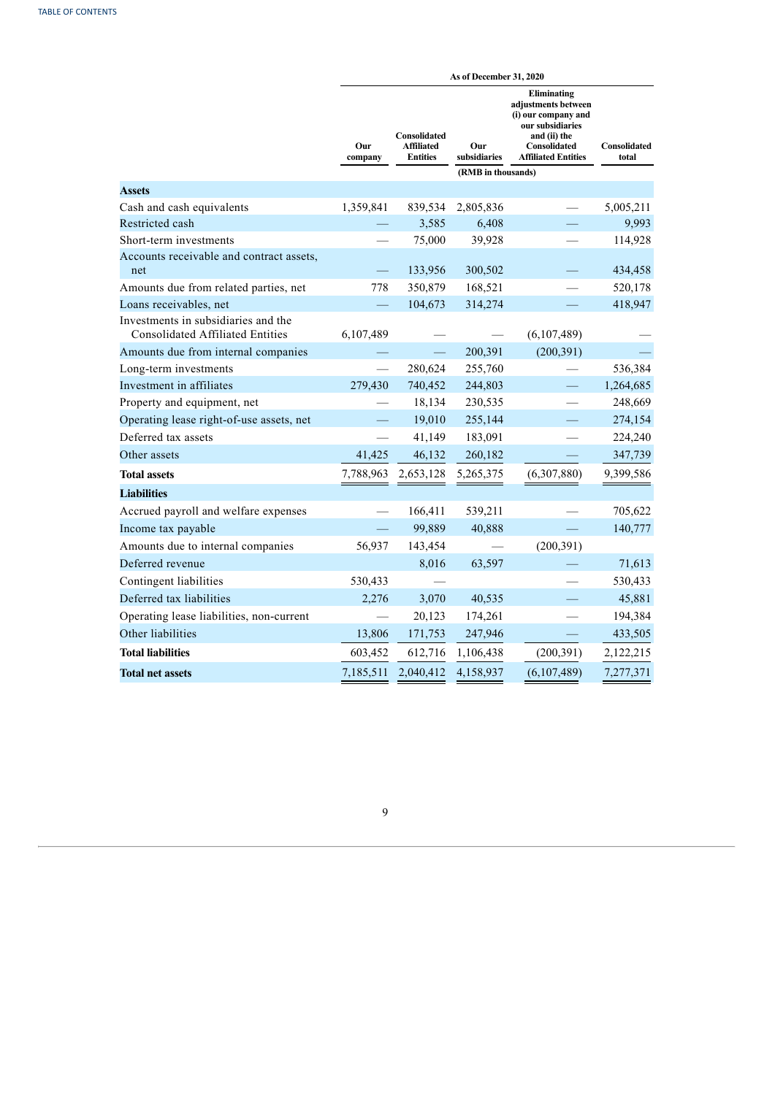|                                                                                |                          |                                                      | As of December 31, 2020 |                                                                                                                                             |                       |
|--------------------------------------------------------------------------------|--------------------------|------------------------------------------------------|-------------------------|---------------------------------------------------------------------------------------------------------------------------------------------|-----------------------|
|                                                                                | Our<br>company           | Consolidated<br><b>Affiliated</b><br><b>Entities</b> | Our<br>subsidiaries     | Eliminating<br>adjustments between<br>(i) our company and<br>our subsidiaries<br>and (ii) the<br>Consolidated<br><b>Affiliated Entities</b> | Consolidated<br>total |
|                                                                                |                          |                                                      | (RMB in thousands)      |                                                                                                                                             |                       |
| <b>Assets</b>                                                                  |                          |                                                      |                         |                                                                                                                                             |                       |
| Cash and cash equivalents                                                      | 1,359,841                | 839,534                                              | 2,805,836               |                                                                                                                                             | 5,005,211             |
| Restricted cash                                                                |                          | 3,585                                                | 6,408                   |                                                                                                                                             | 9,993                 |
| Short-term investments                                                         |                          | 75,000                                               | 39,928                  |                                                                                                                                             | 114,928               |
| Accounts receivable and contract assets,<br>net                                |                          | 133,956                                              | 300,502                 |                                                                                                                                             | 434,458               |
| Amounts due from related parties, net                                          | 778                      | 350,879                                              | 168,521                 |                                                                                                                                             | 520,178               |
| Loans receivables, net                                                         |                          | 104,673                                              | 314,274                 |                                                                                                                                             | 418,947               |
| Investments in subsidiaries and the<br><b>Consolidated Affiliated Entities</b> | 6,107,489                |                                                      |                         | (6,107,489)                                                                                                                                 |                       |
| Amounts due from internal companies                                            |                          | $\equiv$                                             | 200,391                 | (200, 391)                                                                                                                                  |                       |
| Long-term investments                                                          | $\overline{\phantom{0}}$ | 280,624                                              | 255,760                 |                                                                                                                                             | 536,384               |
| Investment in affiliates                                                       | 279,430                  | 740,452                                              | 244,803                 |                                                                                                                                             | 1,264,685             |
| Property and equipment, net                                                    |                          | 18,134                                               | 230,535                 |                                                                                                                                             | 248,669               |
| Operating lease right-of-use assets, net                                       |                          | 19,010                                               | 255,144                 |                                                                                                                                             | 274,154               |
| Deferred tax assets                                                            |                          | 41,149                                               | 183,091                 |                                                                                                                                             | 224,240               |
| Other assets                                                                   | 41,425                   | 46,132                                               | 260,182                 |                                                                                                                                             | 347,739               |
| <b>Total assets</b>                                                            | 7,788,963                | 2,653,128                                            | 5,265,375               | (6,307,880)                                                                                                                                 | 9,399,586             |
| <b>Liabilities</b>                                                             |                          |                                                      |                         |                                                                                                                                             |                       |
| Accrued payroll and welfare expenses                                           |                          | 166,411                                              | 539,211                 |                                                                                                                                             | 705,622               |
| Income tax payable                                                             |                          | 99,889                                               | 40,888                  |                                                                                                                                             | 140,777               |
| Amounts due to internal companies                                              | 56,937                   | 143,454                                              |                         | (200, 391)                                                                                                                                  |                       |
| Deferred revenue                                                               |                          | 8,016                                                | 63,597                  |                                                                                                                                             | 71,613                |
| Contingent liabilities                                                         | 530,433                  |                                                      |                         |                                                                                                                                             | 530,433               |
| Deferred tax liabilities                                                       | 2,276                    | 3,070                                                | 40,535                  |                                                                                                                                             | 45,881                |
| Operating lease liabilities, non-current                                       |                          | 20,123                                               | 174,261                 |                                                                                                                                             | 194,384               |
| Other liabilities                                                              | 13,806                   | 171,753                                              | 247,946                 |                                                                                                                                             | 433,505               |
| <b>Total liabilities</b>                                                       | 603,452                  | 612,716                                              | 1,106,438               | (200, 391)                                                                                                                                  | 2,122,215             |
| <b>Total net assets</b>                                                        | 7,185,511                | 2,040,412                                            | 4,158,937               | (6,107,489)                                                                                                                                 | 7,277,371             |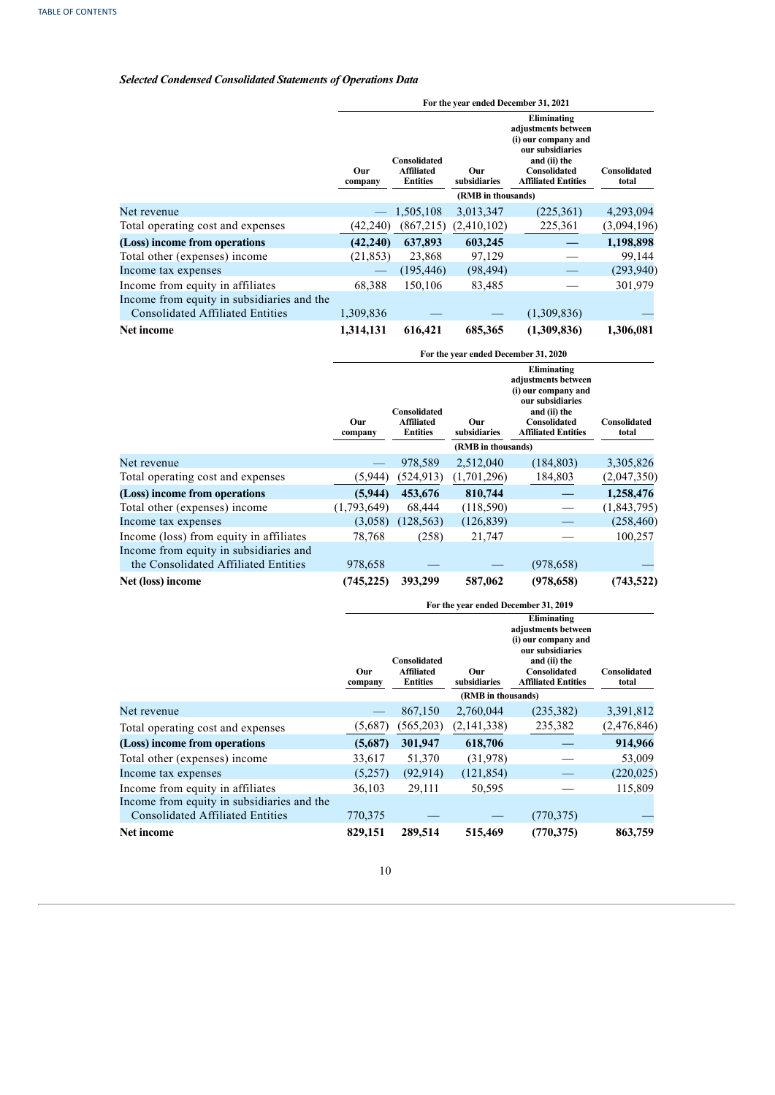# *Selected Condensed Consolidated Statements of Operations Data*

|                                            | For the year ended December 31, 2021 |                                                      |                     |                                                                                                                                             |                       |  |
|--------------------------------------------|--------------------------------------|------------------------------------------------------|---------------------|---------------------------------------------------------------------------------------------------------------------------------------------|-----------------------|--|
|                                            | Our<br>company                       | Consolidated<br><b>Affiliated</b><br><b>Entities</b> | Our<br>subsidiaries | Eliminating<br>adjustments between<br>(i) our company and<br>our subsidiaries<br>and (ii) the<br>Consolidated<br><b>Affiliated Entities</b> | Consolidated<br>total |  |
|                                            |                                      |                                                      | (RMB in thousands)  |                                                                                                                                             |                       |  |
| Net revenue                                |                                      | 1,505,108                                            | 3,013,347           | (225, 361)                                                                                                                                  | 4,293,094             |  |
| Total operating cost and expenses          | (42, 240)                            | (867,215)                                            | (2,410,102)         | 225,361                                                                                                                                     | (3,094,196)           |  |
| (Loss) income from operations              | (42, 240)                            | 637,893                                              | 603,245             |                                                                                                                                             | 1,198,898             |  |
| Total other (expenses) income              | (21, 853)                            | 23,868                                               | 97,129              |                                                                                                                                             | 99,144                |  |
| Income tax expenses                        |                                      | (195, 446)                                           | (98, 494)           |                                                                                                                                             | (293,940)             |  |
| Income from equity in affiliates           | 68,388                               | 150,106                                              | 83,485              |                                                                                                                                             | 301,979               |  |
| Income from equity in subsidiaries and the |                                      |                                                      |                     |                                                                                                                                             |                       |  |
| <b>Consolidated Affiliated Entities</b>    | 1,309,836                            |                                                      |                     | (1,309,836)                                                                                                                                 |                       |  |
| Net income                                 | 1,314,131                            | 616,421                                              | 685,365             | (1,309,836)                                                                                                                                 | 1,306,081             |  |

|                                         | For the year ended December 31, 2020 |                                                      |                                           |                                                                                                                                             |                       |  |  |
|-----------------------------------------|--------------------------------------|------------------------------------------------------|-------------------------------------------|---------------------------------------------------------------------------------------------------------------------------------------------|-----------------------|--|--|
|                                         | Our<br>company                       | Consolidated<br><b>Affiliated</b><br><b>Entities</b> | Our<br>subsidiaries<br>(RMB in thousands) | Eliminating<br>adjustments between<br>(i) our company and<br>our subsidiaries<br>and (ii) the<br>Consolidated<br><b>Affiliated Entities</b> | Consolidated<br>total |  |  |
| Net revenue                             |                                      | 978,589                                              | 2,512,040                                 | (184, 803)                                                                                                                                  | 3,305,826             |  |  |
| Total operating cost and expenses       | (5,944)                              | (524, 913)                                           | (1,701,296)                               | 184,803                                                                                                                                     | (2,047,350)           |  |  |
| (Loss) income from operations           | (5,944)                              | 453,676                                              | 810,744                                   |                                                                                                                                             | 1,258,476             |  |  |
| Total other (expenses) income           | (1,793,649)                          | 68,444                                               | (118, 590)                                |                                                                                                                                             | (1,843,795)           |  |  |
| Income tax expenses                     | (3,058)                              | (128, 563)                                           | (126, 839)                                |                                                                                                                                             | (258, 460)            |  |  |
| Income (loss) from equity in affiliates | 78,768                               | (258)                                                | 21,747                                    |                                                                                                                                             | 100,257               |  |  |
| Income from equity in subsidiaries and  |                                      |                                                      |                                           |                                                                                                                                             |                       |  |  |
| the Consolidated Affiliated Entities    | 978,658                              |                                                      |                                           | (978, 658)                                                                                                                                  |                       |  |  |
| Net (loss) income                       | (745, 225)                           | 393,299                                              | 587,062                                   | (978, 658)                                                                                                                                  | (743, 522)            |  |  |

|                                                                                       | For the year ended December 31, 2019 |                                                      |                     |                                                                                                                                                    |                       |  |  |
|---------------------------------------------------------------------------------------|--------------------------------------|------------------------------------------------------|---------------------|----------------------------------------------------------------------------------------------------------------------------------------------------|-----------------------|--|--|
|                                                                                       | Our<br>company                       | Consolidated<br><b>Affiliated</b><br><b>Entities</b> | Our<br>subsidiaries | Eliminating<br>adjustments between<br>(i) our company and<br>our subsidiaries<br>and (ii) the<br><b>Consolidated</b><br><b>Affiliated Entities</b> | Consolidated<br>total |  |  |
|                                                                                       |                                      |                                                      | (RMB in thousands)  |                                                                                                                                                    |                       |  |  |
| Net revenue                                                                           |                                      | 867,150                                              | 2,760,044           | (235, 382)                                                                                                                                         | 3,391,812             |  |  |
| Total operating cost and expenses                                                     | (5,687)                              | (565, 203)                                           | (2,141,338)         | 235,382                                                                                                                                            | (2,476,846)           |  |  |
| (Loss) income from operations                                                         | (5,687)                              | 301,947                                              | 618,706             |                                                                                                                                                    | 914,966               |  |  |
| Total other (expenses) income                                                         | 33,617                               | 51,370                                               | (31,978)            |                                                                                                                                                    | 53,009                |  |  |
| Income tax expenses                                                                   | (5,257)                              | (92.914)                                             | (121, 854)          |                                                                                                                                                    | (220, 025)            |  |  |
| Income from equity in affiliates                                                      | 36,103                               | 29,111                                               | 50,595              |                                                                                                                                                    | 115,809               |  |  |
| Income from equity in subsidiaries and the<br><b>Consolidated Affiliated Entities</b> | 770,375                              |                                                      |                     | (770, 375)                                                                                                                                         |                       |  |  |
| Net income                                                                            | 829,151                              | 289,514                                              | 515,469             | (770, 375)                                                                                                                                         | 863,759               |  |  |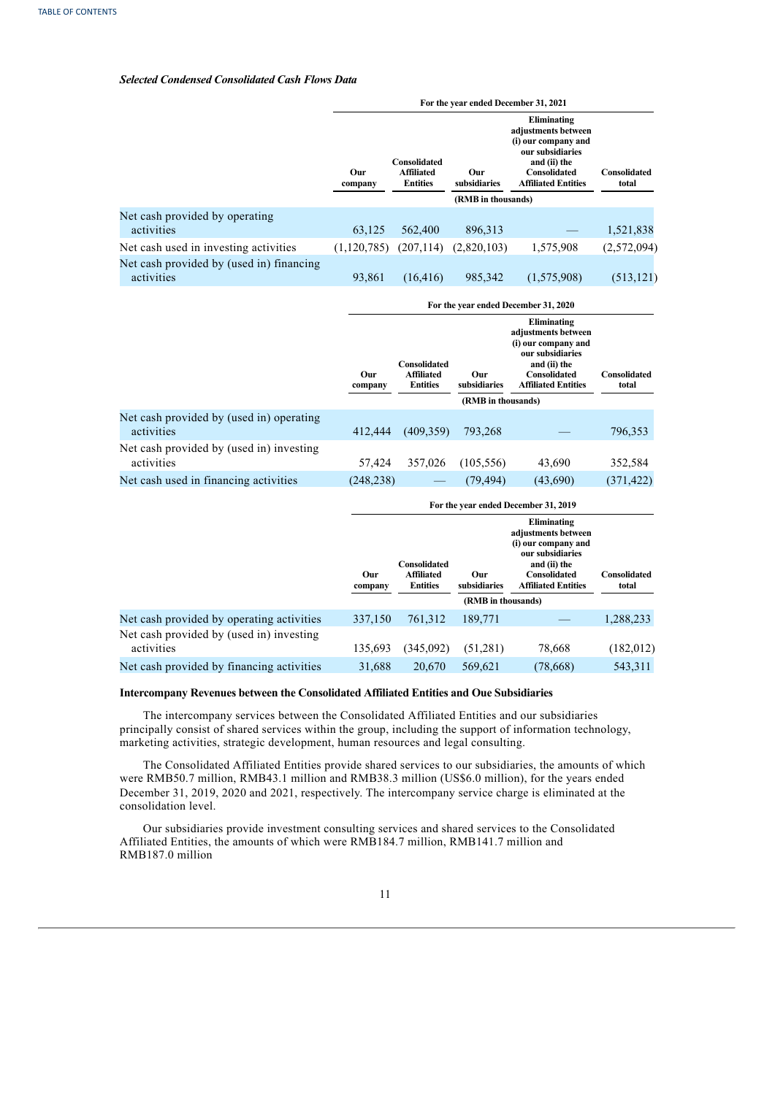## *Selected Condensed Consolidated Cash Flows Data*

|                                                        |                |                                                      |                                           | For the year ended December 31, 2021                                                                                                        |                              |
|--------------------------------------------------------|----------------|------------------------------------------------------|-------------------------------------------|---------------------------------------------------------------------------------------------------------------------------------------------|------------------------------|
|                                                        | Our<br>company | Consolidated<br><b>Affiliated</b><br><b>Entities</b> | Our<br>subsidiaries                       | Eliminating<br>adjustments between<br>(i) our company and<br>our subsidiaries<br>and (ii) the<br>Consolidated<br><b>Affiliated Entities</b> | Consolidated<br>total        |
|                                                        |                |                                                      | (RMB in thousands)                        |                                                                                                                                             |                              |
| Net cash provided by operating<br>activities           | 63,125         | 562,400                                              | 896,313                                   |                                                                                                                                             | 1,521,838                    |
| Net cash used in investing activities                  | (1, 120, 785)  | (207, 114)                                           | (2,820,103)                               | 1,575,908                                                                                                                                   | (2,572,094)                  |
| Net cash provided by (used in) financing<br>activities | 93,861         | (16, 416)                                            | 985,342                                   | (1,575,908)                                                                                                                                 | (513, 121)                   |
|                                                        |                |                                                      |                                           | For the year ended December 31, 2020                                                                                                        |                              |
|                                                        | Our<br>company | Consolidated<br><b>Affiliated</b><br><b>Entities</b> | Our<br>subsidiaries                       | Eliminating<br>adjustments between<br>(i) our company and<br>our subsidiaries<br>and (ii) the<br>Consolidated<br><b>Affiliated Entities</b> | Consolidated<br>total        |
|                                                        |                |                                                      | (RMB in thousands)                        |                                                                                                                                             |                              |
| Net cash provided by (used in) operating<br>activities | 412,444        | (409, 359)                                           | 793,268                                   |                                                                                                                                             | 796,353                      |
| Net cash provided by (used in) investing<br>activities | 57,424         | 357,026                                              | (105, 556)                                | 43,690                                                                                                                                      | 352,584                      |
| Net cash used in financing activities                  | (248, 238)     |                                                      | (79, 494)                                 | (43,690)                                                                                                                                    | (371, 422)                   |
|                                                        |                |                                                      |                                           | For the year ended December 31, 2019                                                                                                        |                              |
|                                                        | Our<br>company | Consolidated<br><b>Affiliated</b><br><b>Entities</b> | Our<br>subsidiaries<br>(RMB in thousands) | Eliminating<br>adjustments between<br>(i) our company and<br>our subsidiaries<br>and (ii) the<br>Consolidated<br><b>Affiliated Entities</b> | <b>Consolidated</b><br>total |
| Net cash provided by operating activities              | 337,150        | 761,312                                              | 189,771                                   |                                                                                                                                             | 1,288,233                    |
| Net cash provided by (used in) investing               |                |                                                      |                                           |                                                                                                                                             |                              |

#### **Intercompany Revenues between the Consolidated Affiliated Entities and Oue Subsidiaries**

The intercompany services between the Consolidated Affiliated Entities and our subsidiaries principally consist of shared services within the group, including the support of information technology, marketing activities, strategic development, human resources and legal consulting.

activities 135,693 (345,092) (51,281) 78,668 (182,012) Net cash provided by financing activities 31,688 20,670 569,621 (78,668) 543,311

 $(345,092)$   $(51,281)$   $78,668$   $(182,012)$ 

 $(78,668)$ 

The Consolidated Affiliated Entities provide shared services to our subsidiaries, the amounts of which were RMB50.7 million, RMB43.1 million and RMB38.3 million (US\$6.0 million), for the years ended December 31, 2019, 2020 and 2021, respectively. The intercompany service charge is eliminated at the consolidation level.

Our subsidiaries provide investment consulting services and shared services to the Consolidated Affiliated Entities, the amounts of which were RMB184.7 million, RMB141.7 million and RMB187.0 million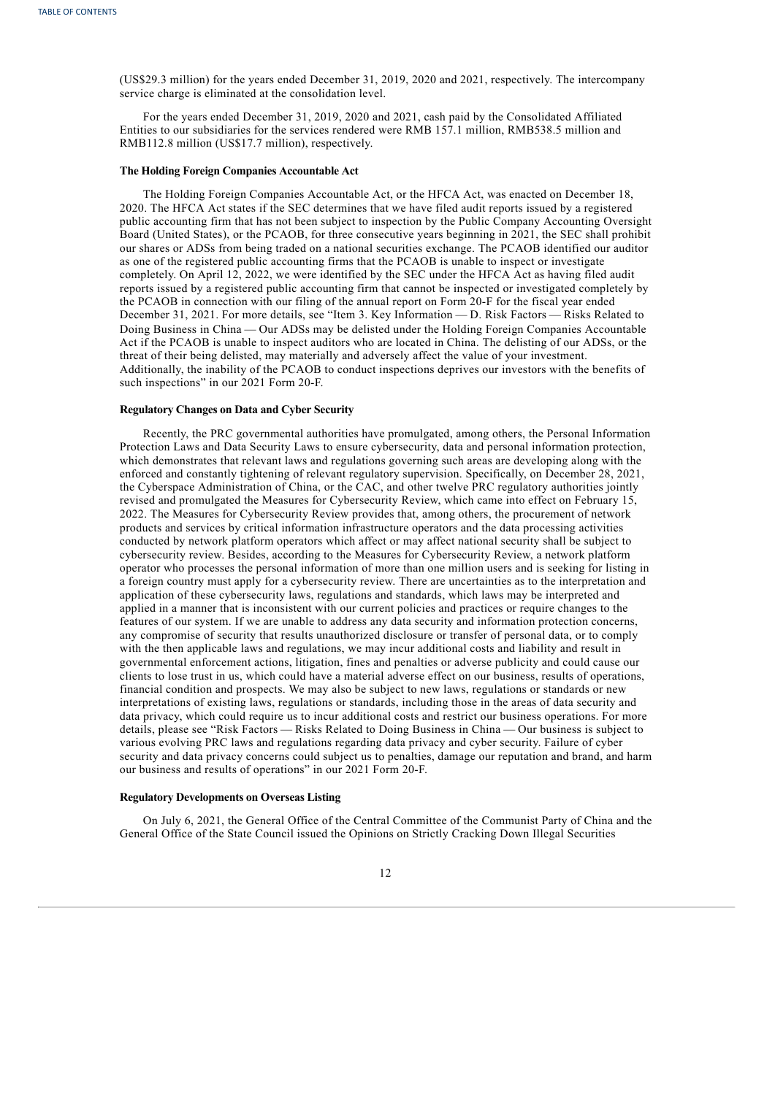(US\$29.3 million) for the years ended December 31, 2019, 2020 and 2021, respectively. The intercompany service charge is eliminated at the consolidation level.

For the years ended December 31, 2019, 2020 and 2021, cash paid by the Consolidated Affiliated Entities to our subsidiaries for the services rendered were RMB 157.1 million, RMB538.5 million and RMB112.8 million (US\$17.7 million), respectively.

#### **The Holding Foreign Companies Accountable Act**

The Holding Foreign Companies Accountable Act, or the HFCA Act, was enacted on December 18, 2020. The HFCA Act states if the SEC determines that we have filed audit reports issued by a registered public accounting firm that has not been subject to inspection by the Public Company Accounting Oversight Board (United States), or the PCAOB, for three consecutive years beginning in 2021, the SEC shall prohibit our shares or ADSs from being traded on a national securities exchange. The PCAOB identified our auditor as one of the registered public accounting firms that the PCAOB is unable to inspect or investigate completely. On April 12, 2022, we were identified by the SEC under the HFCA Act as having filed audit reports issued by a registered public accounting firm that cannot be inspected or investigated completely by the PCAOB in connection with our filing of the annual report on Form 20-F for the fiscal year ended December 31, 2021. For more details, see "Item 3. Key Information — D. Risk Factors — Risks Related to Doing Business in China — Our ADSs may be delisted under the Holding Foreign Companies Accountable Act if the PCAOB is unable to inspect auditors who are located in China. The delisting of our ADSs, or the threat of their being delisted, may materially and adversely affect the value of your investment. Additionally, the inability of the PCAOB to conduct inspections deprives our investors with the benefits of such inspections" in our 2021 Form 20-F.

## **Regulatory Changes on Data and Cyber Security**

Recently, the PRC governmental authorities have promulgated, among others, the Personal Information Protection Laws and Data Security Laws to ensure cybersecurity, data and personal information protection, which demonstrates that relevant laws and regulations governing such areas are developing along with the enforced and constantly tightening of relevant regulatory supervision. Specifically, on December 28, 2021, the Cyberspace Administration of China, or the CAC, and other twelve PRC regulatory authorities jointly revised and promulgated the Measures for Cybersecurity Review, which came into effect on February 15, 2022. The Measures for Cybersecurity Review provides that, among others, the procurement of network products and services by critical information infrastructure operators and the data processing activities conducted by network platform operators which affect or may affect national security shall be subject to cybersecurity review. Besides, according to the Measures for Cybersecurity Review, a network platform operator who processes the personal information of more than one million users and is seeking for listing in a foreign country must apply for a cybersecurity review. There are uncertainties as to the interpretation and application of these cybersecurity laws, regulations and standards, which laws may be interpreted and applied in a manner that is inconsistent with our current policies and practices or require changes to the features of our system. If we are unable to address any data security and information protection concerns, any compromise of security that results unauthorized disclosure or transfer of personal data, or to comply with the then applicable laws and regulations, we may incur additional costs and liability and result in governmental enforcement actions, litigation, fines and penalties or adverse publicity and could cause our clients to lose trust in us, which could have a material adverse effect on our business, results of operations, financial condition and prospects. We may also be subject to new laws, regulations or standards or new interpretations of existing laws, regulations or standards, including those in the areas of data security and data privacy, which could require us to incur additional costs and restrict our business operations. For more details, please see "Risk Factors — Risks Related to Doing Business in China — Our business is subject to various evolving PRC laws and regulations regarding data privacy and cyber security. Failure of cyber security and data privacy concerns could subject us to penalties, damage our reputation and brand, and harm our business and results of operations" in our 2021 Form 20-F.

## **Regulatory Developments on Overseas Listing**

On July 6, 2021, the General Office of the Central Committee of the Communist Party of China and the General Office of the State Council issued the Opinions on Strictly Cracking Down Illegal Securities

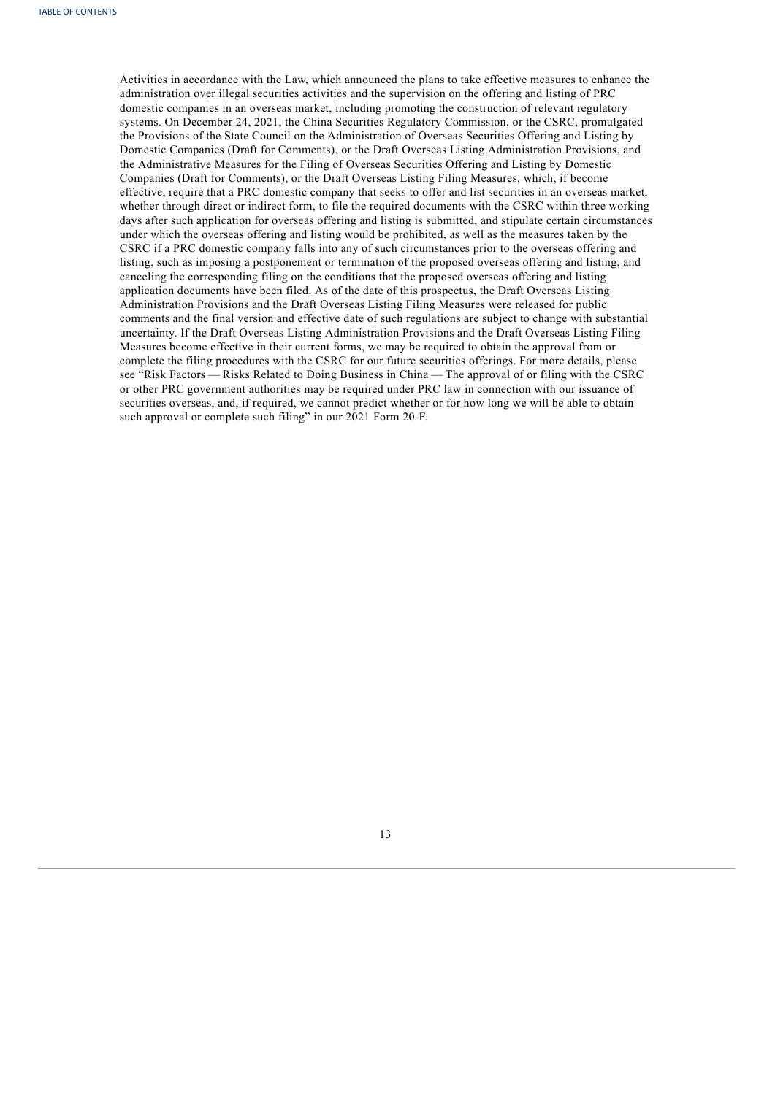<span id="page-17-0"></span>Activities in accordance with the Law, which announced the plans to take effective measures to enhance the administration over illegal securities activities and the supervision on the offering and listing of PRC domestic companies in an overseas market, including promoting the construction of relevant regulatory systems. On December 24, 2021, the China Securities Regulatory Commission, or the CSRC, promulgated the Provisions of the State Council on the Administration of Overseas Securities Offering and Listing by Domestic Companies (Draft for Comments), or the Draft Overseas Listing Administration Provisions, and the Administrative Measures for the Filing of Overseas Securities Offering and Listing by Domestic Companies (Draft for Comments), or the Draft Overseas Listing Filing Measures, which, if become effective, require that a PRC domestic company that seeks to offer and list securities in an overseas market, whether through direct or indirect form, to file the required documents with the CSRC within three working days after such application for overseas offering and listing is submitted, and stipulate certain circumstances under which the overseas offering and listing would be prohibited, as well as the measures taken by the CSRC if a PRC domestic company falls into any of such circumstances prior to the overseas offering and listing, such as imposing a postponement or termination of the proposed overseas offering and listing, and canceling the corresponding filing on the conditions that the proposed overseas offering and listing application documents have been filed. As of the date of this prospectus, the Draft Overseas Listing Administration Provisions and the Draft Overseas Listing Filing Measures were released for public comments and the final version and effective date of such regulations are subject to change with substantial uncertainty. If the Draft Overseas Listing Administration Provisions and the Draft Overseas Listing Filing Measures become effective in their current forms, we may be required to obtain the approval from or complete the filing procedures with the CSRC for our future securities offerings. For more details, please see "Risk Factors — Risks Related to Doing Business in China — The approval of or filing with the CSRC or other PRC government authorities may be required under PRC law in connection with our issuance of securities overseas, and, if required, we cannot predict whether or for how long we will be able to obtain such approval or complete such filing" in our 2021 Form 20-F.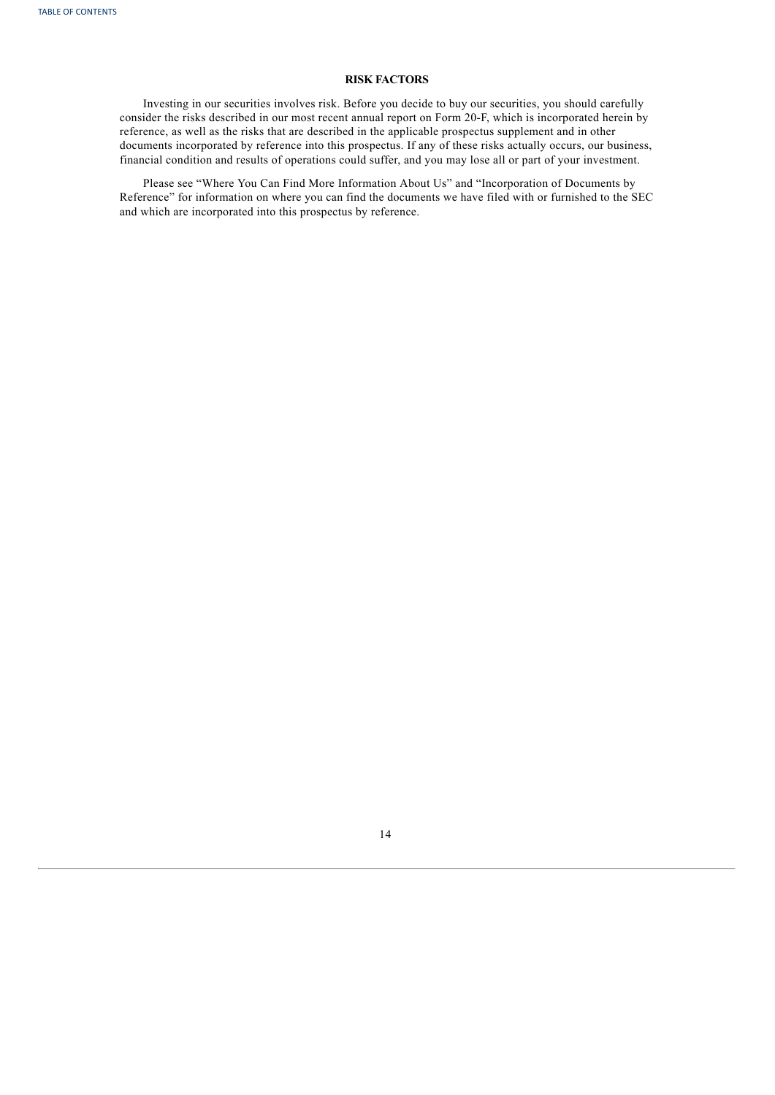## **RISK FACTORS**

Investing in our securities involves risk. Before you decide to buy our securities, you should carefully consider the risks described in our most recent annual report on Form 20-F, which is incorporated herein by reference, as well as the risks that are described in the applicable prospectus supplement and in other documents incorporated by reference into this prospectus. If any of these risks actually occurs, our business, financial condition and results of operations could suffer, and you may lose all or part of your investment.

<span id="page-18-0"></span>Please see "Where You Can Find More Information About Us" and "Incorporation of Documents by Reference" for information on where you can find the documents we have filed with or furnished to the SEC and which are incorporated into this prospectus by reference.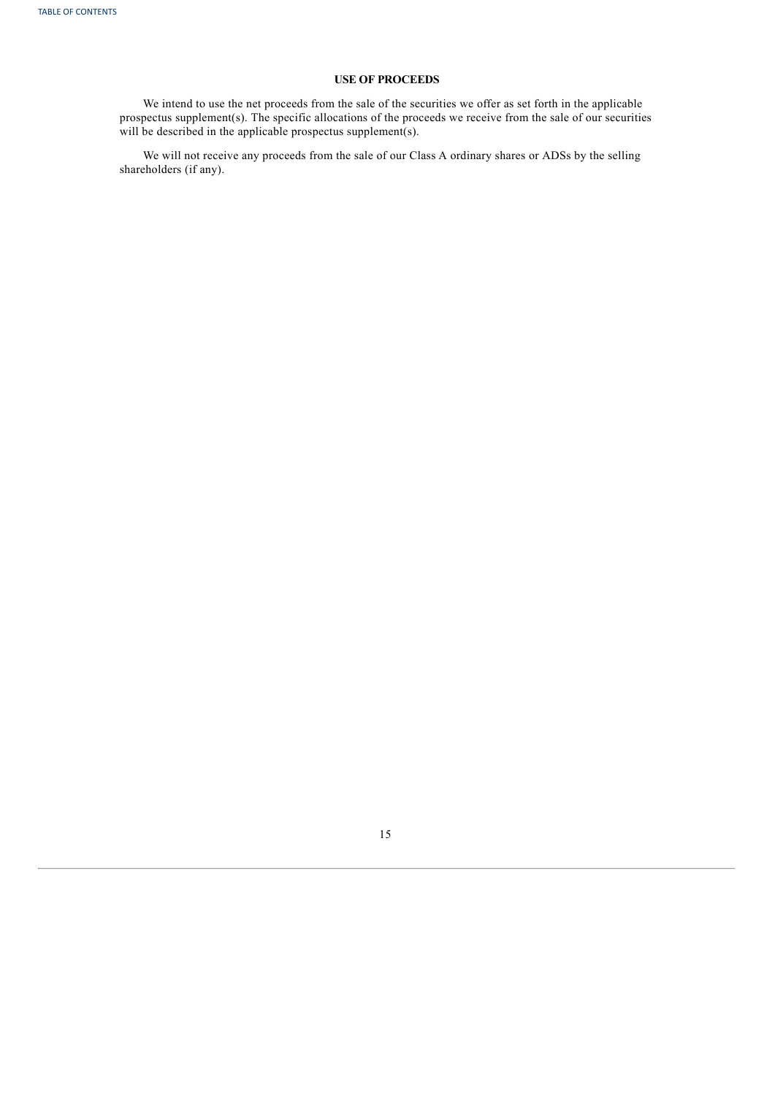## **USE OF PROCEEDS**

We intend to use the net proceeds from the sale of the securities we offer as set forth in the applicable prospectus supplement(s). The specific allocations of the proceeds we receive from the sale of our securities will be described in the applicable prospectus supplement(s).

<span id="page-19-0"></span>We will not receive any proceeds from the sale of our Class A ordinary shares or ADSs by the selling shareholders (if any).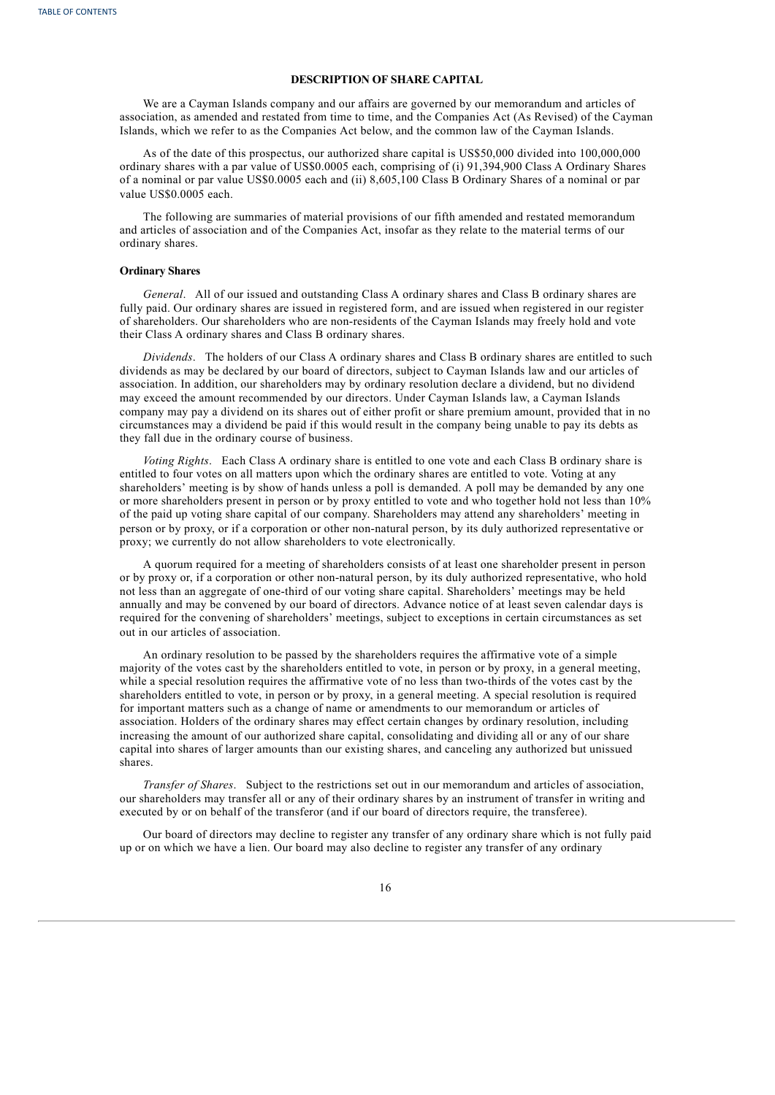### **DESCRIPTION OF SHARE CAPITAL**

We are a Cayman Islands company and our affairs are governed by our memorandum and articles of association, as amended and restated from time to time, and the Companies Act (As Revised) of the Cayman Islands, which we refer to as the Companies Act below, and the common law of the Cayman Islands.

As of the date of this prospectus, our authorized share capital is US\$50,000 divided into 100,000,000 ordinary shares with a par value of US\$0.0005 each, comprising of (i) 91,394,900 Class A Ordinary Shares of a nominal or par value US\$0.0005 each and (ii) 8,605,100 Class B Ordinary Shares of a nominal or par value US\$0.0005 each.

The following are summaries of material provisions of our fifth amended and restated memorandum and articles of association and of the Companies Act, insofar as they relate to the material terms of our ordinary shares.

## **Ordinary Shares**

*General*. All of our issued and outstanding Class A ordinary shares and Class B ordinary shares are fully paid. Our ordinary shares are issued in registered form, and are issued when registered in our register of shareholders. Our shareholders who are non-residents of the Cayman Islands may freely hold and vote their Class A ordinary shares and Class B ordinary shares.

*Dividends*. The holders of our Class A ordinary shares and Class B ordinary shares are entitled to such dividends as may be declared by our board of directors, subject to Cayman Islands law and our articles of association. In addition, our shareholders may by ordinary resolution declare a dividend, but no dividend may exceed the amount recommended by our directors. Under Cayman Islands law, a Cayman Islands company may pay a dividend on its shares out of either profit or share premium amount, provided that in no circumstances may a dividend be paid if this would result in the company being unable to pay its debts as they fall due in the ordinary course of business.

*Voting Rights*. Each Class A ordinary share is entitled to one vote and each Class B ordinary share is entitled to four votes on all matters upon which the ordinary shares are entitled to vote. Voting at any shareholders' meeting is by show of hands unless a poll is demanded. A poll may be demanded by any one or more shareholders present in person or by proxy entitled to vote and who together hold not less than 10% of the paid up voting share capital of our company. Shareholders may attend any shareholders' meeting in person or by proxy, or if a corporation or other non-natural person, by its duly authorized representative or proxy; we currently do not allow shareholders to vote electronically.

A quorum required for a meeting of shareholders consists of at least one shareholder present in person or by proxy or, if a corporation or other non-natural person, by its duly authorized representative, who hold not less than an aggregate of one-third of our voting share capital. Shareholders' meetings may be held annually and may be convened by our board of directors. Advance notice of at least seven calendar days is required for the convening of shareholders' meetings, subject to exceptions in certain circumstances as set out in our articles of association.

An ordinary resolution to be passed by the shareholders requires the affirmative vote of a simple majority of the votes cast by the shareholders entitled to vote, in person or by proxy, in a general meeting, while a special resolution requires the affirmative vote of no less than two-thirds of the votes cast by the shareholders entitled to vote, in person or by proxy, in a general meeting. A special resolution is required for important matters such as a change of name or amendments to our memorandum or articles of association. Holders of the ordinary shares may effect certain changes by ordinary resolution, including increasing the amount of our authorized share capital, consolidating and dividing all or any of our share capital into shares of larger amounts than our existing shares, and canceling any authorized but unissued shares.

*Transfer of Shares*. Subject to the restrictions set out in our memorandum and articles of association, our shareholders may transfer all or any of their ordinary shares by an instrument of transfer in writing and executed by or on behalf of the transferor (and if our board of directors require, the transferee).

Our board of directors may decline to register any transfer of any ordinary share which is not fully paid up or on which we have a lien. Our board may also decline to register any transfer of any ordinary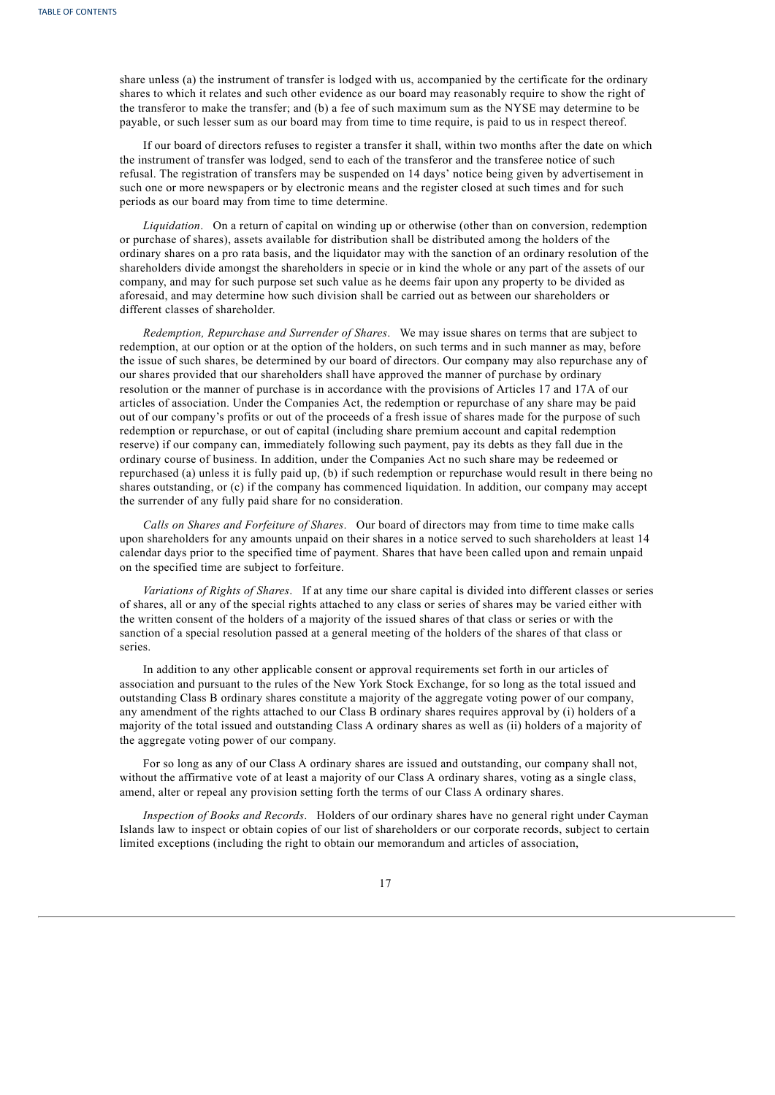share unless (a) the instrument of transfer is lodged with us, accompanied by the certificate for the ordinary shares to which it relates and such other evidence as our board may reasonably require to show the right of the transferor to make the transfer; and (b) a fee of such maximum sum as the NYSE may determine to be payable, or such lesser sum as our board may from time to time require, is paid to us in respect thereof.

If our board of directors refuses to register a transfer it shall, within two months after the date on which the instrument of transfer was lodged, send to each of the transferor and the transferee notice of such refusal. The registration of transfers may be suspended on 14 days' notice being given by advertisement in such one or more newspapers or by electronic means and the register closed at such times and for such periods as our board may from time to time determine.

*Liquidation*. On a return of capital on winding up or otherwise (other than on conversion, redemption or purchase of shares), assets available for distribution shall be distributed among the holders of the ordinary shares on a pro rata basis, and the liquidator may with the sanction of an ordinary resolution of the shareholders divide amongst the shareholders in specie or in kind the whole or any part of the assets of our company, and may for such purpose set such value as he deems fair upon any property to be divided as aforesaid, and may determine how such division shall be carried out as between our shareholders or different classes of shareholder.

*Redemption, Repurchase and Surrender of Shares*. We may issue shares on terms that are subject to redemption, at our option or at the option of the holders, on such terms and in such manner as may, before the issue of such shares, be determined by our board of directors. Our company may also repurchase any of our shares provided that our shareholders shall have approved the manner of purchase by ordinary resolution or the manner of purchase is in accordance with the provisions of Articles 17 and 17A of our articles of association. Under the Companies Act, the redemption or repurchase of any share may be paid out of our company's profits or out of the proceeds of a fresh issue of shares made for the purpose of such redemption or repurchase, or out of capital (including share premium account and capital redemption reserve) if our company can, immediately following such payment, pay its debts as they fall due in the ordinary course of business. In addition, under the Companies Act no such share may be redeemed or repurchased (a) unless it is fully paid up, (b) if such redemption or repurchase would result in there being no shares outstanding, or (c) if the company has commenced liquidation. In addition, our company may accept the surrender of any fully paid share for no consideration.

*Calls on Shares and Forfeiture of Shares*. Our board of directors may from time to time make calls upon shareholders for any amounts unpaid on their shares in a notice served to such shareholders at least 14 calendar days prior to the specified time of payment. Shares that have been called upon and remain unpaid on the specified time are subject to forfeiture.

*Variations of Rights of Shares*. If at any time our share capital is divided into different classes or series of shares, all or any of the special rights attached to any class or series of shares may be varied either with the written consent of the holders of a majority of the issued shares of that class or series or with the sanction of a special resolution passed at a general meeting of the holders of the shares of that class or series.

In addition to any other applicable consent or approval requirements set forth in our articles of association and pursuant to the rules of the New York Stock Exchange, for so long as the total issued and outstanding Class B ordinary shares constitute a majority of the aggregate voting power of our company, any amendment of the rights attached to our Class B ordinary shares requires approval by (i) holders of a majority of the total issued and outstanding Class A ordinary shares as well as (ii) holders of a majority of the aggregate voting power of our company.

For so long as any of our Class A ordinary shares are issued and outstanding, our company shall not, without the affirmative vote of at least a majority of our Class A ordinary shares, voting as a single class, amend, alter or repeal any provision setting forth the terms of our Class A ordinary shares.

*Inspection of Books and Records*. Holders of our ordinary shares have no general right under Cayman Islands law to inspect or obtain copies of our list of shareholders or our corporate records, subject to certain limited exceptions (including the right to obtain our memorandum and articles of association,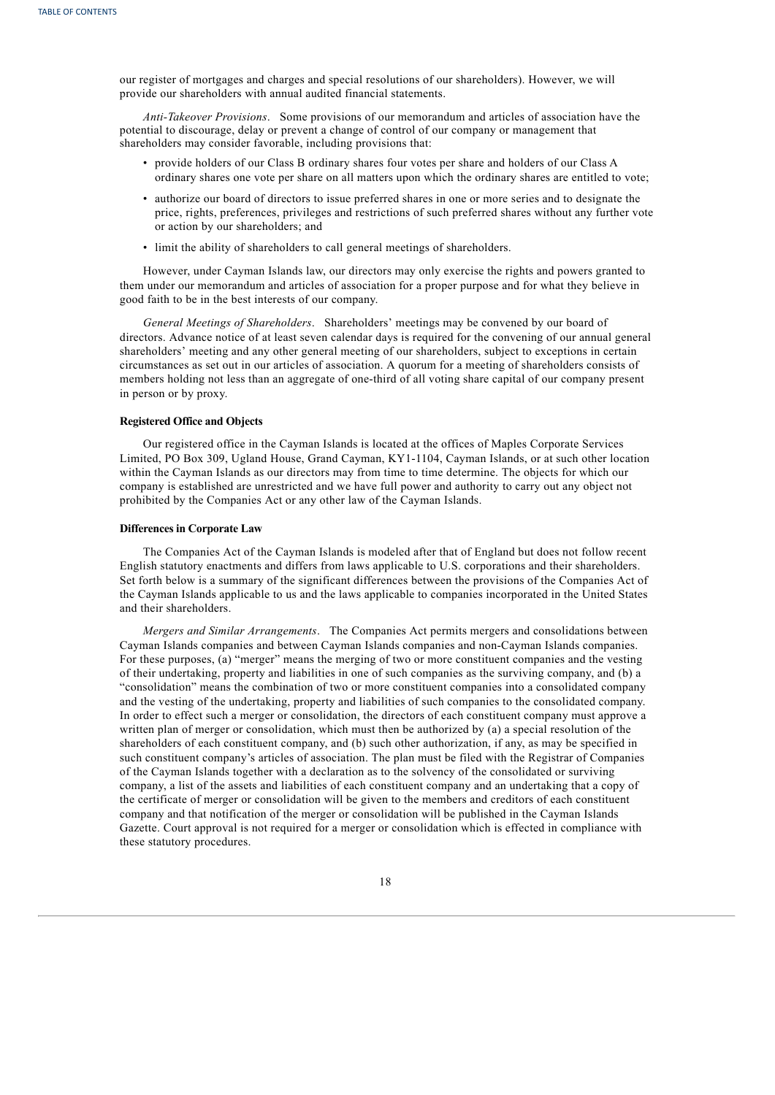our register of mortgages and charges and special resolutions of our shareholders). However, we will provide our shareholders with annual audited financial statements.

*Anti-Takeover Provisions*. Some provisions of our memorandum and articles of association have the potential to discourage, delay or prevent a change of control of our company or management that shareholders may consider favorable, including provisions that:

- provide holders of our Class B ordinary shares four votes per share and holders of our Class A ordinary shares one vote per share on all matters upon which the ordinary shares are entitled to vote;
- authorize our board of directors to issue preferred shares in one or more series and to designate the price, rights, preferences, privileges and restrictions of such preferred shares without any further vote or action by our shareholders; and
- limit the ability of shareholders to call general meetings of shareholders.

However, under Cayman Islands law, our directors may only exercise the rights and powers granted to them under our memorandum and articles of association for a proper purpose and for what they believe in good faith to be in the best interests of our company.

*General Meetings of Shareholders*. Shareholders' meetings may be convened by our board of directors. Advance notice of at least seven calendar days is required for the convening of our annual general shareholders' meeting and any other general meeting of our shareholders, subject to exceptions in certain circumstances as set out in our articles of association. A quorum for a meeting of shareholders consists of members holding not less than an aggregate of one-third of all voting share capital of our company present in person or by proxy.

## **Registered Office and Objects**

Our registered office in the Cayman Islands is located at the offices of Maples Corporate Services Limited, PO Box 309, Ugland House, Grand Cayman, KY1-1104, Cayman Islands, or at such other location within the Cayman Islands as our directors may from time to time determine. The objects for which our company is established are unrestricted and we have full power and authority to carry out any object not prohibited by the Companies Act or any other law of the Cayman Islands.

#### **Differences in Corporate Law**

The Companies Act of the Cayman Islands is modeled after that of England but does not follow recent English statutory enactments and differs from laws applicable to U.S. corporations and their shareholders. Set forth below is a summary of the significant differences between the provisions of the Companies Act of the Cayman Islands applicable to us and the laws applicable to companies incorporated in the United States and their shareholders.

*Mergers and Similar Arrangements*. The Companies Act permits mergers and consolidations between Cayman Islands companies and between Cayman Islands companies and non-Cayman Islands companies. For these purposes, (a) "merger" means the merging of two or more constituent companies and the vesting of their undertaking, property and liabilities in one of such companies as the surviving company, and (b) a "consolidation" means the combination of two or more constituent companies into a consolidated company and the vesting of the undertaking, property and liabilities of such companies to the consolidated company. In order to effect such a merger or consolidation, the directors of each constituent company must approve a written plan of merger or consolidation, which must then be authorized by (a) a special resolution of the shareholders of each constituent company, and (b) such other authorization, if any, as may be specified in such constituent company's articles of association. The plan must be filed with the Registrar of Companies of the Cayman Islands together with a declaration as to the solvency of the consolidated or surviving company, a list of the assets and liabilities of each constituent company and an undertaking that a copy of the certificate of merger or consolidation will be given to the members and creditors of each constituent company and that notification of the merger or consolidation will be published in the Cayman Islands Gazette. Court approval is not required for a merger or consolidation which is effected in compliance with these statutory procedures.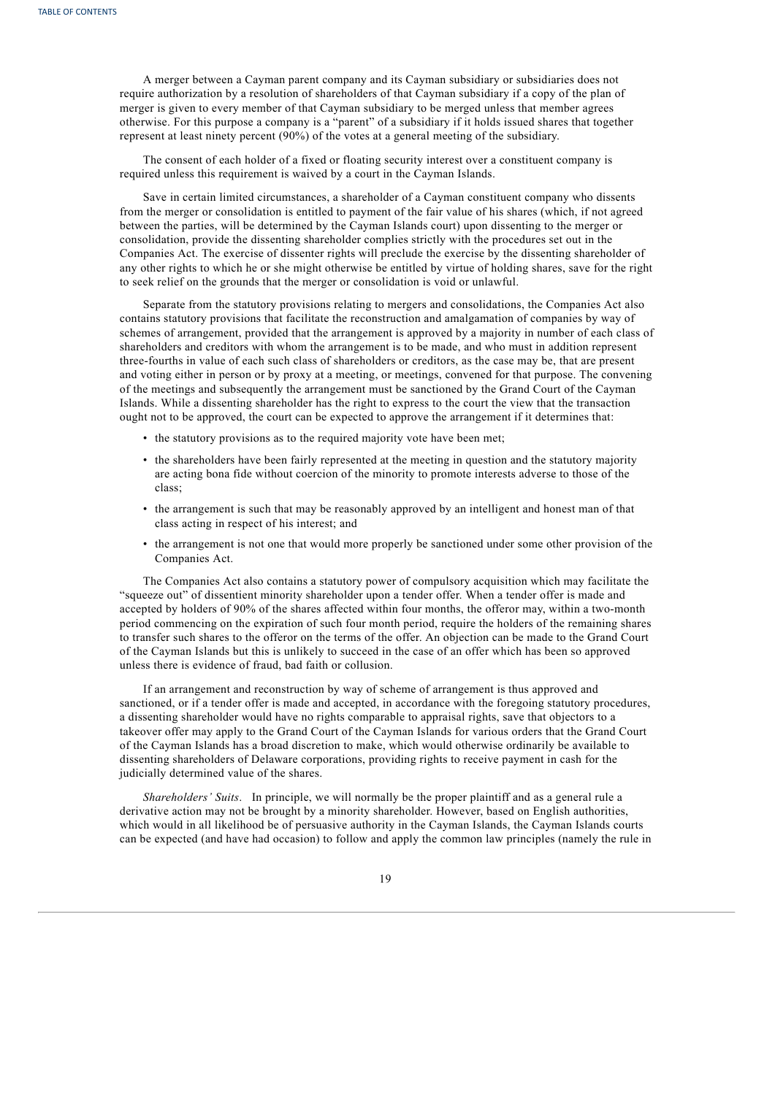A merger between a Cayman parent company and its Cayman subsidiary or subsidiaries does not require authorization by a resolution of shareholders of that Cayman subsidiary if a copy of the plan of merger is given to every member of that Cayman subsidiary to be merged unless that member agrees otherwise. For this purpose a company is a "parent" of a subsidiary if it holds issued shares that together represent at least ninety percent (90%) of the votes at a general meeting of the subsidiary.

The consent of each holder of a fixed or floating security interest over a constituent company is required unless this requirement is waived by a court in the Cayman Islands.

Save in certain limited circumstances, a shareholder of a Cayman constituent company who dissents from the merger or consolidation is entitled to payment of the fair value of his shares (which, if not agreed between the parties, will be determined by the Cayman Islands court) upon dissenting to the merger or consolidation, provide the dissenting shareholder complies strictly with the procedures set out in the Companies Act. The exercise of dissenter rights will preclude the exercise by the dissenting shareholder of any other rights to which he or she might otherwise be entitled by virtue of holding shares, save for the right to seek relief on the grounds that the merger or consolidation is void or unlawful.

Separate from the statutory provisions relating to mergers and consolidations, the Companies Act also contains statutory provisions that facilitate the reconstruction and amalgamation of companies by way of schemes of arrangement, provided that the arrangement is approved by a majority in number of each class of shareholders and creditors with whom the arrangement is to be made, and who must in addition represent three-fourths in value of each such class of shareholders or creditors, as the case may be, that are present and voting either in person or by proxy at a meeting, or meetings, convened for that purpose. The convening of the meetings and subsequently the arrangement must be sanctioned by the Grand Court of the Cayman Islands. While a dissenting shareholder has the right to express to the court the view that the transaction ought not to be approved, the court can be expected to approve the arrangement if it determines that:

- the statutory provisions as to the required majority vote have been met;
- the shareholders have been fairly represented at the meeting in question and the statutory majority are acting bona fide without coercion of the minority to promote interests adverse to those of the class;
- the arrangement is such that may be reasonably approved by an intelligent and honest man of that class acting in respect of his interest; and
- the arrangement is not one that would more properly be sanctioned under some other provision of the Companies Act.

The Companies Act also contains a statutory power of compulsory acquisition which may facilitate the "squeeze out" of dissentient minority shareholder upon a tender offer. When a tender offer is made and accepted by holders of 90% of the shares affected within four months, the offeror may, within a two-month period commencing on the expiration of such four month period, require the holders of the remaining shares to transfer such shares to the offeror on the terms of the offer. An objection can be made to the Grand Court of the Cayman Islands but this is unlikely to succeed in the case of an offer which has been so approved unless there is evidence of fraud, bad faith or collusion.

If an arrangement and reconstruction by way of scheme of arrangement is thus approved and sanctioned, or if a tender offer is made and accepted, in accordance with the foregoing statutory procedures, a dissenting shareholder would have no rights comparable to appraisal rights, save that objectors to a takeover offer may apply to the Grand Court of the Cayman Islands for various orders that the Grand Court of the Cayman Islands has a broad discretion to make, which would otherwise ordinarily be available to dissenting shareholders of Delaware corporations, providing rights to receive payment in cash for the judicially determined value of the shares.

*Shareholders' Suits*. In principle, we will normally be the proper plaintiff and as a general rule a derivative action may not be brought by a minority shareholder. However, based on English authorities, which would in all likelihood be of persuasive authority in the Cayman Islands, the Cayman Islands courts can be expected (and have had occasion) to follow and apply the common law principles (namely the rule in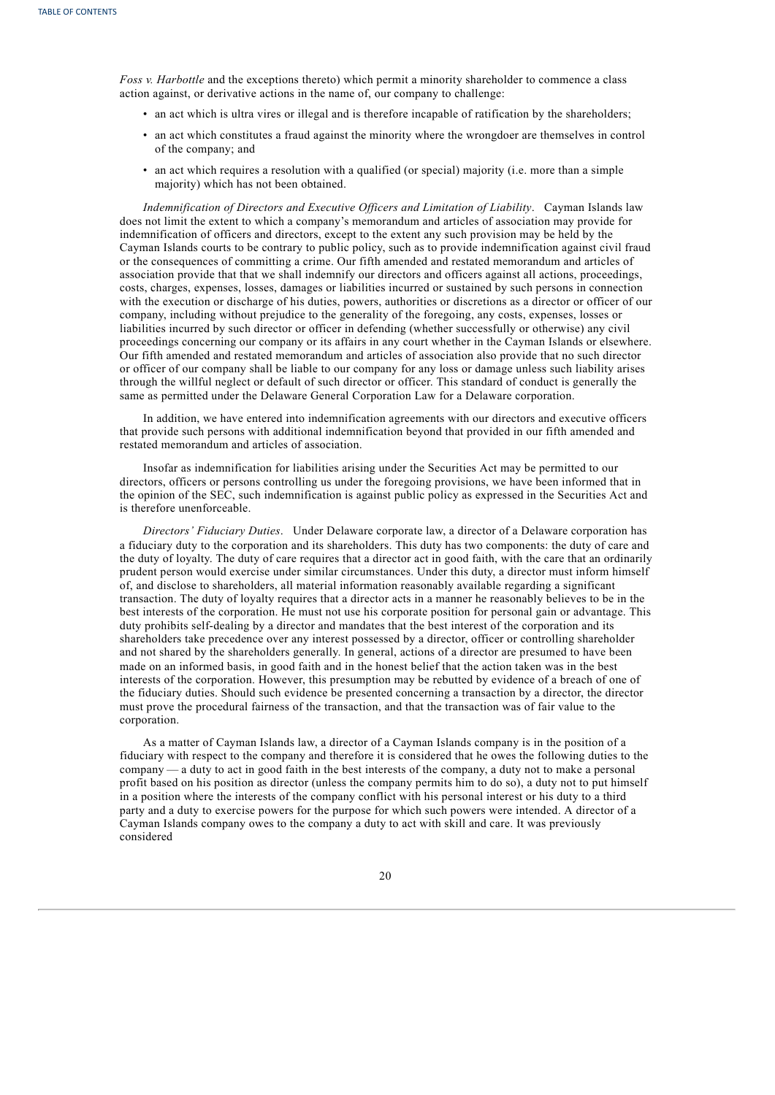*Foss v. Harbottle* and the exceptions thereto) which permit a minority shareholder to commence a class action against, or derivative actions in the name of, our company to challenge:

- an act which is ultra vires or illegal and is therefore incapable of ratification by the shareholders;
- an act which constitutes a fraud against the minority where the wrongdoer are themselves in control of the company; and
- an act which requires a resolution with a qualified (or special) majority (i.e. more than a simple majority) which has not been obtained.

*Indemnification of Directors and Executive Of icers and Limitation of Liability*. Cayman Islands law does not limit the extent to which a company's memorandum and articles of association may provide for indemnification of officers and directors, except to the extent any such provision may be held by the Cayman Islands courts to be contrary to public policy, such as to provide indemnification against civil fraud or the consequences of committing a crime. Our fifth amended and restated memorandum and articles of association provide that that we shall indemnify our directors and officers against all actions, proceedings, costs, charges, expenses, losses, damages or liabilities incurred or sustained by such persons in connection with the execution or discharge of his duties, powers, authorities or discretions as a director or officer of our company, including without prejudice to the generality of the foregoing, any costs, expenses, losses or liabilities incurred by such director or officer in defending (whether successfully or otherwise) any civil proceedings concerning our company or its affairs in any court whether in the Cayman Islands or elsewhere. Our fifth amended and restated memorandum and articles of association also provide that no such director or officer of our company shall be liable to our company for any loss or damage unless such liability arises through the willful neglect or default of such director or officer. This standard of conduct is generally the same as permitted under the Delaware General Corporation Law for a Delaware corporation.

In addition, we have entered into indemnification agreements with our directors and executive officers that provide such persons with additional indemnification beyond that provided in our fifth amended and restated memorandum and articles of association.

Insofar as indemnification for liabilities arising under the Securities Act may be permitted to our directors, officers or persons controlling us under the foregoing provisions, we have been informed that in the opinion of the SEC, such indemnification is against public policy as expressed in the Securities Act and is therefore unenforceable.

*Directors' Fiduciary Duties*. Under Delaware corporate law, a director of a Delaware corporation has a fiduciary duty to the corporation and its shareholders. This duty has two components: the duty of care and the duty of loyalty. The duty of care requires that a director act in good faith, with the care that an ordinarily prudent person would exercise under similar circumstances. Under this duty, a director must inform himself of, and disclose to shareholders, all material information reasonably available regarding a significant transaction. The duty of loyalty requires that a director acts in a manner he reasonably believes to be in the best interests of the corporation. He must not use his corporate position for personal gain or advantage. This duty prohibits self-dealing by a director and mandates that the best interest of the corporation and its shareholders take precedence over any interest possessed by a director, officer or controlling shareholder and not shared by the shareholders generally. In general, actions of a director are presumed to have been made on an informed basis, in good faith and in the honest belief that the action taken was in the best interests of the corporation. However, this presumption may be rebutted by evidence of a breach of one of the fiduciary duties. Should such evidence be presented concerning a transaction by a director, the director must prove the procedural fairness of the transaction, and that the transaction was of fair value to the corporation.

As a matter of Cayman Islands law, a director of a Cayman Islands company is in the position of a fiduciary with respect to the company and therefore it is considered that he owes the following duties to the company — a duty to act in good faith in the best interests of the company, a duty not to make a personal profit based on his position as director (unless the company permits him to do so), a duty not to put himself in a position where the interests of the company conflict with his personal interest or his duty to a third party and a duty to exercise powers for the purpose for which such powers were intended. A director of a Cayman Islands company owes to the company a duty to act with skill and care. It was previously considered

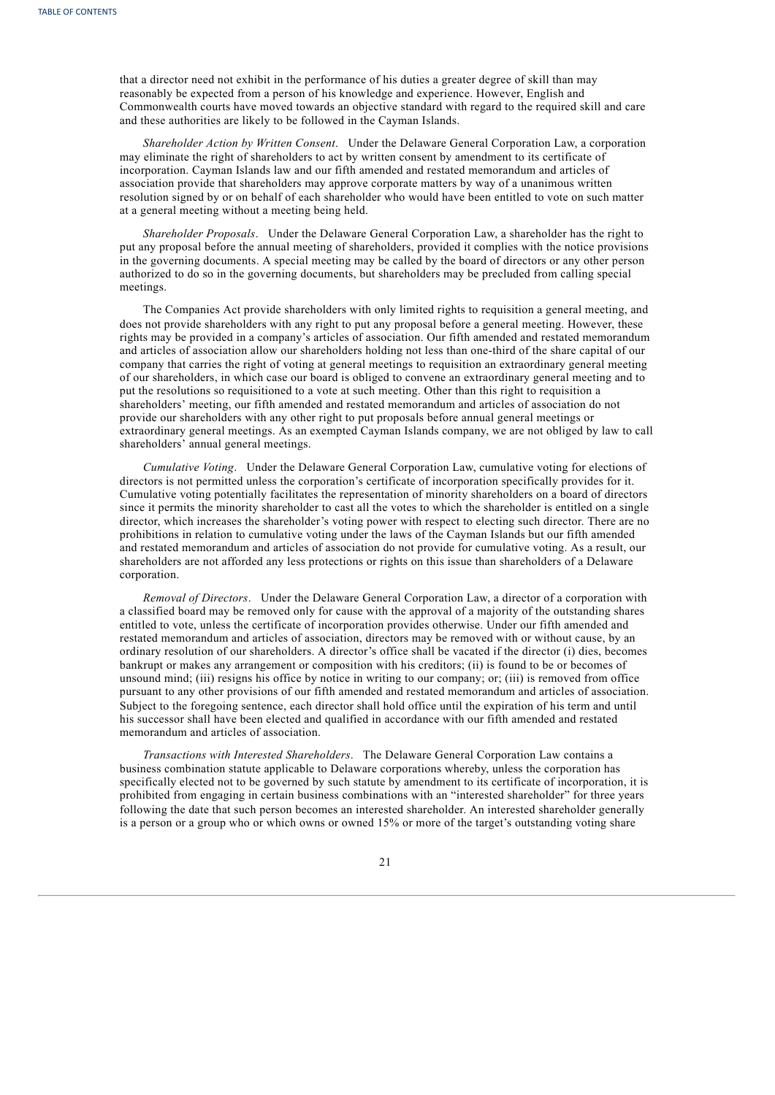that a director need not exhibit in the performance of his duties a greater degree of skill than may reasonably be expected from a person of his knowledge and experience. However, English and Commonwealth courts have moved towards an objective standard with regard to the required skill and care and these authorities are likely to be followed in the Cayman Islands.

*Shareholder Action by Written Consent*. Under the Delaware General Corporation Law, a corporation may eliminate the right of shareholders to act by written consent by amendment to its certificate of incorporation. Cayman Islands law and our fifth amended and restated memorandum and articles of association provide that shareholders may approve corporate matters by way of a unanimous written resolution signed by or on behalf of each shareholder who would have been entitled to vote on such matter at a general meeting without a meeting being held.

*Shareholder Proposals*. Under the Delaware General Corporation Law, a shareholder has the right to put any proposal before the annual meeting of shareholders, provided it complies with the notice provisions in the governing documents. A special meeting may be called by the board of directors or any other person authorized to do so in the governing documents, but shareholders may be precluded from calling special meetings.

The Companies Act provide shareholders with only limited rights to requisition a general meeting, and does not provide shareholders with any right to put any proposal before a general meeting. However, these rights may be provided in a company's articles of association. Our fifth amended and restated memorandum and articles of association allow our shareholders holding not less than one-third of the share capital of our company that carries the right of voting at general meetings to requisition an extraordinary general meeting of our shareholders, in which case our board is obliged to convene an extraordinary general meeting and to put the resolutions so requisitioned to a vote at such meeting. Other than this right to requisition a shareholders' meeting, our fifth amended and restated memorandum and articles of association do not provide our shareholders with any other right to put proposals before annual general meetings or extraordinary general meetings. As an exempted Cayman Islands company, we are not obliged by law to call shareholders' annual general meetings.

*Cumulative Voting*. Under the Delaware General Corporation Law, cumulative voting for elections of directors is not permitted unless the corporation's certificate of incorporation specifically provides for it. Cumulative voting potentially facilitates the representation of minority shareholders on a board of directors since it permits the minority shareholder to cast all the votes to which the shareholder is entitled on a single director, which increases the shareholder's voting power with respect to electing such director. There are no prohibitions in relation to cumulative voting under the laws of the Cayman Islands but our fifth amended and restated memorandum and articles of association do not provide for cumulative voting. As a result, our shareholders are not afforded any less protections or rights on this issue than shareholders of a Delaware corporation.

*Removal of Directors*. Under the Delaware General Corporation Law, a director of a corporation with a classified board may be removed only for cause with the approval of a majority of the outstanding shares entitled to vote, unless the certificate of incorporation provides otherwise. Under our fifth amended and restated memorandum and articles of association, directors may be removed with or without cause, by an ordinary resolution of our shareholders. A director's office shall be vacated if the director (i) dies, becomes bankrupt or makes any arrangement or composition with his creditors; (ii) is found to be or becomes of unsound mind; (iii) resigns his office by notice in writing to our company; or; (iii) is removed from office pursuant to any other provisions of our fifth amended and restated memorandum and articles of association. Subject to the foregoing sentence, each director shall hold office until the expiration of his term and until his successor shall have been elected and qualified in accordance with our fifth amended and restated memorandum and articles of association.

*Transactions with Interested Shareholders*. The Delaware General Corporation Law contains a business combination statute applicable to Delaware corporations whereby, unless the corporation has specifically elected not to be governed by such statute by amendment to its certificate of incorporation, it is prohibited from engaging in certain business combinations with an "interested shareholder" for three years following the date that such person becomes an interested shareholder. An interested shareholder generally is a person or a group who or which owns or owned 15% or more of the target's outstanding voting share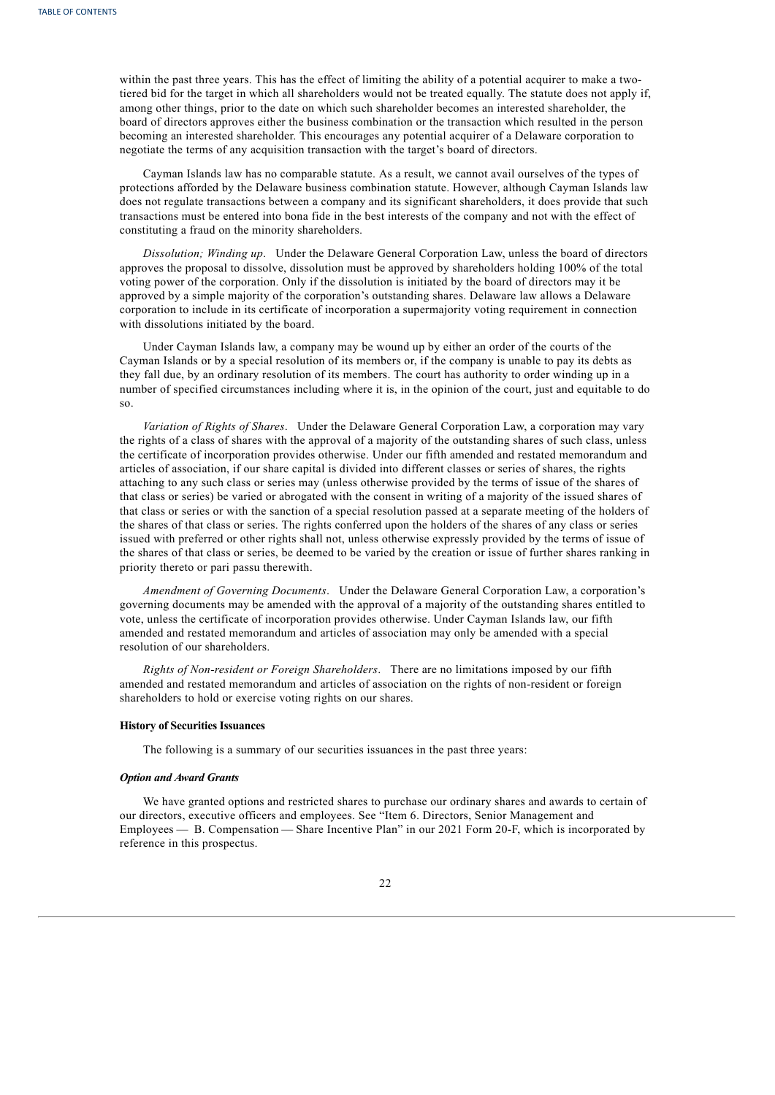within the past three years. This has the effect of limiting the ability of a potential acquirer to make a twotiered bid for the target in which all shareholders would not be treated equally. The statute does not apply if, among other things, prior to the date on which such shareholder becomes an interested shareholder, the board of directors approves either the business combination or the transaction which resulted in the person becoming an interested shareholder. This encourages any potential acquirer of a Delaware corporation to negotiate the terms of any acquisition transaction with the target's board of directors.

Cayman Islands law has no comparable statute. As a result, we cannot avail ourselves of the types of protections afforded by the Delaware business combination statute. However, although Cayman Islands law does not regulate transactions between a company and its significant shareholders, it does provide that such transactions must be entered into bona fide in the best interests of the company and not with the effect of constituting a fraud on the minority shareholders.

*Dissolution; Winding up*. Under the Delaware General Corporation Law, unless the board of directors approves the proposal to dissolve, dissolution must be approved by shareholders holding 100% of the total voting power of the corporation. Only if the dissolution is initiated by the board of directors may it be approved by a simple majority of the corporation's outstanding shares. Delaware law allows a Delaware corporation to include in its certificate of incorporation a supermajority voting requirement in connection with dissolutions initiated by the board.

Under Cayman Islands law, a company may be wound up by either an order of the courts of the Cayman Islands or by a special resolution of its members or, if the company is unable to pay its debts as they fall due, by an ordinary resolution of its members. The court has authority to order winding up in a number of specified circumstances including where it is, in the opinion of the court, just and equitable to do so.

*Variation of Rights of Shares*. Under the Delaware General Corporation Law, a corporation may vary the rights of a class of shares with the approval of a majority of the outstanding shares of such class, unless the certificate of incorporation provides otherwise. Under our fifth amended and restated memorandum and articles of association, if our share capital is divided into different classes or series of shares, the rights attaching to any such class or series may (unless otherwise provided by the terms of issue of the shares of that class or series) be varied or abrogated with the consent in writing of a majority of the issued shares of that class or series or with the sanction of a special resolution passed at a separate meeting of the holders of the shares of that class or series. The rights conferred upon the holders of the shares of any class or series issued with preferred or other rights shall not, unless otherwise expressly provided by the terms of issue of the shares of that class or series, be deemed to be varied by the creation or issue of further shares ranking in priority thereto or pari passu therewith.

*Amendment of Governing Documents*. Under the Delaware General Corporation Law, a corporation's governing documents may be amended with the approval of a majority of the outstanding shares entitled to vote, unless the certificate of incorporation provides otherwise. Under Cayman Islands law, our fifth amended and restated memorandum and articles of association may only be amended with a special resolution of our shareholders.

*Rights of Non-resident or Foreign Shareholders*. There are no limitations imposed by our fifth amended and restated memorandum and articles of association on the rights of non-resident or foreign shareholders to hold or exercise voting rights on our shares.

#### **History of Securities Issuances**

The following is a summary of our securities issuances in the past three years:

#### *Option and Award Grants*

We have granted options and restricted shares to purchase our ordinary shares and awards to certain of our directors, executive officers and employees. See "Item 6. Directors, Senior Management and Employees — B. Compensation — Share Incentive Plan" in our 2021 Form 20-F, which is incorporated by reference in this prospectus.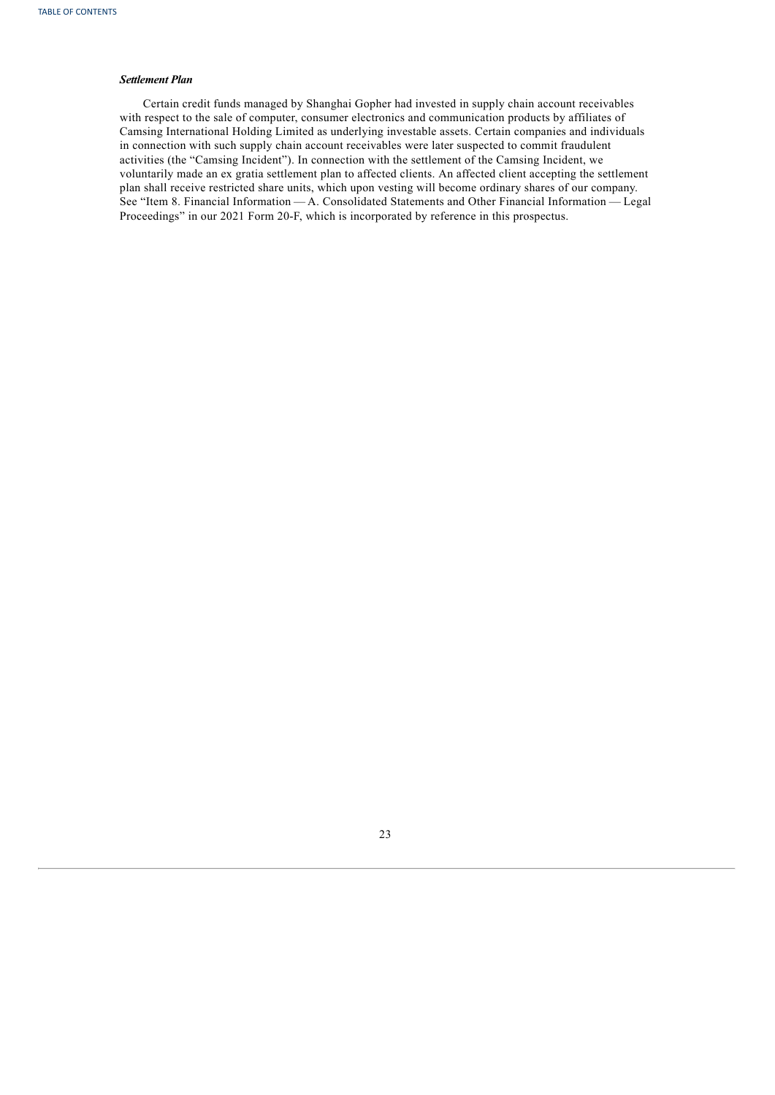## *Settlement Plan*

<span id="page-27-0"></span>Certain credit funds managed by Shanghai Gopher had invested in supply chain account receivables with respect to the sale of computer, consumer electronics and communication products by affiliates of Camsing International Holding Limited as underlying investable assets. Certain companies and individuals in connection with such supply chain account receivables were later suspected to commit fraudulent activities (the "Camsing Incident"). In connection with the settlement of the Camsing Incident, we voluntarily made an ex gratia settlement plan to affected clients. An affected client accepting the settlement plan shall receive restricted share units, which upon vesting will become ordinary shares of our company. See "Item 8. Financial Information — A. Consolidated Statements and Other Financial Information — Legal Proceedings" in our 2021 Form 20-F, which is incorporated by reference in this prospectus.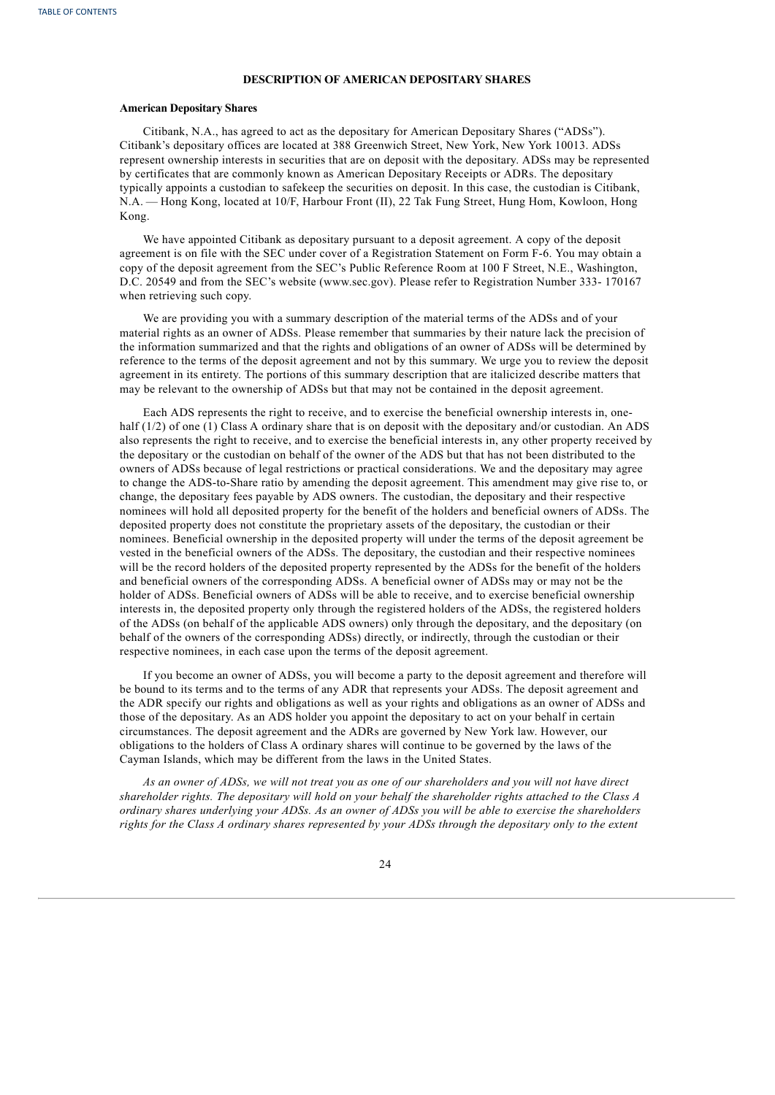## **DESCRIPTION OF AMERICAN DEPOSITARY SHARES**

#### **American Depositary Shares**

Citibank, N.A., has agreed to act as the depositary for American Depositary Shares ("ADSs"). Citibank's depositary offices are located at 388 Greenwich Street, New York, New York 10013. ADSs represent ownership interests in securities that are on deposit with the depositary. ADSs may be represented by certificates that are commonly known as American Depositary Receipts or ADRs. The depositary typically appoints a custodian to safekeep the securities on deposit. In this case, the custodian is Citibank, N.A. — Hong Kong, located at 10/F, Harbour Front (II), 22 Tak Fung Street, Hung Hom, Kowloon, Hong Kong.

We have appointed Citibank as depositary pursuant to a deposit agreement. A copy of the deposit agreement is on file with the SEC under cover of a Registration Statement on Form F-6. You may obtain a copy of the deposit agreement from the SEC's Public Reference Room at 100 F Street, N.E., Washington, D.C. 20549 and from the SEC's website (www.sec.gov). Please refer to Registration Number 333- 170167 when retrieving such copy.

We are providing you with a summary description of the material terms of the ADSs and of your material rights as an owner of ADSs. Please remember that summaries by their nature lack the precision of the information summarized and that the rights and obligations of an owner of ADSs will be determined by reference to the terms of the deposit agreement and not by this summary. We urge you to review the deposit agreement in its entirety. The portions of this summary description that are italicized describe matters that may be relevant to the ownership of ADSs but that may not be contained in the deposit agreement.

Each ADS represents the right to receive, and to exercise the beneficial ownership interests in, onehalf (1/2) of one (1) Class A ordinary share that is on deposit with the depositary and/or custodian. An ADS also represents the right to receive, and to exercise the beneficial interests in, any other property received by the depositary or the custodian on behalf of the owner of the ADS but that has not been distributed to the owners of ADSs because of legal restrictions or practical considerations. We and the depositary may agree to change the ADS-to-Share ratio by amending the deposit agreement. This amendment may give rise to, or change, the depositary fees payable by ADS owners. The custodian, the depositary and their respective nominees will hold all deposited property for the benefit of the holders and beneficial owners of ADSs. The deposited property does not constitute the proprietary assets of the depositary, the custodian or their nominees. Beneficial ownership in the deposited property will under the terms of the deposit agreement be vested in the beneficial owners of the ADSs. The depositary, the custodian and their respective nominees will be the record holders of the deposited property represented by the ADSs for the benefit of the holders and beneficial owners of the corresponding ADSs. A beneficial owner of ADSs may or may not be the holder of ADSs. Beneficial owners of ADSs will be able to receive, and to exercise beneficial ownership interests in, the deposited property only through the registered holders of the ADSs, the registered holders of the ADSs (on behalf of the applicable ADS owners) only through the depositary, and the depositary (on behalf of the owners of the corresponding ADSs) directly, or indirectly, through the custodian or their respective nominees, in each case upon the terms of the deposit agreement.

If you become an owner of ADSs, you will become a party to the deposit agreement and therefore will be bound to its terms and to the terms of any ADR that represents your ADSs. The deposit agreement and the ADR specify our rights and obligations as well as your rights and obligations as an owner of ADSs and those of the depositary. As an ADS holder you appoint the depositary to act on your behalf in certain circumstances. The deposit agreement and the ADRs are governed by New York law. However, our obligations to the holders of Class A ordinary shares will continue to be governed by the laws of the Cayman Islands, which may be different from the laws in the United States.

As an owner of ADSs, we will not treat you as one of our shareholders and you will not have direct shareholder rights. The depositary will hold on your behalf the shareholder rights attached to the Class A ordinary shares underlying your ADSs. As an owner of ADSs you will be able to exercise the shareholders rights for the Class A ordinary shares represented by your ADSs through the depositary only to the extent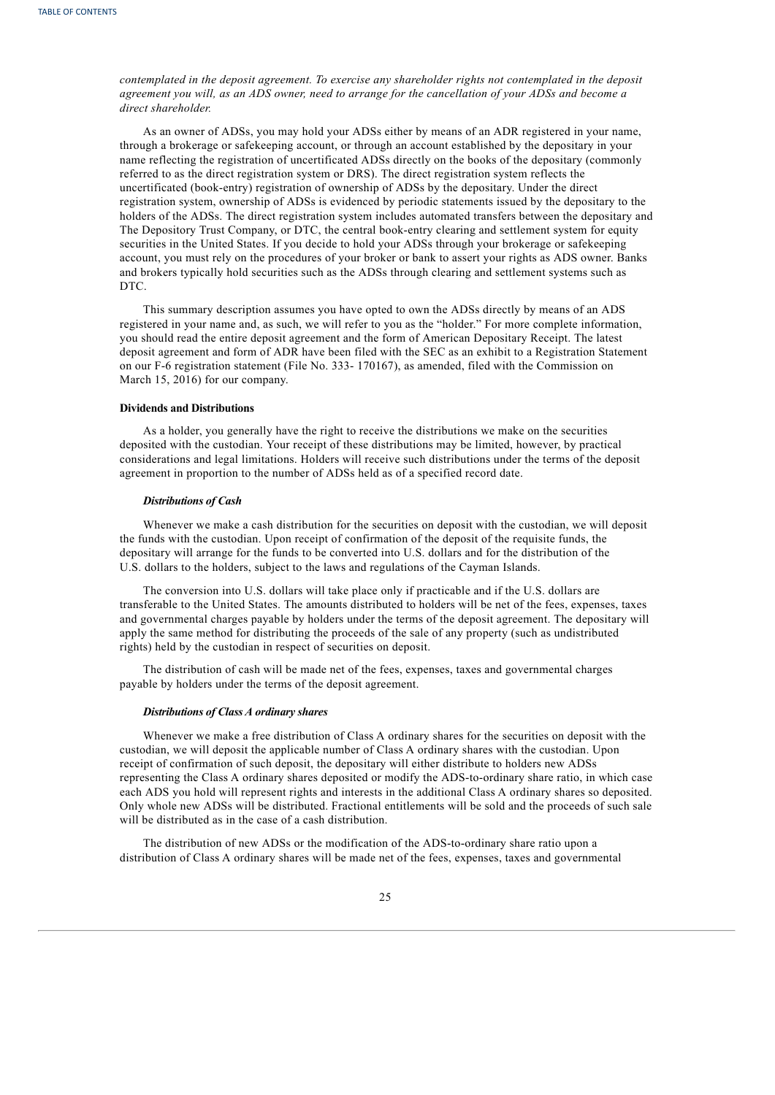*contemplated in the deposit agreement. To exercise any shareholder rights not contemplated in the deposit* agreement you will, as an ADS owner, need to arrange for the cancellation of your ADSs and become a *direct shareholder.*

As an owner of ADSs, you may hold your ADSs either by means of an ADR registered in your name, through a brokerage or safekeeping account, or through an account established by the depositary in your name reflecting the registration of uncertificated ADSs directly on the books of the depositary (commonly referred to as the direct registration system or DRS). The direct registration system reflects the uncertificated (book-entry) registration of ownership of ADSs by the depositary. Under the direct registration system, ownership of ADSs is evidenced by periodic statements issued by the depositary to the holders of the ADSs. The direct registration system includes automated transfers between the depositary and The Depository Trust Company, or DTC, the central book-entry clearing and settlement system for equity securities in the United States. If you decide to hold your ADSs through your brokerage or safekeeping account, you must rely on the procedures of your broker or bank to assert your rights as ADS owner. Banks and brokers typically hold securities such as the ADSs through clearing and settlement systems such as DTC.

This summary description assumes you have opted to own the ADSs directly by means of an ADS registered in your name and, as such, we will refer to you as the "holder." For more complete information, you should read the entire deposit agreement and the form of American Depositary Receipt. The latest deposit agreement and form of ADR have been filed with the SEC as an exhibit to a Registration Statement on our F-6 registration statement (File No. 333- 170167), as amended, filed with the Commission on March 15, 2016) for our company.

## **Dividends and Distributions**

As a holder, you generally have the right to receive the distributions we make on the securities deposited with the custodian. Your receipt of these distributions may be limited, however, by practical considerations and legal limitations. Holders will receive such distributions under the terms of the deposit agreement in proportion to the number of ADSs held as of a specified record date.

#### *Distributions of Cash*

Whenever we make a cash distribution for the securities on deposit with the custodian, we will deposit the funds with the custodian. Upon receipt of confirmation of the deposit of the requisite funds, the depositary will arrange for the funds to be converted into U.S. dollars and for the distribution of the U.S. dollars to the holders, subject to the laws and regulations of the Cayman Islands.

The conversion into U.S. dollars will take place only if practicable and if the U.S. dollars are transferable to the United States. The amounts distributed to holders will be net of the fees, expenses, taxes and governmental charges payable by holders under the terms of the deposit agreement. The depositary will apply the same method for distributing the proceeds of the sale of any property (such as undistributed rights) held by the custodian in respect of securities on deposit.

The distribution of cash will be made net of the fees, expenses, taxes and governmental charges payable by holders under the terms of the deposit agreement.

## *Distributions of Class A ordinary shares*

Whenever we make a free distribution of Class A ordinary shares for the securities on deposit with the custodian, we will deposit the applicable number of Class A ordinary shares with the custodian. Upon receipt of confirmation of such deposit, the depositary will either distribute to holders new ADSs representing the Class A ordinary shares deposited or modify the ADS-to-ordinary share ratio, in which case each ADS you hold will represent rights and interests in the additional Class A ordinary shares so deposited. Only whole new ADSs will be distributed. Fractional entitlements will be sold and the proceeds of such sale will be distributed as in the case of a cash distribution.

The distribution of new ADSs or the modification of the ADS-to-ordinary share ratio upon a distribution of Class A ordinary shares will be made net of the fees, expenses, taxes and governmental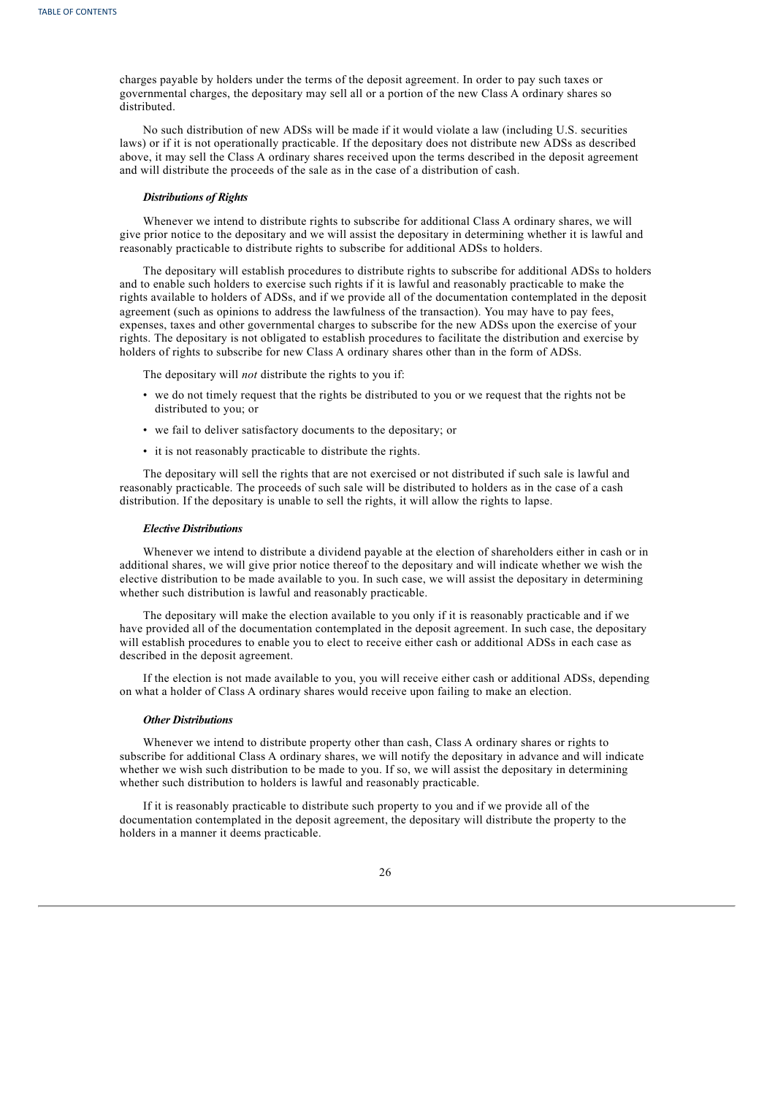charges payable by holders under the terms of the deposit agreement. In order to pay such taxes or governmental charges, the depositary may sell all or a portion of the new Class A ordinary shares so distributed.

No such distribution of new ADSs will be made if it would violate a law (including U.S. securities laws) or if it is not operationally practicable. If the depositary does not distribute new ADSs as described above, it may sell the Class A ordinary shares received upon the terms described in the deposit agreement and will distribute the proceeds of the sale as in the case of a distribution of cash.

## *Distributions of Rights*

Whenever we intend to distribute rights to subscribe for additional Class A ordinary shares, we will give prior notice to the depositary and we will assist the depositary in determining whether it is lawful and reasonably practicable to distribute rights to subscribe for additional ADSs to holders.

The depositary will establish procedures to distribute rights to subscribe for additional ADSs to holders and to enable such holders to exercise such rights if it is lawful and reasonably practicable to make the rights available to holders of ADSs, and if we provide all of the documentation contemplated in the deposit agreement (such as opinions to address the lawfulness of the transaction). You may have to pay fees, expenses, taxes and other governmental charges to subscribe for the new ADSs upon the exercise of your rights. The depositary is not obligated to establish procedures to facilitate the distribution and exercise by holders of rights to subscribe for new Class A ordinary shares other than in the form of ADSs.

The depositary will *not* distribute the rights to you if:

- we do not timely request that the rights be distributed to you or we request that the rights not be distributed to you; or
- we fail to deliver satisfactory documents to the depositary; or
- it is not reasonably practicable to distribute the rights.

The depositary will sell the rights that are not exercised or not distributed if such sale is lawful and reasonably practicable. The proceeds of such sale will be distributed to holders as in the case of a cash distribution. If the depositary is unable to sell the rights, it will allow the rights to lapse.

#### *Elective Distributions*

Whenever we intend to distribute a dividend payable at the election of shareholders either in cash or in additional shares, we will give prior notice thereof to the depositary and will indicate whether we wish the elective distribution to be made available to you. In such case, we will assist the depositary in determining whether such distribution is lawful and reasonably practicable.

The depositary will make the election available to you only if it is reasonably practicable and if we have provided all of the documentation contemplated in the deposit agreement. In such case, the depositary will establish procedures to enable you to elect to receive either cash or additional ADSs in each case as described in the deposit agreement.

If the election is not made available to you, you will receive either cash or additional ADSs, depending on what a holder of Class A ordinary shares would receive upon failing to make an election.

## *Other Distributions*

Whenever we intend to distribute property other than cash, Class A ordinary shares or rights to subscribe for additional Class A ordinary shares, we will notify the depositary in advance and will indicate whether we wish such distribution to be made to you. If so, we will assist the depositary in determining whether such distribution to holders is lawful and reasonably practicable.

If it is reasonably practicable to distribute such property to you and if we provide all of the documentation contemplated in the deposit agreement, the depositary will distribute the property to the holders in a manner it deems practicable.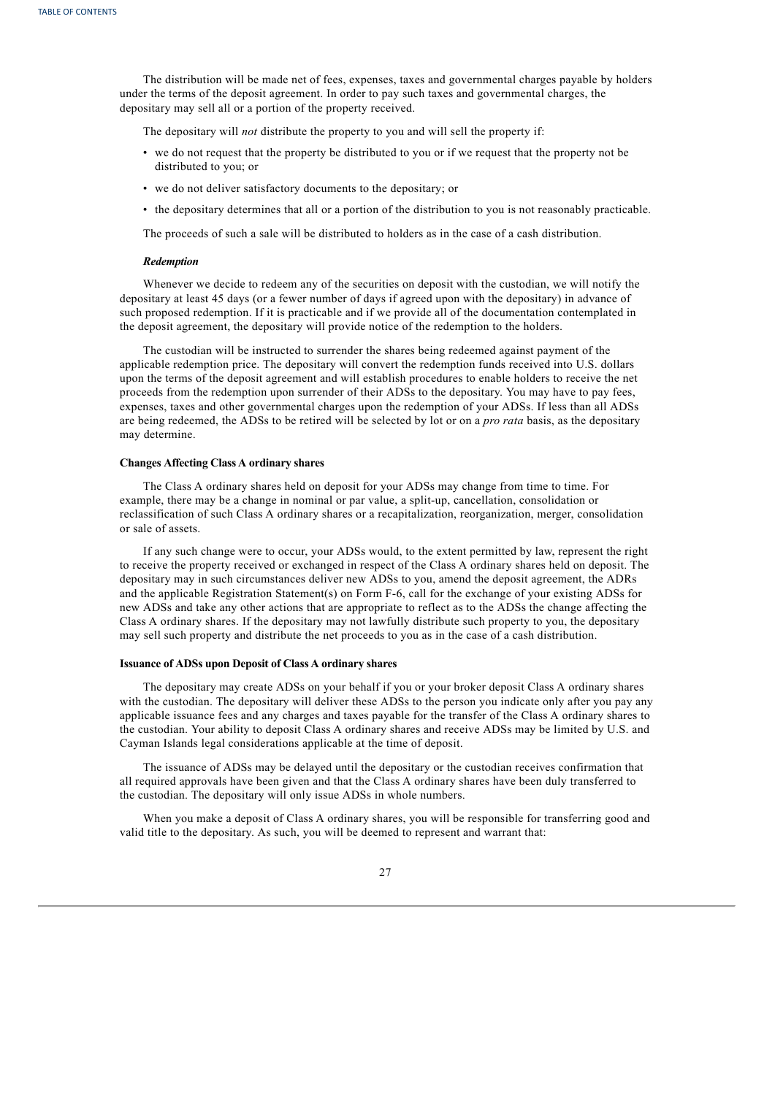The distribution will be made net of fees, expenses, taxes and governmental charges payable by holders under the terms of the deposit agreement. In order to pay such taxes and governmental charges, the depositary may sell all or a portion of the property received.

The depositary will *not* distribute the property to you and will sell the property if:

- we do not request that the property be distributed to you or if we request that the property not be distributed to you; or
- we do not deliver satisfactory documents to the depositary; or
- the depositary determines that all or a portion of the distribution to you is not reasonably practicable.

The proceeds of such a sale will be distributed to holders as in the case of a cash distribution.

#### *Redemption*

Whenever we decide to redeem any of the securities on deposit with the custodian, we will notify the depositary at least 45 days (or a fewer number of days if agreed upon with the depositary) in advance of such proposed redemption. If it is practicable and if we provide all of the documentation contemplated in the deposit agreement, the depositary will provide notice of the redemption to the holders.

The custodian will be instructed to surrender the shares being redeemed against payment of the applicable redemption price. The depositary will convert the redemption funds received into U.S. dollars upon the terms of the deposit agreement and will establish procedures to enable holders to receive the net proceeds from the redemption upon surrender of their ADSs to the depositary. You may have to pay fees, expenses, taxes and other governmental charges upon the redemption of your ADSs. If less than all ADSs are being redeemed, the ADSs to be retired will be selected by lot or on a *pro rata* basis, as the depositary may determine.

## **Changes Affecting Class A ordinary shares**

The Class A ordinary shares held on deposit for your ADSs may change from time to time. For example, there may be a change in nominal or par value, a split-up, cancellation, consolidation or reclassification of such Class A ordinary shares or a recapitalization, reorganization, merger, consolidation or sale of assets.

If any such change were to occur, your ADSs would, to the extent permitted by law, represent the right to receive the property received or exchanged in respect of the Class A ordinary shares held on deposit. The depositary may in such circumstances deliver new ADSs to you, amend the deposit agreement, the ADRs and the applicable Registration Statement(s) on Form F-6, call for the exchange of your existing ADSs for new ADSs and take any other actions that are appropriate to reflect as to the ADSs the change affecting the Class A ordinary shares. If the depositary may not lawfully distribute such property to you, the depositary may sell such property and distribute the net proceeds to you as in the case of a cash distribution.

## **Issuance of ADSs upon Deposit of Class A ordinary shares**

The depositary may create ADSs on your behalf if you or your broker deposit Class A ordinary shares with the custodian. The depositary will deliver these ADSs to the person you indicate only after you pay any applicable issuance fees and any charges and taxes payable for the transfer of the Class A ordinary shares to the custodian. Your ability to deposit Class A ordinary shares and receive ADSs may be limited by U.S. and Cayman Islands legal considerations applicable at the time of deposit.

The issuance of ADSs may be delayed until the depositary or the custodian receives confirmation that all required approvals have been given and that the Class A ordinary shares have been duly transferred to the custodian. The depositary will only issue ADSs in whole numbers.

When you make a deposit of Class A ordinary shares, you will be responsible for transferring good and valid title to the depositary. As such, you will be deemed to represent and warrant that:

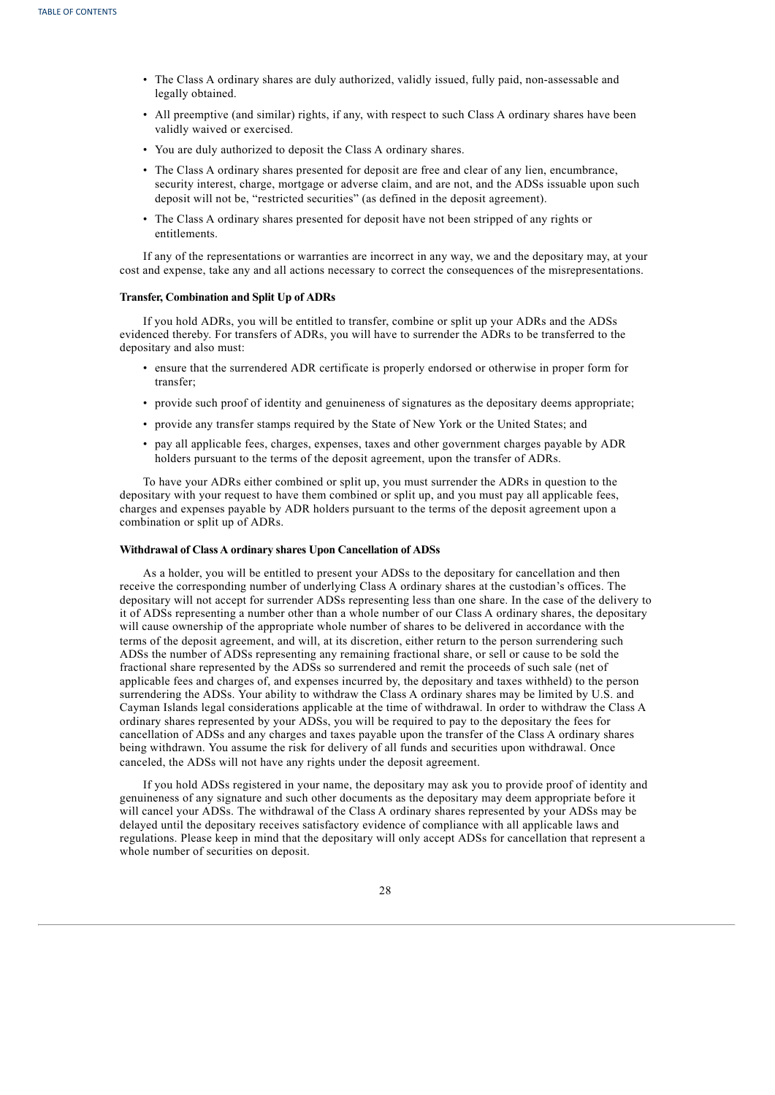- The Class A ordinary shares are duly authorized, validly issued, fully paid, non-assessable and legally obtained.
- All preemptive (and similar) rights, if any, with respect to such Class A ordinary shares have been validly waived or exercised.
- You are duly authorized to deposit the Class A ordinary shares.
- The Class A ordinary shares presented for deposit are free and clear of any lien, encumbrance, security interest, charge, mortgage or adverse claim, and are not, and the ADSs issuable upon such deposit will not be, "restricted securities" (as defined in the deposit agreement).
- The Class A ordinary shares presented for deposit have not been stripped of any rights or entitlements.

If any of the representations or warranties are incorrect in any way, we and the depositary may, at your cost and expense, take any and all actions necessary to correct the consequences of the misrepresentations.

## **Transfer, Combination and Split Up of ADRs**

If you hold ADRs, you will be entitled to transfer, combine or split up your ADRs and the ADSs evidenced thereby. For transfers of ADRs, you will have to surrender the ADRs to be transferred to the depositary and also must:

- ensure that the surrendered ADR certificate is properly endorsed or otherwise in proper form for transfer;
- provide such proof of identity and genuineness of signatures as the depositary deems appropriate;
- provide any transfer stamps required by the State of New York or the United States; and
- pay all applicable fees, charges, expenses, taxes and other government charges payable by ADR holders pursuant to the terms of the deposit agreement, upon the transfer of ADRs.

To have your ADRs either combined or split up, you must surrender the ADRs in question to the depositary with your request to have them combined or split up, and you must pay all applicable fees, charges and expenses payable by ADR holders pursuant to the terms of the deposit agreement upon a combination or split up of ADRs.

## **Withdrawal of Class A ordinary shares Upon Cancellation of ADSs**

As a holder, you will be entitled to present your ADSs to the depositary for cancellation and then receive the corresponding number of underlying Class A ordinary shares at the custodian's offices. The depositary will not accept for surrender ADSs representing less than one share. In the case of the delivery to it of ADSs representing a number other than a whole number of our Class A ordinary shares, the depositary will cause ownership of the appropriate whole number of shares to be delivered in accordance with the terms of the deposit agreement, and will, at its discretion, either return to the person surrendering such ADSs the number of ADSs representing any remaining fractional share, or sell or cause to be sold the fractional share represented by the ADSs so surrendered and remit the proceeds of such sale (net of applicable fees and charges of, and expenses incurred by, the depositary and taxes withheld) to the person surrendering the ADSs. Your ability to withdraw the Class A ordinary shares may be limited by U.S. and Cayman Islands legal considerations applicable at the time of withdrawal. In order to withdraw the Class A ordinary shares represented by your ADSs, you will be required to pay to the depositary the fees for cancellation of ADSs and any charges and taxes payable upon the transfer of the Class A ordinary shares being withdrawn. You assume the risk for delivery of all funds and securities upon withdrawal. Once canceled, the ADSs will not have any rights under the deposit agreement.

If you hold ADSs registered in your name, the depositary may ask you to provide proof of identity and genuineness of any signature and such other documents as the depositary may deem appropriate before it will cancel your ADSs. The withdrawal of the Class A ordinary shares represented by your ADSs may be delayed until the depositary receives satisfactory evidence of compliance with all applicable laws and regulations. Please keep in mind that the depositary will only accept ADSs for cancellation that represent a whole number of securities on deposit.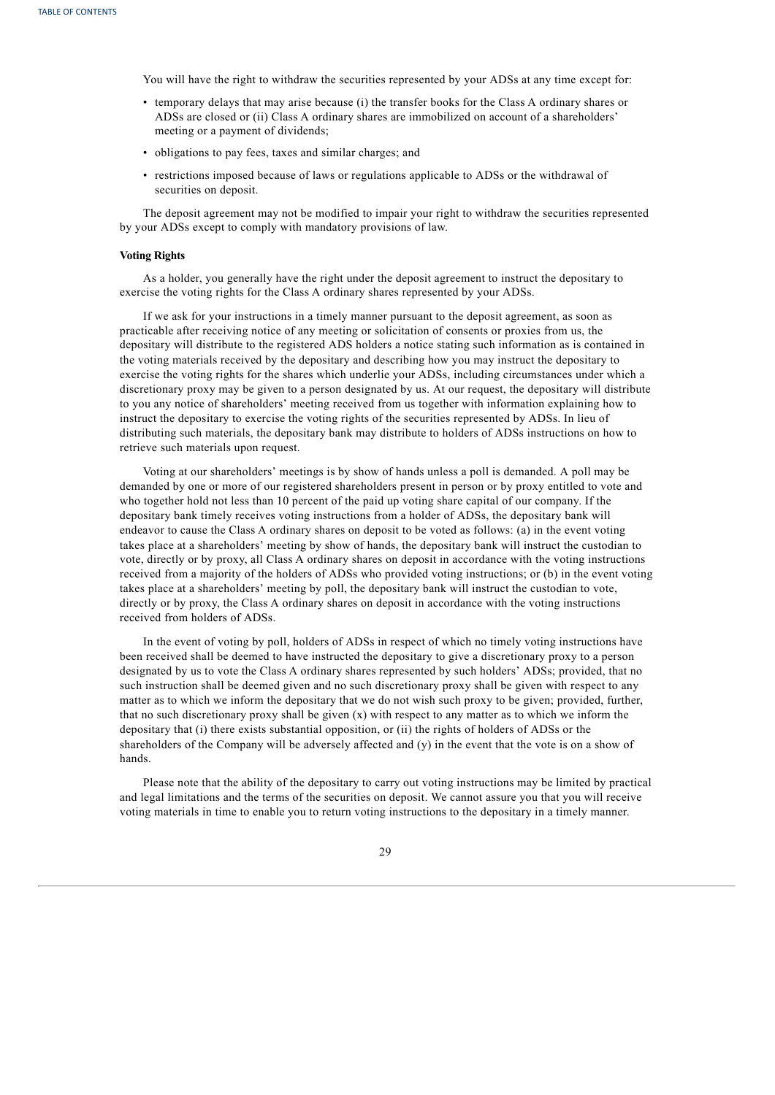You will have the right to withdraw the securities represented by your ADSs at any time except for:

- temporary delays that may arise because (i) the transfer books for the Class A ordinary shares or ADSs are closed or (ii) Class A ordinary shares are immobilized on account of a shareholders' meeting or a payment of dividends;
- obligations to pay fees, taxes and similar charges; and
- restrictions imposed because of laws or regulations applicable to ADSs or the withdrawal of securities on deposit.

The deposit agreement may not be modified to impair your right to withdraw the securities represented by your ADSs except to comply with mandatory provisions of law.

## **Voting Rights**

As a holder, you generally have the right under the deposit agreement to instruct the depositary to exercise the voting rights for the Class A ordinary shares represented by your ADSs.

If we ask for your instructions in a timely manner pursuant to the deposit agreement, as soon as practicable after receiving notice of any meeting or solicitation of consents or proxies from us, the depositary will distribute to the registered ADS holders a notice stating such information as is contained in the voting materials received by the depositary and describing how you may instruct the depositary to exercise the voting rights for the shares which underlie your ADSs, including circumstances under which a discretionary proxy may be given to a person designated by us. At our request, the depositary will distribute to you any notice of shareholders' meeting received from us together with information explaining how to instruct the depositary to exercise the voting rights of the securities represented by ADSs. In lieu of distributing such materials, the depositary bank may distribute to holders of ADSs instructions on how to retrieve such materials upon request.

Voting at our shareholders' meetings is by show of hands unless a poll is demanded. A poll may be demanded by one or more of our registered shareholders present in person or by proxy entitled to vote and who together hold not less than 10 percent of the paid up voting share capital of our company. If the depositary bank timely receives voting instructions from a holder of ADSs, the depositary bank will endeavor to cause the Class A ordinary shares on deposit to be voted as follows: (a) in the event voting takes place at a shareholders' meeting by show of hands, the depositary bank will instruct the custodian to vote, directly or by proxy, all Class A ordinary shares on deposit in accordance with the voting instructions received from a majority of the holders of ADSs who provided voting instructions; or (b) in the event voting takes place at a shareholders' meeting by poll, the depositary bank will instruct the custodian to vote, directly or by proxy, the Class A ordinary shares on deposit in accordance with the voting instructions received from holders of ADSs.

In the event of voting by poll, holders of ADSs in respect of which no timely voting instructions have been received shall be deemed to have instructed the depositary to give a discretionary proxy to a person designated by us to vote the Class A ordinary shares represented by such holders' ADSs; provided, that no such instruction shall be deemed given and no such discretionary proxy shall be given with respect to any matter as to which we inform the depositary that we do not wish such proxy to be given; provided, further, that no such discretionary proxy shall be given (x) with respect to any matter as to which we inform the depositary that (i) there exists substantial opposition, or (ii) the rights of holders of ADSs or the shareholders of the Company will be adversely affected and (y) in the event that the vote is on a show of hands.

Please note that the ability of the depositary to carry out voting instructions may be limited by practical and legal limitations and the terms of the securities on deposit. We cannot assure you that you will receive voting materials in time to enable you to return voting instructions to the depositary in a timely manner.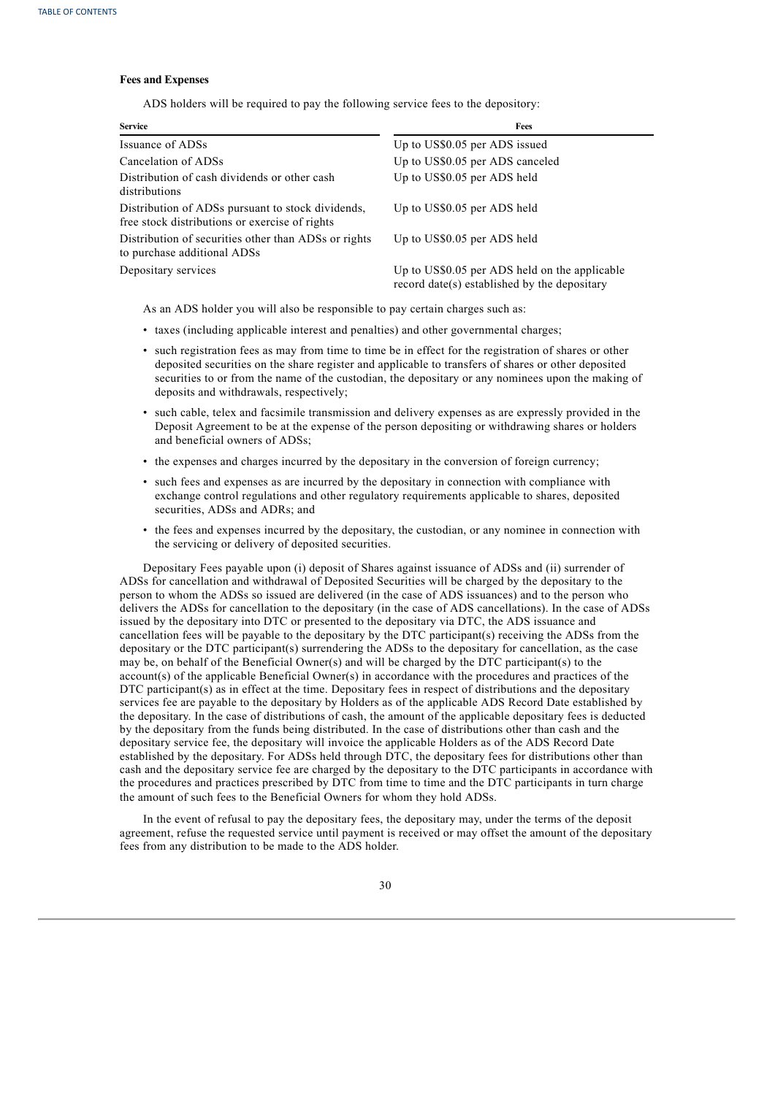## **Fees and Expenses**

ADS holders will be required to pay the following service fees to the depository:

| <b>Service</b>                                                                                      | Fees                                                                                          |
|-----------------------------------------------------------------------------------------------------|-----------------------------------------------------------------------------------------------|
| Issuance of ADSs                                                                                    | Up to US\$0.05 per ADS issued                                                                 |
| Cancelation of ADSs                                                                                 | Up to US\$0.05 per ADS canceled                                                               |
| Distribution of cash dividends or other cash<br>distributions                                       | Up to US\$0.05 per ADS held                                                                   |
| Distribution of ADSs pursuant to stock dividends,<br>free stock distributions or exercise of rights | Up to US\$0.05 per ADS held                                                                   |
| Distribution of securities other than ADSs or rights<br>to purchase additional ADSs                 | Up to US\$0.05 per ADS held                                                                   |
| Depositary services                                                                                 | Up to US\$0.05 per ADS held on the applicable<br>record date(s) established by the depositary |

As an ADS holder you will also be responsible to pay certain charges such as:

- taxes (including applicable interest and penalties) and other governmental charges;
- such registration fees as may from time to time be in effect for the registration of shares or other deposited securities on the share register and applicable to transfers of shares or other deposited securities to or from the name of the custodian, the depositary or any nominees upon the making of deposits and withdrawals, respectively;
- such cable, telex and facsimile transmission and delivery expenses as are expressly provided in the Deposit Agreement to be at the expense of the person depositing or withdrawing shares or holders and beneficial owners of ADSs;
- the expenses and charges incurred by the depositary in the conversion of foreign currency;
- such fees and expenses as are incurred by the depositary in connection with compliance with exchange control regulations and other regulatory requirements applicable to shares, deposited securities, ADSs and ADRs; and
- the fees and expenses incurred by the depositary, the custodian, or any nominee in connection with the servicing or delivery of deposited securities.

Depositary Fees payable upon (i) deposit of Shares against issuance of ADSs and (ii) surrender of ADSs for cancellation and withdrawal of Deposited Securities will be charged by the depositary to the person to whom the ADSs so issued are delivered (in the case of ADS issuances) and to the person who delivers the ADSs for cancellation to the depositary (in the case of ADS cancellations). In the case of ADSs issued by the depositary into DTC or presented to the depositary via DTC, the ADS issuance and cancellation fees will be payable to the depositary by the DTC participant(s) receiving the ADSs from the depositary or the DTC participant(s) surrendering the ADSs to the depositary for cancellation, as the case may be, on behalf of the Beneficial Owner(s) and will be charged by the DTC participant(s) to the account(s) of the applicable Beneficial Owner(s) in accordance with the procedures and practices of the DTC participant(s) as in effect at the time. Depositary fees in respect of distributions and the depositary services fee are payable to the depositary by Holders as of the applicable ADS Record Date established by the depositary. In the case of distributions of cash, the amount of the applicable depositary fees is deducted by the depositary from the funds being distributed. In the case of distributions other than cash and the depositary service fee, the depositary will invoice the applicable Holders as of the ADS Record Date established by the depositary. For ADSs held through DTC, the depositary fees for distributions other than cash and the depositary service fee are charged by the depositary to the DTC participants in accordance with the procedures and practices prescribed by DTC from time to time and the DTC participants in turn charge the amount of such fees to the Beneficial Owners for whom they hold ADSs.

In the event of refusal to pay the depositary fees, the depositary may, under the terms of the deposit agreement, refuse the requested service until payment is received or may offset the amount of the depositary fees from any distribution to be made to the ADS holder.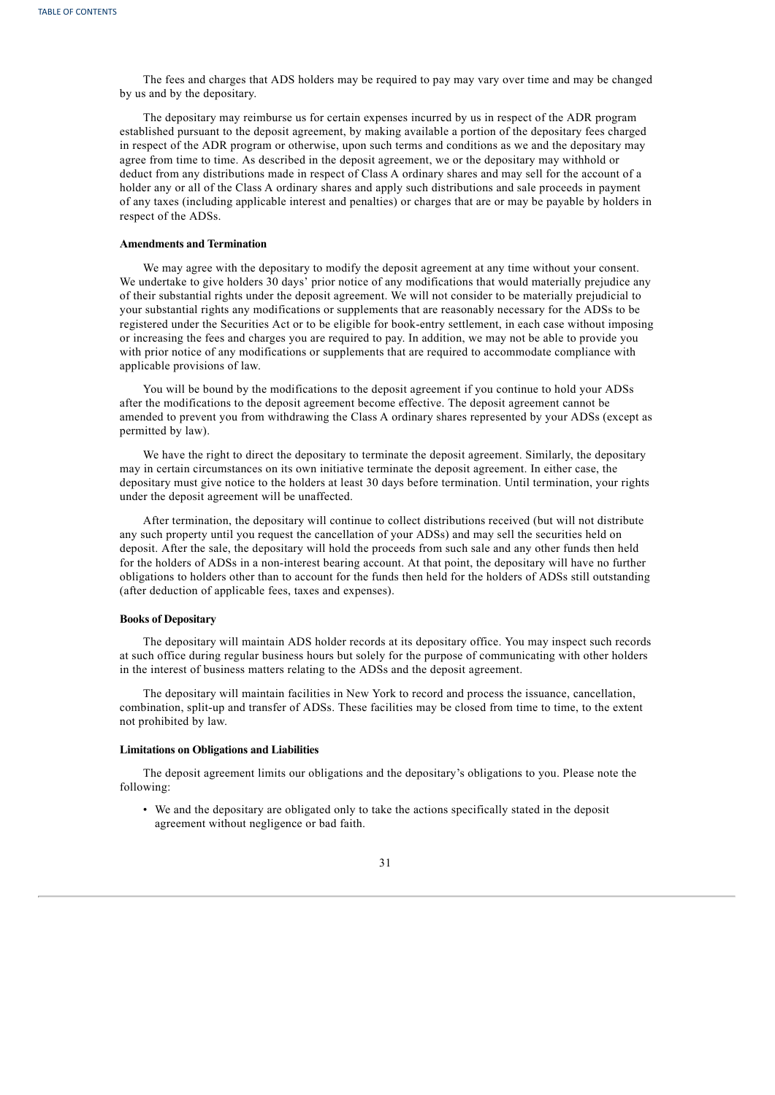The fees and charges that ADS holders may be required to pay may vary over time and may be changed by us and by the depositary.

The depositary may reimburse us for certain expenses incurred by us in respect of the ADR program established pursuant to the deposit agreement, by making available a portion of the depositary fees charged in respect of the ADR program or otherwise, upon such terms and conditions as we and the depositary may agree from time to time. As described in the deposit agreement, we or the depositary may withhold or deduct from any distributions made in respect of Class A ordinary shares and may sell for the account of a holder any or all of the Class A ordinary shares and apply such distributions and sale proceeds in payment of any taxes (including applicable interest and penalties) or charges that are or may be payable by holders in respect of the ADSs.

#### **Amendments and Termination**

We may agree with the depositary to modify the deposit agreement at any time without your consent. We undertake to give holders 30 days' prior notice of any modifications that would materially prejudice any of their substantial rights under the deposit agreement. We will not consider to be materially prejudicial to your substantial rights any modifications or supplements that are reasonably necessary for the ADSs to be registered under the Securities Act or to be eligible for book-entry settlement, in each case without imposing or increasing the fees and charges you are required to pay. In addition, we may not be able to provide you with prior notice of any modifications or supplements that are required to accommodate compliance with applicable provisions of law.

You will be bound by the modifications to the deposit agreement if you continue to hold your ADSs after the modifications to the deposit agreement become effective. The deposit agreement cannot be amended to prevent you from withdrawing the Class A ordinary shares represented by your ADSs (except as permitted by law).

We have the right to direct the depositary to terminate the deposit agreement. Similarly, the depositary may in certain circumstances on its own initiative terminate the deposit agreement. In either case, the depositary must give notice to the holders at least 30 days before termination. Until termination, your rights under the deposit agreement will be unaffected.

After termination, the depositary will continue to collect distributions received (but will not distribute any such property until you request the cancellation of your ADSs) and may sell the securities held on deposit. After the sale, the depositary will hold the proceeds from such sale and any other funds then held for the holders of ADSs in a non-interest bearing account. At that point, the depositary will have no further obligations to holders other than to account for the funds then held for the holders of ADSs still outstanding (after deduction of applicable fees, taxes and expenses).

#### **Books of Depositary**

The depositary will maintain ADS holder records at its depositary office. You may inspect such records at such office during regular business hours but solely for the purpose of communicating with other holders in the interest of business matters relating to the ADSs and the deposit agreement.

The depositary will maintain facilities in New York to record and process the issuance, cancellation, combination, split-up and transfer of ADSs. These facilities may be closed from time to time, to the extent not prohibited by law.

## **Limitations on Obligations and Liabilities**

The deposit agreement limits our obligations and the depositary's obligations to you. Please note the following:

• We and the depositary are obligated only to take the actions specifically stated in the deposit agreement without negligence or bad faith.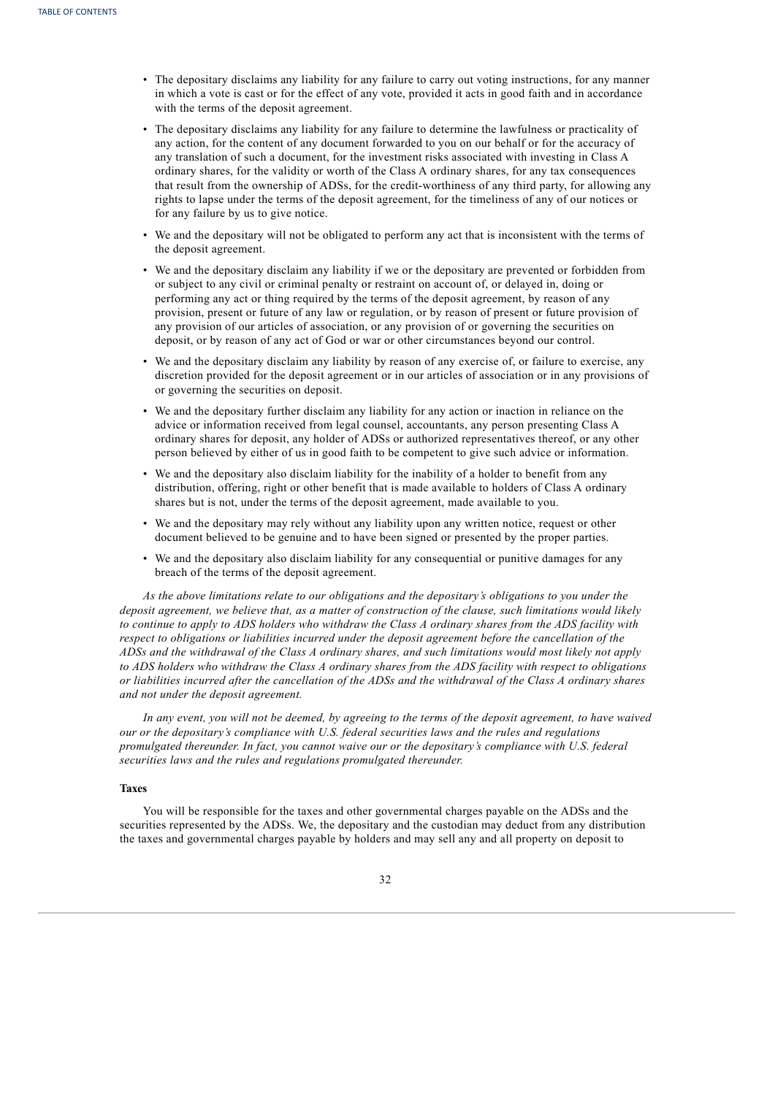- The depositary disclaims any liability for any failure to carry out voting instructions, for any manner in which a vote is cast or for the effect of any vote, provided it acts in good faith and in accordance with the terms of the deposit agreement.
- The depositary disclaims any liability for any failure to determine the lawfulness or practicality of any action, for the content of any document forwarded to you on our behalf or for the accuracy of any translation of such a document, for the investment risks associated with investing in Class A ordinary shares, for the validity or worth of the Class A ordinary shares, for any tax consequences that result from the ownership of ADSs, for the credit-worthiness of any third party, for allowing any rights to lapse under the terms of the deposit agreement, for the timeliness of any of our notices or for any failure by us to give notice.
- We and the depositary will not be obligated to perform any act that is inconsistent with the terms of the deposit agreement.
- We and the depositary disclaim any liability if we or the depositary are prevented or forbidden from or subject to any civil or criminal penalty or restraint on account of, or delayed in, doing or performing any act or thing required by the terms of the deposit agreement, by reason of any provision, present or future of any law or regulation, or by reason of present or future provision of any provision of our articles of association, or any provision of or governing the securities on deposit, or by reason of any act of God or war or other circumstances beyond our control.
- We and the depositary disclaim any liability by reason of any exercise of, or failure to exercise, any discretion provided for the deposit agreement or in our articles of association or in any provisions of or governing the securities on deposit.
- We and the depositary further disclaim any liability for any action or inaction in reliance on the advice or information received from legal counsel, accountants, any person presenting Class A ordinary shares for deposit, any holder of ADSs or authorized representatives thereof, or any other person believed by either of us in good faith to be competent to give such advice or information.
- We and the depositary also disclaim liability for the inability of a holder to benefit from any distribution, offering, right or other benefit that is made available to holders of Class A ordinary shares but is not, under the terms of the deposit agreement, made available to you.
- We and the depositary may rely without any liability upon any written notice, request or other document believed to be genuine and to have been signed or presented by the proper parties.
- We and the depositary also disclaim liability for any consequential or punitive damages for any breach of the terms of the deposit agreement.

*As the above limitations relate to our obligations and the depositary's obligations to you under the* deposit agreement, we believe that, as a matter of construction of the clause, such limitations would likely to continue to apply to ADS holders who withdraw the Class A ordinary shares from the ADS facility with *respect to obligations or liabilities incurred under the deposit agreement before the cancellation of the* ADSs and the withdrawal of the Class A ordinary shares, and such limitations would most likely not apply to ADS holders who withdraw the Class A ordinary shares from the ADS facility with respect to obligations or liabilities incurred after the cancellation of the ADSs and the withdrawal of the Class A ordinary shares *and not under the deposit agreement.*

In any event, you will not be deemed, by agreeing to the terms of the deposit agreement, to have waived *our or the depositary's compliance with U.S. federal securities laws and the rules and regulations promulgated thereunder. In fact, you cannot waive our or the depositary's compliance with U.S. federal securities laws and the rules and regulations promulgated thereunder.*

## **Taxes**

You will be responsible for the taxes and other governmental charges payable on the ADSs and the securities represented by the ADSs. We, the depositary and the custodian may deduct from any distribution the taxes and governmental charges payable by holders and may sell any and all property on deposit to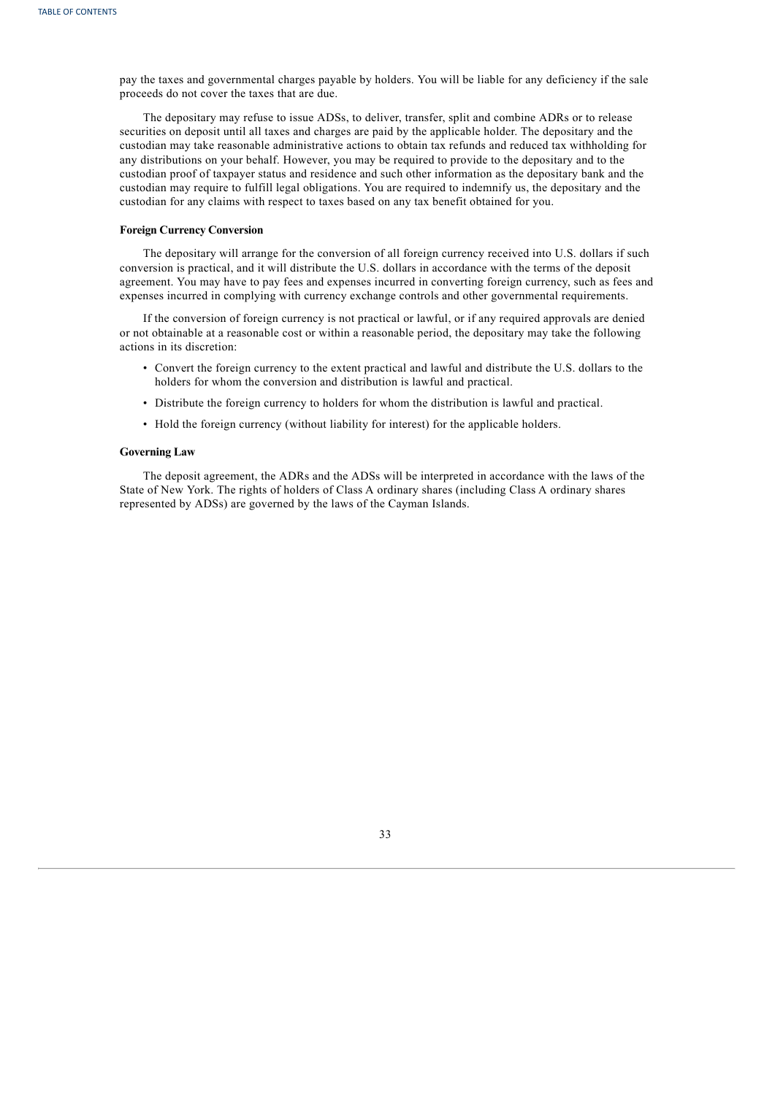pay the taxes and governmental charges payable by holders. You will be liable for any deficiency if the sale proceeds do not cover the taxes that are due.

The depositary may refuse to issue ADSs, to deliver, transfer, split and combine ADRs or to release securities on deposit until all taxes and charges are paid by the applicable holder. The depositary and the custodian may take reasonable administrative actions to obtain tax refunds and reduced tax withholding for any distributions on your behalf. However, you may be required to provide to the depositary and to the custodian proof of taxpayer status and residence and such other information as the depositary bank and the custodian may require to fulfill legal obligations. You are required to indemnify us, the depositary and the custodian for any claims with respect to taxes based on any tax benefit obtained for you.

## **Foreign Currency Conversion**

The depositary will arrange for the conversion of all foreign currency received into U.S. dollars if such conversion is practical, and it will distribute the U.S. dollars in accordance with the terms of the deposit agreement. You may have to pay fees and expenses incurred in converting foreign currency, such as fees and expenses incurred in complying with currency exchange controls and other governmental requirements.

If the conversion of foreign currency is not practical or lawful, or if any required approvals are denied or not obtainable at a reasonable cost or within a reasonable period, the depositary may take the following actions in its discretion:

- Convert the foreign currency to the extent practical and lawful and distribute the U.S. dollars to the holders for whom the conversion and distribution is lawful and practical.
- Distribute the foreign currency to holders for whom the distribution is lawful and practical.
- Hold the foreign currency (without liability for interest) for the applicable holders.

#### **Governing Law**

<span id="page-37-0"></span>The deposit agreement, the ADRs and the ADSs will be interpreted in accordance with the laws of the State of New York. The rights of holders of Class A ordinary shares (including Class A ordinary shares represented by ADSs) are governed by the laws of the Cayman Islands.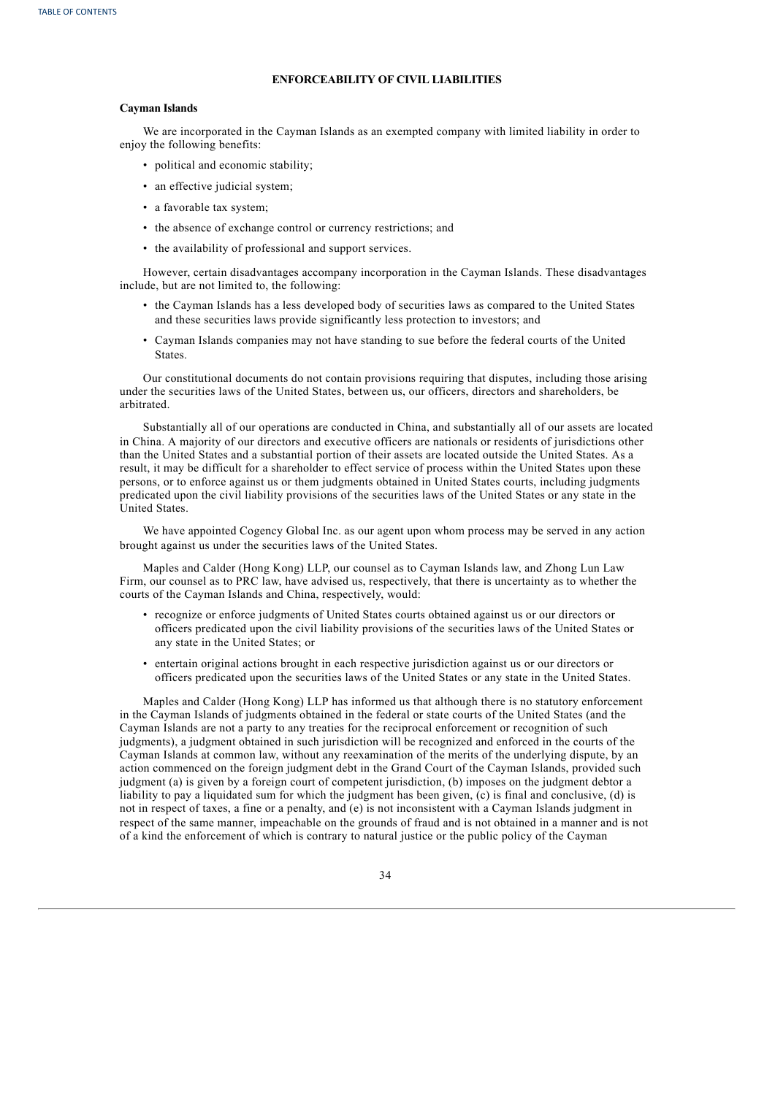## **ENFORCEABILITY OF CIVIL LIABILITIES**

## **Cayman Islands**

We are incorporated in the Cayman Islands as an exempted company with limited liability in order to enjoy the following benefits:

- political and economic stability;
- an effective judicial system;
- a favorable tax system;
- the absence of exchange control or currency restrictions; and
- the availability of professional and support services.

However, certain disadvantages accompany incorporation in the Cayman Islands. These disadvantages include, but are not limited to, the following:

- the Cayman Islands has a less developed body of securities laws as compared to the United States and these securities laws provide significantly less protection to investors; and
- Cayman Islands companies may not have standing to sue before the federal courts of the United States.

Our constitutional documents do not contain provisions requiring that disputes, including those arising under the securities laws of the United States, between us, our officers, directors and shareholders, be arbitrated.

Substantially all of our operations are conducted in China, and substantially all of our assets are located in China. A majority of our directors and executive officers are nationals or residents of jurisdictions other than the United States and a substantial portion of their assets are located outside the United States. As a result, it may be difficult for a shareholder to effect service of process within the United States upon these persons, or to enforce against us or them judgments obtained in United States courts, including judgments predicated upon the civil liability provisions of the securities laws of the United States or any state in the United States.

We have appointed Cogency Global Inc. as our agent upon whom process may be served in any action brought against us under the securities laws of the United States.

Maples and Calder (Hong Kong) LLP, our counsel as to Cayman Islands law, and Zhong Lun Law Firm, our counsel as to PRC law, have advised us, respectively, that there is uncertainty as to whether the courts of the Cayman Islands and China, respectively, would:

- recognize or enforce judgments of United States courts obtained against us or our directors or officers predicated upon the civil liability provisions of the securities laws of the United States or any state in the United States; or
- entertain original actions brought in each respective jurisdiction against us or our directors or officers predicated upon the securities laws of the United States or any state in the United States.

Maples and Calder (Hong Kong) LLP has informed us that although there is no statutory enforcement in the Cayman Islands of judgments obtained in the federal or state courts of the United States (and the Cayman Islands are not a party to any treaties for the reciprocal enforcement or recognition of such judgments), a judgment obtained in such jurisdiction will be recognized and enforced in the courts of the Cayman Islands at common law, without any reexamination of the merits of the underlying dispute, by an action commenced on the foreign judgment debt in the Grand Court of the Cayman Islands, provided such judgment (a) is given by a foreign court of competent jurisdiction, (b) imposes on the judgment debtor a liability to pay a liquidated sum for which the judgment has been given, (c) is final and conclusive, (d) is not in respect of taxes, a fine or a penalty, and (e) is not inconsistent with a Cayman Islands judgment in respect of the same manner, impeachable on the grounds of fraud and is not obtained in a manner and is not of a kind the enforcement of which is contrary to natural justice or the public policy of the Cayman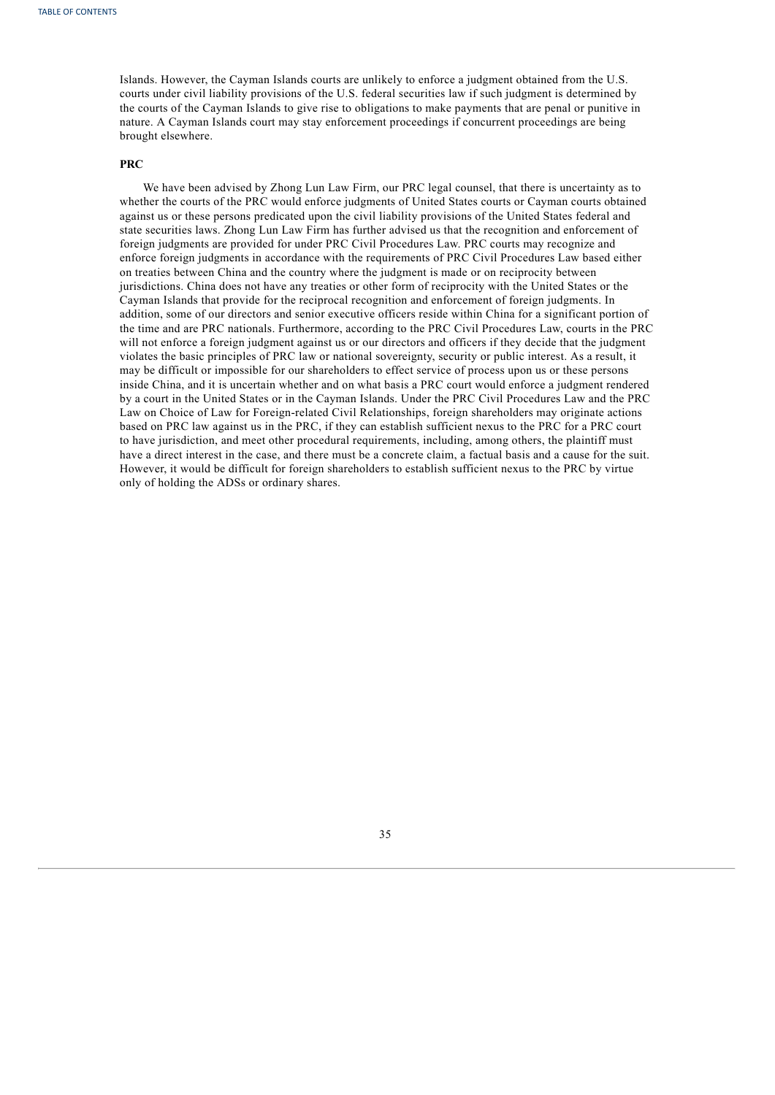Islands. However, the Cayman Islands courts are unlikely to enforce a judgment obtained from the U.S. courts under civil liability provisions of the U.S. federal securities law if such judgment is determined by the courts of the Cayman Islands to give rise to obligations to make payments that are penal or punitive in nature. A Cayman Islands court may stay enforcement proceedings if concurrent proceedings are being brought elsewhere.

## **PRC**

We have been advised by Zhong Lun Law Firm, our PRC legal counsel, that there is uncertainty as to whether the courts of the PRC would enforce judgments of United States courts or Cayman courts obtained against us or these persons predicated upon the civil liability provisions of the United States federal and state securities laws. Zhong Lun Law Firm has further advised us that the recognition and enforcement of foreign judgments are provided for under PRC Civil Procedures Law. PRC courts may recognize and enforce foreign judgments in accordance with the requirements of PRC Civil Procedures Law based either on treaties between China and the country where the judgment is made or on reciprocity between jurisdictions. China does not have any treaties or other form of reciprocity with the United States or the Cayman Islands that provide for the reciprocal recognition and enforcement of foreign judgments. In addition, some of our directors and senior executive officers reside within China for a significant portion of the time and are PRC nationals. Furthermore, according to the PRC Civil Procedures Law, courts in the PRC will not enforce a foreign judgment against us or our directors and officers if they decide that the judgment violates the basic principles of PRC law or national sovereignty, security or public interest. As a result, it may be difficult or impossible for our shareholders to effect service of process upon us or these persons inside China, and it is uncertain whether and on what basis a PRC court would enforce a judgment rendered by a court in the United States or in the Cayman Islands. Under the PRC Civil Procedures Law and the PRC Law on Choice of Law for Foreign-related Civil Relationships, foreign shareholders may originate actions based on PRC law against us in the PRC, if they can establish sufficient nexus to the PRC for a PRC court to have jurisdiction, and meet other procedural requirements, including, among others, the plaintiff must have a direct interest in the case, and there must be a concrete claim, a factual basis and a cause for the suit. However, it would be difficult for foreign shareholders to establish sufficient nexus to the PRC by virtue only of holding the ADSs or ordinary shares.

<span id="page-39-0"></span>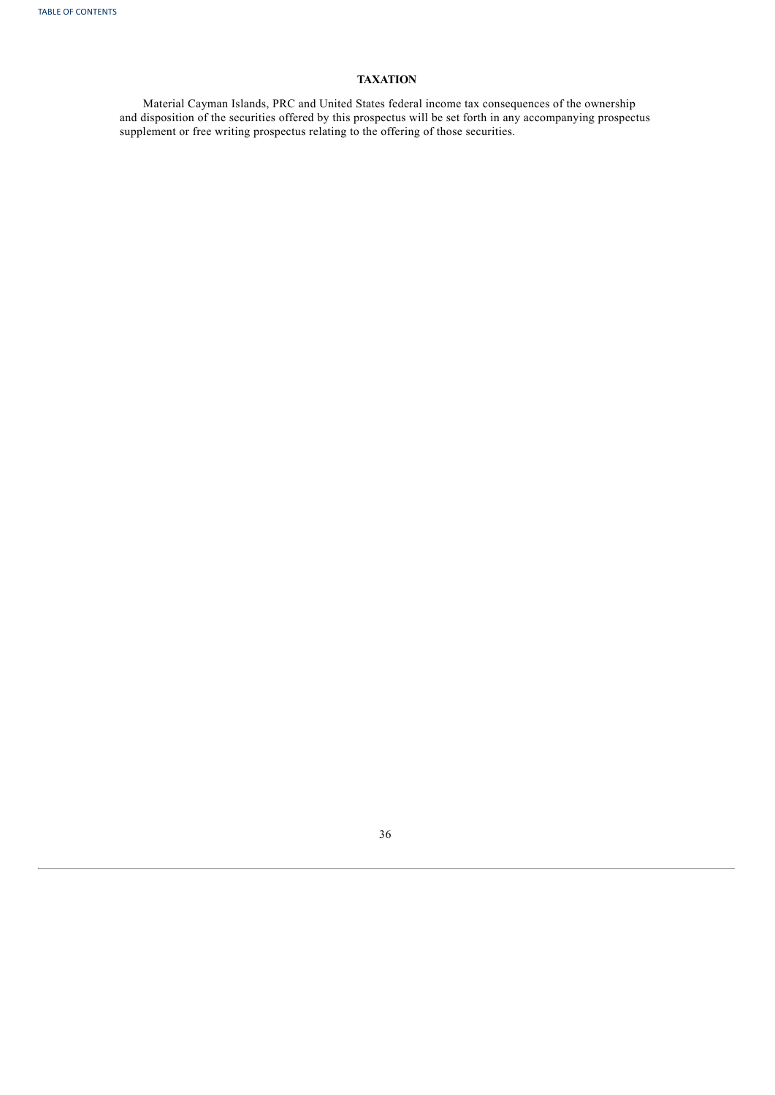# **TAXATION**

<span id="page-40-0"></span>Material Cayman Islands, PRC and United States federal income tax consequences of the ownership and disposition of the securities offered by this prospectus will be set forth in any accompanying prospectus supplement or free writing prospectus relating to the offering of those securities.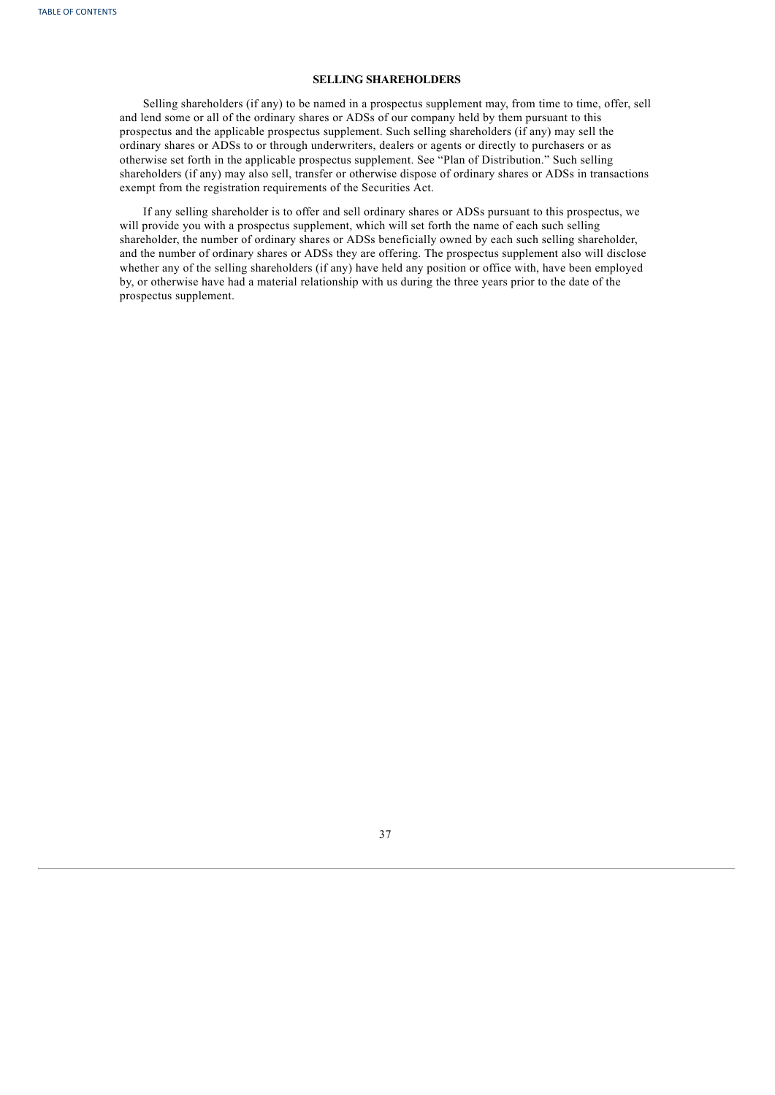## **SELLING SHAREHOLDERS**

Selling shareholders (if any) to be named in a prospectus supplement may, from time to time, offer, sell and lend some or all of the ordinary shares or ADSs of our company held by them pursuant to this prospectus and the applicable prospectus supplement. Such selling shareholders (if any) may sell the ordinary shares or ADSs to or through underwriters, dealers or agents or directly to purchasers or as otherwise set forth in the applicable prospectus supplement. See "Plan of Distribution." Such selling shareholders (if any) may also sell, transfer or otherwise dispose of ordinary shares or ADSs in transactions exempt from the registration requirements of the Securities Act.

<span id="page-41-0"></span>If any selling shareholder is to offer and sell ordinary shares or ADSs pursuant to this prospectus, we will provide you with a prospectus supplement, which will set forth the name of each such selling shareholder, the number of ordinary shares or ADSs beneficially owned by each such selling shareholder, and the number of ordinary shares or ADSs they are offering. The prospectus supplement also will disclose whether any of the selling shareholders (if any) have held any position or office with, have been employed by, or otherwise have had a material relationship with us during the three years prior to the date of the prospectus supplement.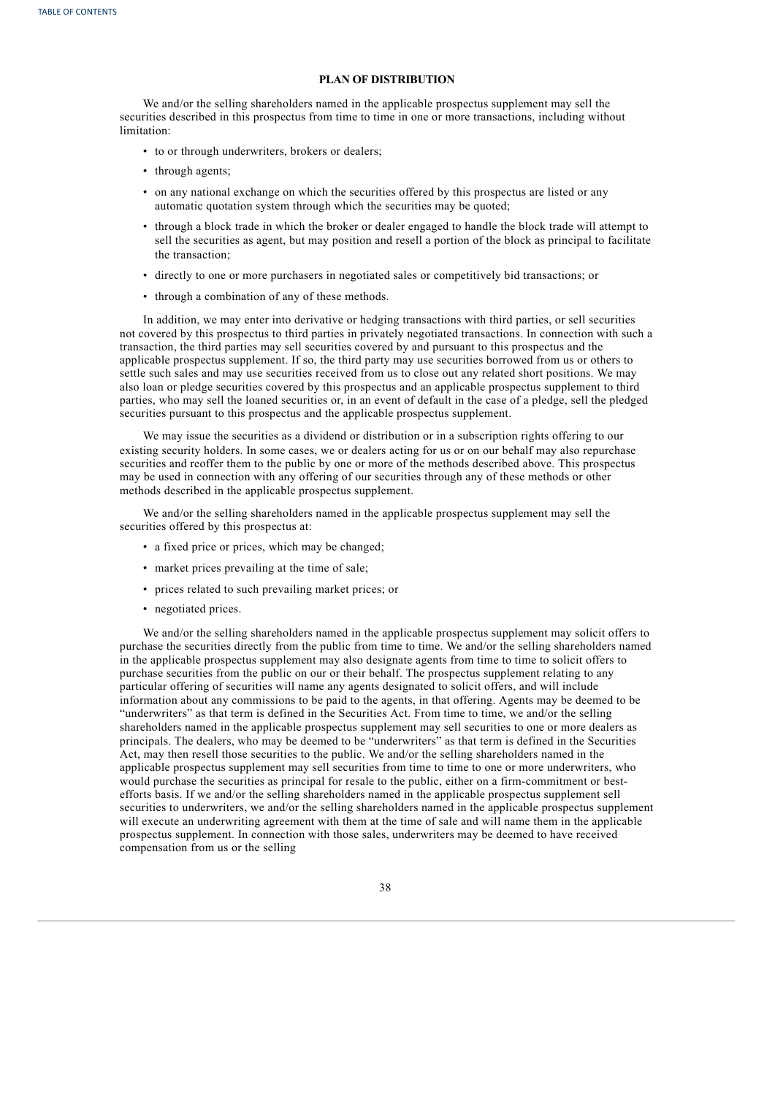## **PLAN OF DISTRIBUTION**

We and/or the selling shareholders named in the applicable prospectus supplement may sell the securities described in this prospectus from time to time in one or more transactions, including without limitation:

- to or through underwriters, brokers or dealers;
- through agents;
- on any national exchange on which the securities offered by this prospectus are listed or any automatic quotation system through which the securities may be quoted;
- through a block trade in which the broker or dealer engaged to handle the block trade will attempt to sell the securities as agent, but may position and resell a portion of the block as principal to facilitate the transaction;
- directly to one or more purchasers in negotiated sales or competitively bid transactions; or
- through a combination of any of these methods.

In addition, we may enter into derivative or hedging transactions with third parties, or sell securities not covered by this prospectus to third parties in privately negotiated transactions. In connection with such a transaction, the third parties may sell securities covered by and pursuant to this prospectus and the applicable prospectus supplement. If so, the third party may use securities borrowed from us or others to settle such sales and may use securities received from us to close out any related short positions. We may also loan or pledge securities covered by this prospectus and an applicable prospectus supplement to third parties, who may sell the loaned securities or, in an event of default in the case of a pledge, sell the pledged securities pursuant to this prospectus and the applicable prospectus supplement.

We may issue the securities as a dividend or distribution or in a subscription rights offering to our existing security holders. In some cases, we or dealers acting for us or on our behalf may also repurchase securities and reoffer them to the public by one or more of the methods described above. This prospectus may be used in connection with any offering of our securities through any of these methods or other methods described in the applicable prospectus supplement.

We and/or the selling shareholders named in the applicable prospectus supplement may sell the securities offered by this prospectus at:

- a fixed price or prices, which may be changed;
- market prices prevailing at the time of sale;
- prices related to such prevailing market prices; or
- negotiated prices.

We and/or the selling shareholders named in the applicable prospectus supplement may solicit offers to purchase the securities directly from the public from time to time. We and/or the selling shareholders named in the applicable prospectus supplement may also designate agents from time to time to solicit offers to purchase securities from the public on our or their behalf. The prospectus supplement relating to any particular offering of securities will name any agents designated to solicit offers, and will include information about any commissions to be paid to the agents, in that offering. Agents may be deemed to be "underwriters" as that term is defined in the Securities Act. From time to time, we and/or the selling shareholders named in the applicable prospectus supplement may sell securities to one or more dealers as principals. The dealers, who may be deemed to be "underwriters" as that term is defined in the Securities Act, may then resell those securities to the public. We and/or the selling shareholders named in the applicable prospectus supplement may sell securities from time to time to one or more underwriters, who would purchase the securities as principal for resale to the public, either on a firm-commitment or bestefforts basis. If we and/or the selling shareholders named in the applicable prospectus supplement sell securities to underwriters, we and/or the selling shareholders named in the applicable prospectus supplement will execute an underwriting agreement with them at the time of sale and will name them in the applicable prospectus supplement. In connection with those sales, underwriters may be deemed to have received compensation from us or the selling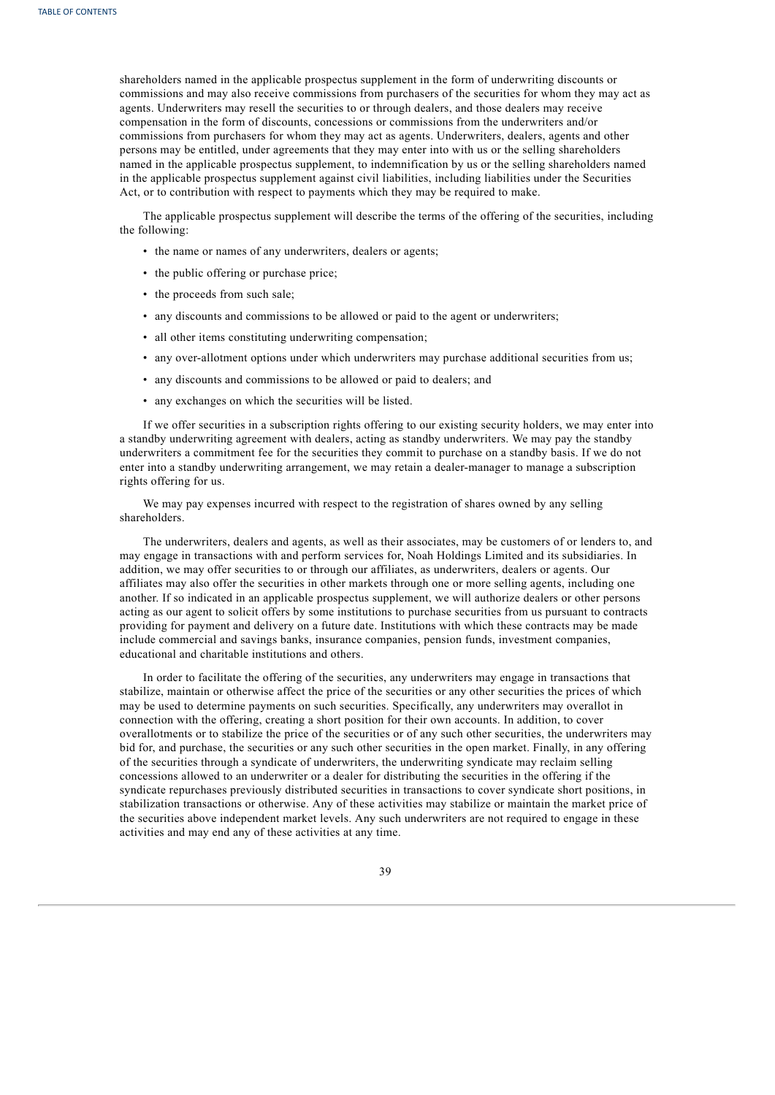shareholders named in the applicable prospectus supplement in the form of underwriting discounts or commissions and may also receive commissions from purchasers of the securities for whom they may act as agents. Underwriters may resell the securities to or through dealers, and those dealers may receive compensation in the form of discounts, concessions or commissions from the underwriters and/or commissions from purchasers for whom they may act as agents. Underwriters, dealers, agents and other persons may be entitled, under agreements that they may enter into with us or the selling shareholders named in the applicable prospectus supplement, to indemnification by us or the selling shareholders named in the applicable prospectus supplement against civil liabilities, including liabilities under the Securities Act, or to contribution with respect to payments which they may be required to make.

The applicable prospectus supplement will describe the terms of the offering of the securities, including the following:

- the name or names of any underwriters, dealers or agents;
- the public offering or purchase price;
- the proceeds from such sale;
- any discounts and commissions to be allowed or paid to the agent or underwriters;
- all other items constituting underwriting compensation;
- any over-allotment options under which underwriters may purchase additional securities from us;
- any discounts and commissions to be allowed or paid to dealers; and
- any exchanges on which the securities will be listed.

If we offer securities in a subscription rights offering to our existing security holders, we may enter into a standby underwriting agreement with dealers, acting as standby underwriters. We may pay the standby underwriters a commitment fee for the securities they commit to purchase on a standby basis. If we do not enter into a standby underwriting arrangement, we may retain a dealer-manager to manage a subscription rights offering for us.

We may pay expenses incurred with respect to the registration of shares owned by any selling shareholders.

The underwriters, dealers and agents, as well as their associates, may be customers of or lenders to, and may engage in transactions with and perform services for, Noah Holdings Limited and its subsidiaries. In addition, we may offer securities to or through our affiliates, as underwriters, dealers or agents. Our affiliates may also offer the securities in other markets through one or more selling agents, including one another. If so indicated in an applicable prospectus supplement, we will authorize dealers or other persons acting as our agent to solicit offers by some institutions to purchase securities from us pursuant to contracts providing for payment and delivery on a future date. Institutions with which these contracts may be made include commercial and savings banks, insurance companies, pension funds, investment companies, educational and charitable institutions and others.

In order to facilitate the offering of the securities, any underwriters may engage in transactions that stabilize, maintain or otherwise affect the price of the securities or any other securities the prices of which may be used to determine payments on such securities. Specifically, any underwriters may overallot in connection with the offering, creating a short position for their own accounts. In addition, to cover overallotments or to stabilize the price of the securities or of any such other securities, the underwriters may bid for, and purchase, the securities or any such other securities in the open market. Finally, in any offering of the securities through a syndicate of underwriters, the underwriting syndicate may reclaim selling concessions allowed to an underwriter or a dealer for distributing the securities in the offering if the syndicate repurchases previously distributed securities in transactions to cover syndicate short positions, in stabilization transactions or otherwise. Any of these activities may stabilize or maintain the market price of the securities above independent market levels. Any such underwriters are not required to engage in these activities and may end any of these activities at any time.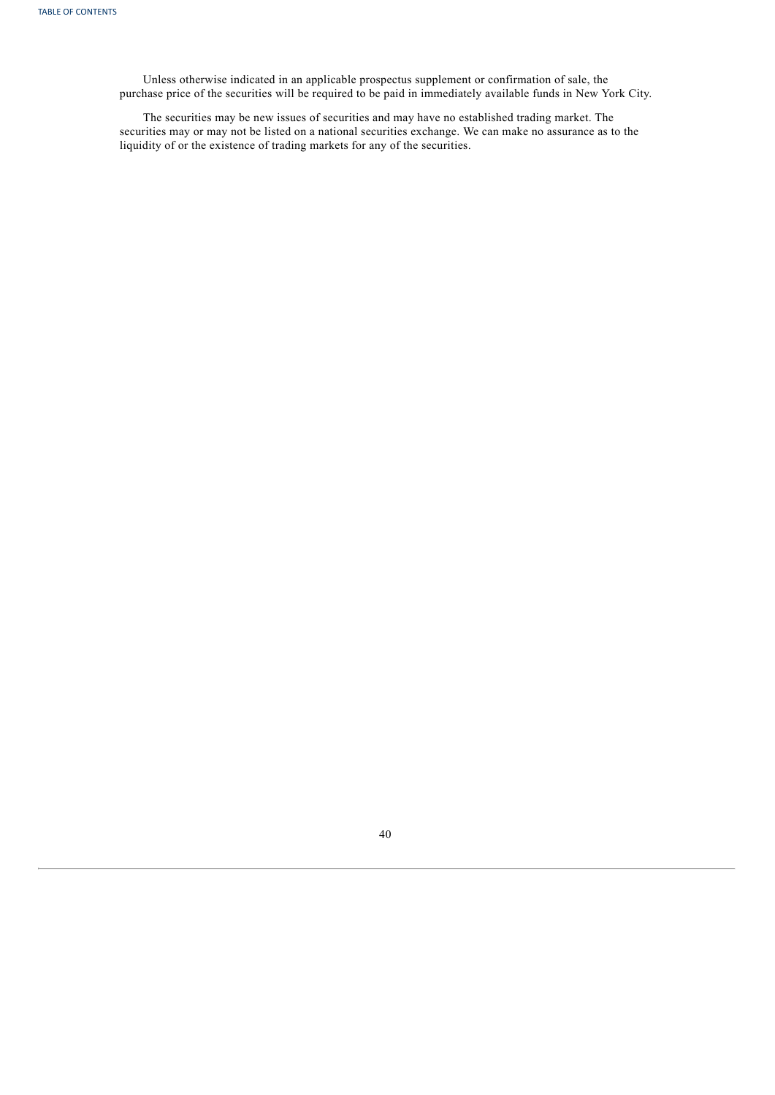Unless otherwise indicated in an applicable prospectus supplement or confirmation of sale, the purchase price of the securities will be required to be paid in immediately available funds in New York City.

<span id="page-44-0"></span>The securities may be new issues of securities and may have no established trading market. The securities may or may not be listed on a national securities exchange. We can make no assurance as to the liquidity of or the existence of trading markets for any of the securities.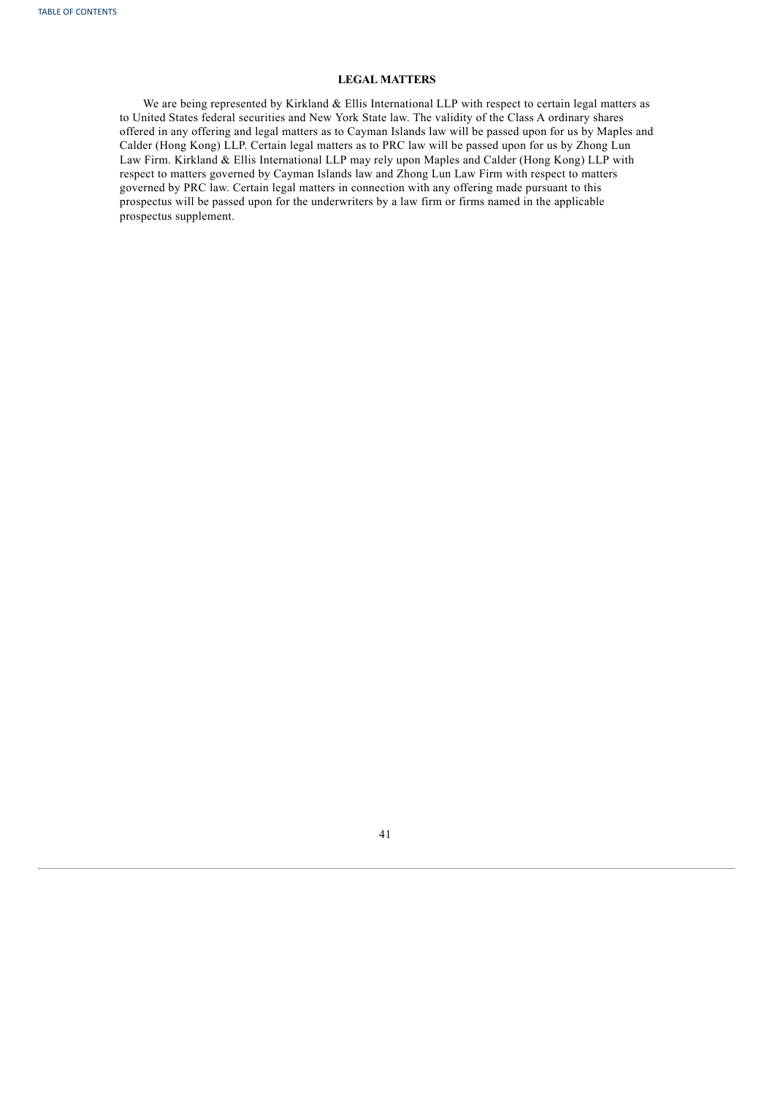## **LEGAL MATTERS**

<span id="page-45-0"></span>We are being represented by Kirkland & Ellis International LLP with respect to certain legal matters as to United States federal securities and New York State law. The validity of the Class A ordinary shares offered in any offering and legal matters as to Cayman Islands law will be passed upon for us by Maples and Calder (Hong Kong) LLP. Certain legal matters as to PRC law will be passed upon for us by Zhong Lun Law Firm. Kirkland & Ellis International LLP may rely upon Maples and Calder (Hong Kong) LLP with respect to matters governed by Cayman Islands law and Zhong Lun Law Firm with respect to matters governed by PRC law. Certain legal matters in connection with any offering made pursuant to this prospectus will be passed upon for the underwriters by a law firm or firms named in the applicable prospectus supplement.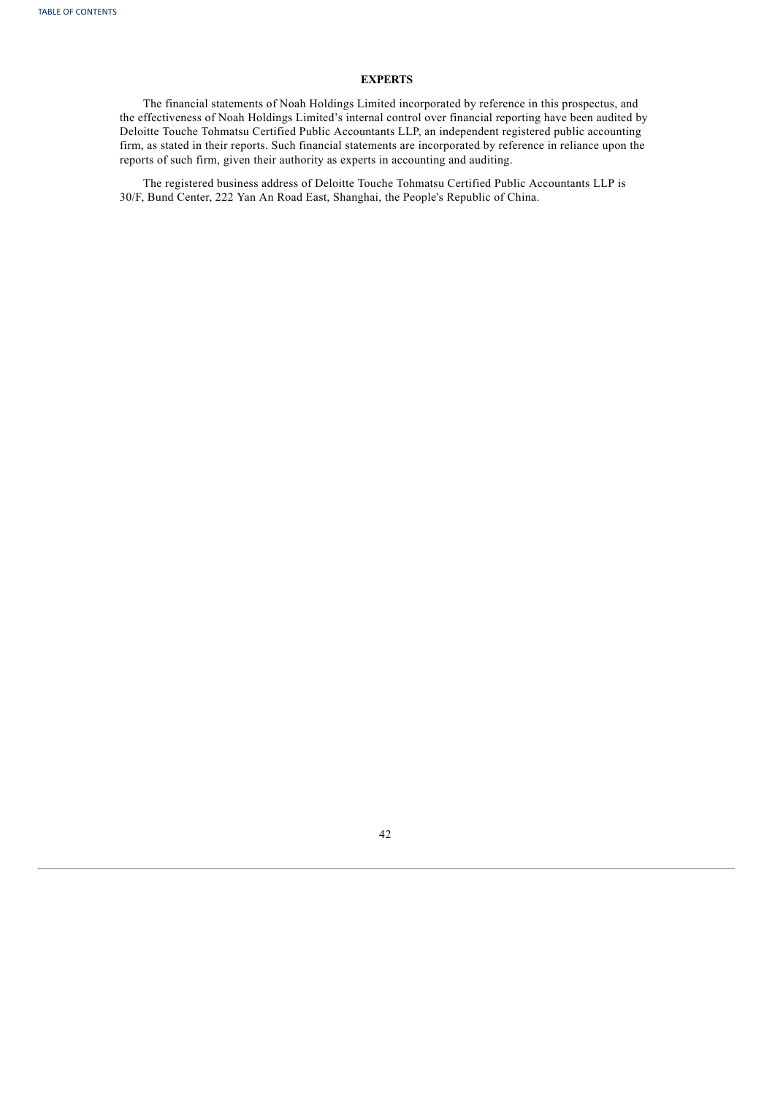## **EXPERTS**

The financial statements of Noah Holdings Limited incorporated by reference in this prospectus, and the effectiveness of Noah Holdings Limited's internal control over financial reporting have been audited by Deloitte Touche Tohmatsu Certified Public Accountants LLP, an independent registered public accounting firm, as stated in their reports. Such financial statements are incorporated by reference in reliance upon the reports of such firm, given their authority as experts in accounting and auditing.

<span id="page-46-0"></span>The registered business address of Deloitte Touche Tohmatsu Certified Public Accountants LLP is 30/F, Bund Center, 222 Yan An Road East, Shanghai, the People's Republic of China.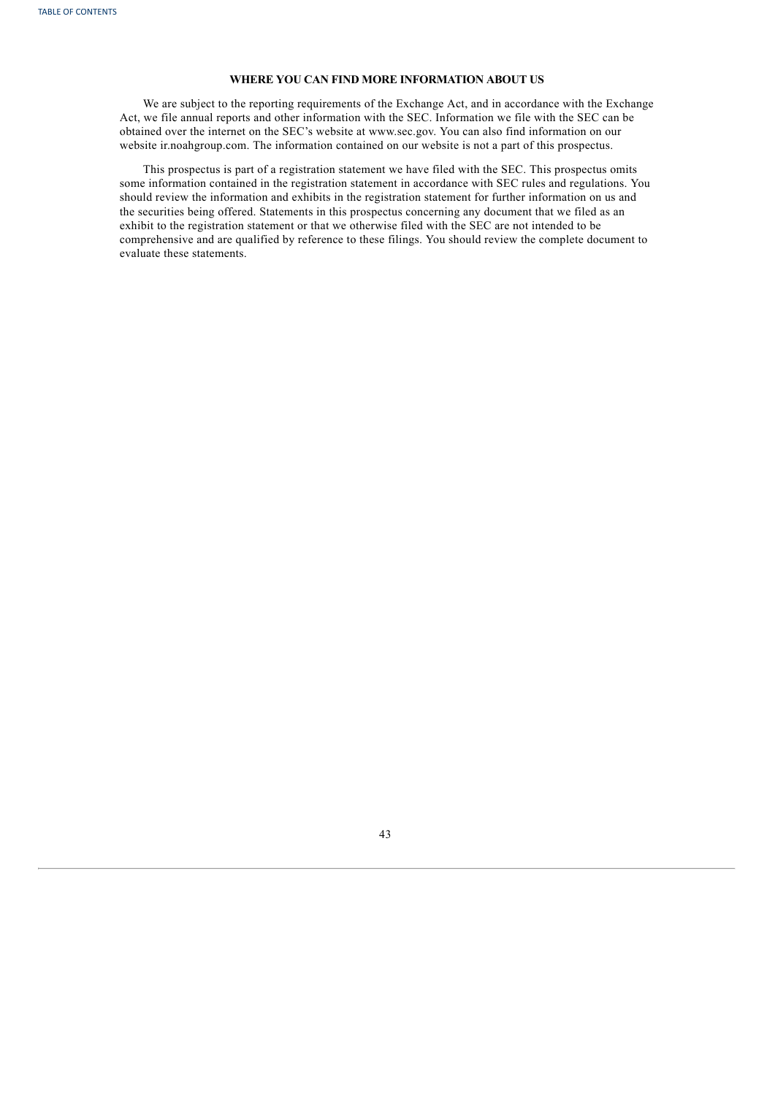## **WHERE YOU CAN FIND MORE INFORMATION ABOUT US**

We are subject to the reporting requirements of the Exchange Act, and in accordance with the Exchange Act, we file annual reports and other information with the SEC. Information we file with the SEC can be obtained over the internet on the SEC's website at www.sec.gov. You can also find information on our website ir.noahgroup.com. The information contained on our website is not a part of this prospectus.

This prospectus is part of a registration statement we have filed with the SEC. This prospectus omits some information contained in the registration statement in accordance with SEC rules and regulations. You should review the information and exhibits in the registration statement for further information on us and the securities being offered. Statements in this prospectus concerning any document that we filed as an exhibit to the registration statement or that we otherwise filed with the SEC are not intended to be comprehensive and are qualified by reference to these filings. You should review the complete document to evaluate these statements.

<span id="page-47-0"></span>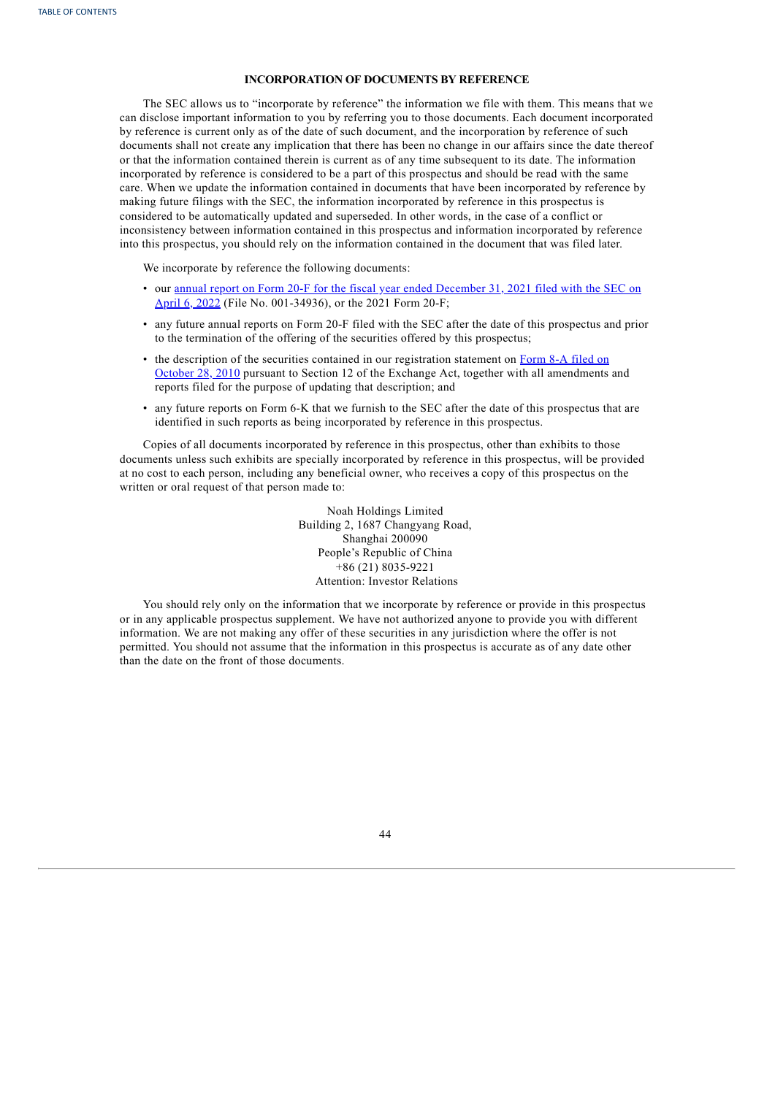## **INCORPORATION OF DOCUMENTS BY REFERENCE**

The SEC allows us to "incorporate by reference" the information we file with them. This means that we can disclose important information to you by referring you to those documents. Each document incorporated by reference is current only as of the date of such document, and the incorporation by reference of such documents shall not create any implication that there has been no change in our affairs since the date thereof or that the information contained therein is current as of any time subsequent to its date. The information incorporated by reference is considered to be a part of this prospectus and should be read with the same care. When we update the information contained in documents that have been incorporated by reference by making future filings with the SEC, the information incorporated by reference in this prospectus is considered to be automatically updated and superseded. In other words, in the case of a conflict or inconsistency between information contained in this prospectus and information incorporated by reference into this prospectus, you should rely on the information contained in the document that was filed later.

We incorporate by reference the following documents:

- our annual report on Form 20-F for the fiscal year ended December 31, 2021 filed with the SEC on April 6, 2022 (File No. [001-34936\),](http://www.sec.gov/ix?doc=/Archives/edgar/data/1499543/000110465922042988/noah-20220331x20f.htm) or the 2021 Form 20-F;
- any future annual reports on Form 20-F filed with the SEC after the date of this prospectus and prior to the termination of the offering of the securities offered by this prospectus;
- the description of the securities contained in our registration statement on Form 8-A filed on October 28, 2010 pursuant to Section 12 of the Exchange Act, together with all [amendments](http://www.sec.gov/Archives/edgar/data/1499543/000119312510238218/d8a12b.htm) and reports filed for the purpose of updating that description; and
- any future reports on Form 6-K that we furnish to the SEC after the date of this prospectus that are identified in such reports as being incorporated by reference in this prospectus.

Copies of all documents incorporated by reference in this prospectus, other than exhibits to those documents unless such exhibits are specially incorporated by reference in this prospectus, will be provided at no cost to each person, including any beneficial owner, who receives a copy of this prospectus on the written or oral request of that person made to:

> Noah Holdings Limited Building 2, 1687 Changyang Road, Shanghai 200090 People's Republic of China +86 (21) 8035-9221 Attention: Investor Relations

You should rely only on the information that we incorporate by reference or provide in this prospectus or in any applicable prospectus supplement. We have not authorized anyone to provide you with different information. We are not making any offer of these securities in any jurisdiction where the offer is not permitted. You should not assume that the information in this prospectus is accurate as of any date other than the date on the front of those documents.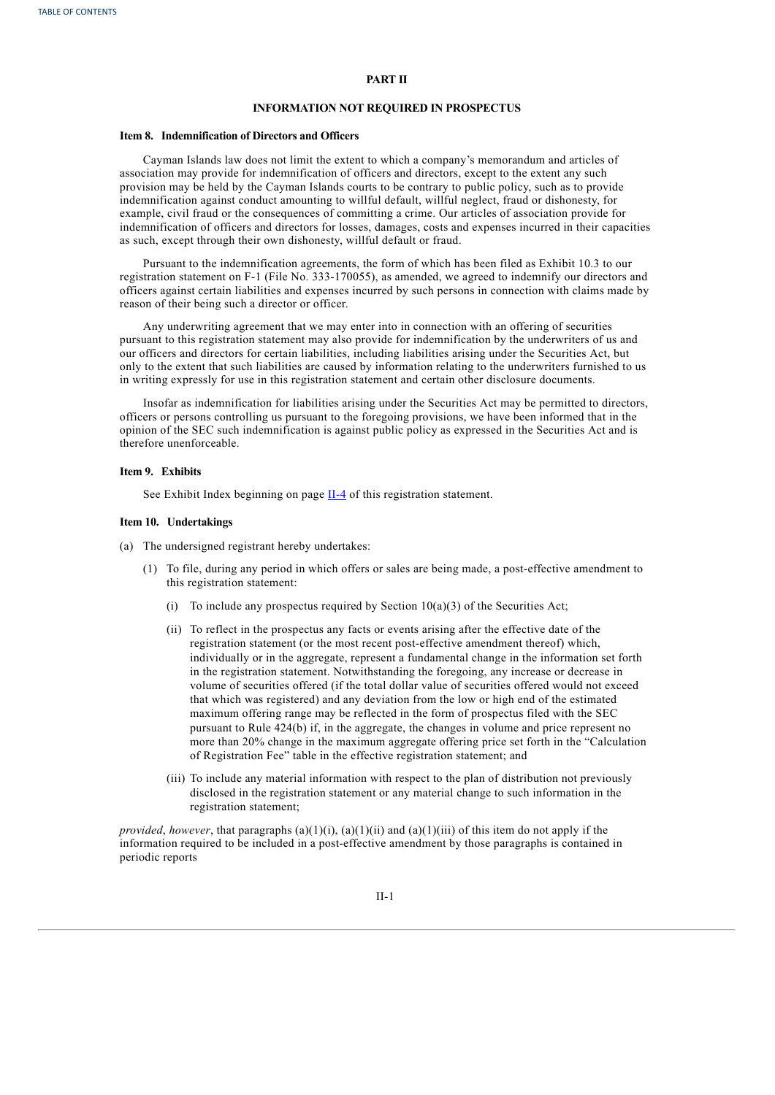## **PART II**

#### **INFORMATION NOT REQUIRED IN PROSPECTUS**

#### **Item 8. Indemnification of Directors and Officers**

Cayman Islands law does not limit the extent to which a company's memorandum and articles of association may provide for indemnification of officers and directors, except to the extent any such provision may be held by the Cayman Islands courts to be contrary to public policy, such as to provide indemnification against conduct amounting to willful default, willful neglect, fraud or dishonesty, for example, civil fraud or the consequences of committing a crime. Our articles of association provide for indemnification of officers and directors for losses, damages, costs and expenses incurred in their capacities as such, except through their own dishonesty, willful default or fraud.

Pursuant to the indemnification agreements, the form of which has been filed as Exhibit 10.3 to our registration statement on F-1 (File No. 333-170055), as amended, we agreed to indemnify our directors and officers against certain liabilities and expenses incurred by such persons in connection with claims made by reason of their being such a director or officer.

Any underwriting agreement that we may enter into in connection with an offering of securities pursuant to this registration statement may also provide for indemnification by the underwriters of us and our officers and directors for certain liabilities, including liabilities arising under the Securities Act, but only to the extent that such liabilities are caused by information relating to the underwriters furnished to us in writing expressly for use in this registration statement and certain other disclosure documents.

Insofar as indemnification for liabilities arising under the Securities Act may be permitted to directors, officers or persons controlling us pursuant to the foregoing provisions, we have been informed that in the opinion of the SEC such indemnification is against public policy as expressed in the Securities Act and is therefore unenforceable.

#### **Item 9. Exhibits**

See Exhibit Index beginning on page [II-4](#page-51-0) of this registration statement.

## **Item 10. Undertakings**

- (a) The undersigned registrant hereby undertakes:
	- (1) To file, during any period in which offers or sales are being made, a post-effective amendment to this registration statement:
		- (i) To include any prospectus required by Section  $10(a)(3)$  of the Securities Act;
		- (ii) To reflect in the prospectus any facts or events arising after the effective date of the registration statement (or the most recent post-effective amendment thereof) which, individually or in the aggregate, represent a fundamental change in the information set forth in the registration statement. Notwithstanding the foregoing, any increase or decrease in volume of securities offered (if the total dollar value of securities offered would not exceed that which was registered) and any deviation from the low or high end of the estimated maximum offering range may be reflected in the form of prospectus filed with the SEC pursuant to Rule 424(b) if, in the aggregate, the changes in volume and price represent no more than 20% change in the maximum aggregate offering price set forth in the "Calculation of Registration Fee" table in the effective registration statement; and
		- (iii) To include any material information with respect to the plan of distribution not previously disclosed in the registration statement or any material change to such information in the registration statement;

*provided*, *however*, that paragraphs (a)(1)(i), (a)(1)(ii) and (a)(1)(iii) of this item do not apply if the information required to be included in a post-effective amendment by those paragraphs is contained in periodic reports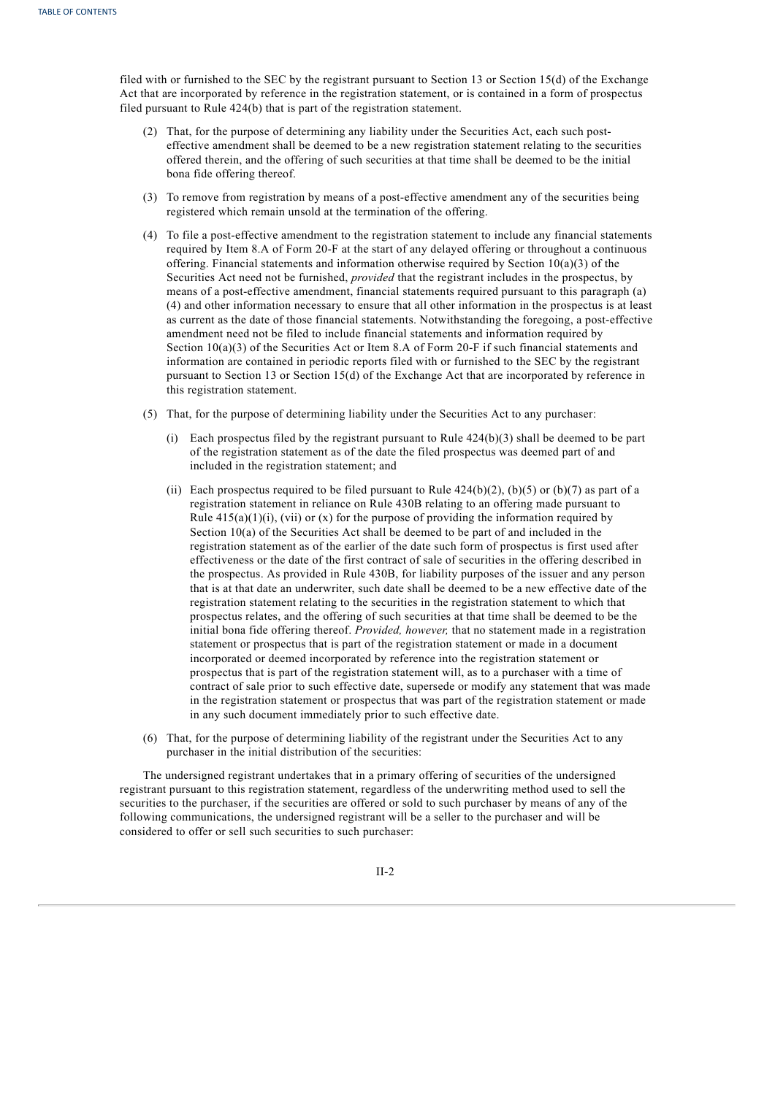filed with or furnished to the SEC by the registrant pursuant to Section 13 or Section 15(d) of the Exchange Act that are incorporated by reference in the registration statement, or is contained in a form of prospectus filed pursuant to Rule 424(b) that is part of the registration statement.

- (2) That, for the purpose of determining any liability under the Securities Act, each such posteffective amendment shall be deemed to be a new registration statement relating to the securities offered therein, and the offering of such securities at that time shall be deemed to be the initial bona fide offering thereof.
- (3) To remove from registration by means of a post-effective amendment any of the securities being registered which remain unsold at the termination of the offering.
- (4) To file a post-effective amendment to the registration statement to include any financial statements required by Item 8.A of Form 20-F at the start of any delayed offering or throughout a continuous offering. Financial statements and information otherwise required by Section 10(a)(3) of the Securities Act need not be furnished, *provided* that the registrant includes in the prospectus, by means of a post-effective amendment, financial statements required pursuant to this paragraph (a) (4) and other information necessary to ensure that all other information in the prospectus is at least as current as the date of those financial statements. Notwithstanding the foregoing, a post-effective amendment need not be filed to include financial statements and information required by Section 10(a)(3) of the Securities Act or Item 8.A of Form 20-F if such financial statements and information are contained in periodic reports filed with or furnished to the SEC by the registrant pursuant to Section 13 or Section 15(d) of the Exchange Act that are incorporated by reference in this registration statement.
- (5) That, for the purpose of determining liability under the Securities Act to any purchaser:
	- (i) Each prospectus filed by the registrant pursuant to Rule  $424(b)(3)$  shall be deemed to be part of the registration statement as of the date the filed prospectus was deemed part of and included in the registration statement; and
	- (ii) Each prospectus required to be filed pursuant to Rule  $424(b)(2)$ , (b)(5) or (b)(7) as part of a registration statement in reliance on Rule 430B relating to an offering made pursuant to Rule  $415(a)(1)(i)$ , (vii) or (x) for the purpose of providing the information required by Section 10(a) of the Securities Act shall be deemed to be part of and included in the registration statement as of the earlier of the date such form of prospectus is first used after effectiveness or the date of the first contract of sale of securities in the offering described in the prospectus. As provided in Rule 430B, for liability purposes of the issuer and any person that is at that date an underwriter, such date shall be deemed to be a new effective date of the registration statement relating to the securities in the registration statement to which that prospectus relates, and the offering of such securities at that time shall be deemed to be the initial bona fide offering thereof. *Provided, however,* that no statement made in a registration statement or prospectus that is part of the registration statement or made in a document incorporated or deemed incorporated by reference into the registration statement or prospectus that is part of the registration statement will, as to a purchaser with a time of contract of sale prior to such effective date, supersede or modify any statement that was made in the registration statement or prospectus that was part of the registration statement or made in any such document immediately prior to such effective date.
- (6) That, for the purpose of determining liability of the registrant under the Securities Act to any purchaser in the initial distribution of the securities:

The undersigned registrant undertakes that in a primary offering of securities of the undersigned registrant pursuant to this registration statement, regardless of the underwriting method used to sell the securities to the purchaser, if the securities are offered or sold to such purchaser by means of any of the following communications, the undersigned registrant will be a seller to the purchaser and will be considered to offer or sell such securities to such purchaser:

II-2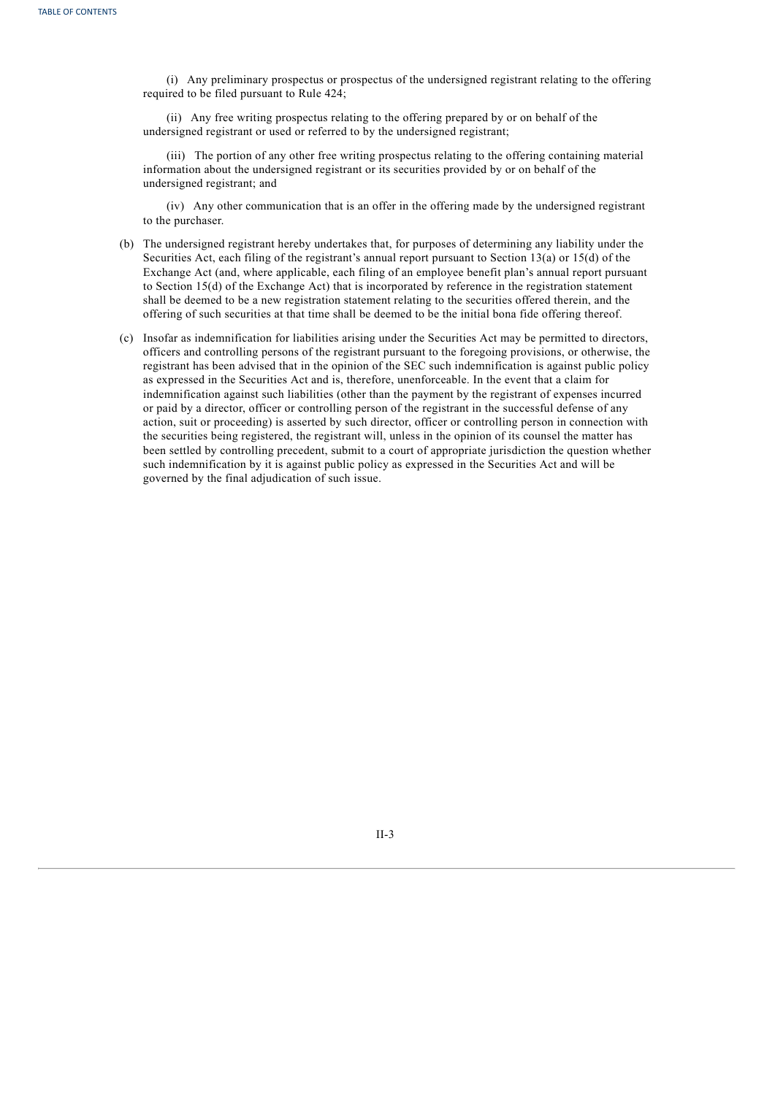(i) Any preliminary prospectus or prospectus of the undersigned registrant relating to the offering required to be filed pursuant to Rule 424;

(ii) Any free writing prospectus relating to the offering prepared by or on behalf of the undersigned registrant or used or referred to by the undersigned registrant;

(iii) The portion of any other free writing prospectus relating to the offering containing material information about the undersigned registrant or its securities provided by or on behalf of the undersigned registrant; and

(iv) Any other communication that is an offer in the offering made by the undersigned registrant to the purchaser.

- (b) The undersigned registrant hereby undertakes that, for purposes of determining any liability under the Securities Act, each filing of the registrant's annual report pursuant to Section 13(a) or 15(d) of the Exchange Act (and, where applicable, each filing of an employee benefit plan's annual report pursuant to Section 15(d) of the Exchange Act) that is incorporated by reference in the registration statement shall be deemed to be a new registration statement relating to the securities offered therein, and the offering of such securities at that time shall be deemed to be the initial bona fide offering thereof.
- (c) Insofar as indemnification for liabilities arising under the Securities Act may be permitted to directors, officers and controlling persons of the registrant pursuant to the foregoing provisions, or otherwise, the registrant has been advised that in the opinion of the SEC such indemnification is against public policy as expressed in the Securities Act and is, therefore, unenforceable. In the event that a claim for indemnification against such liabilities (other than the payment by the registrant of expenses incurred or paid by a director, officer or controlling person of the registrant in the successful defense of any action, suit or proceeding) is asserted by such director, officer or controlling person in connection with the securities being registered, the registrant will, unless in the opinion of its counsel the matter has been settled by controlling precedent, submit to a court of appropriate jurisdiction the question whether such indemnification by it is against public policy as expressed in the Securities Act and will be governed by the final adjudication of such issue.

<span id="page-51-0"></span>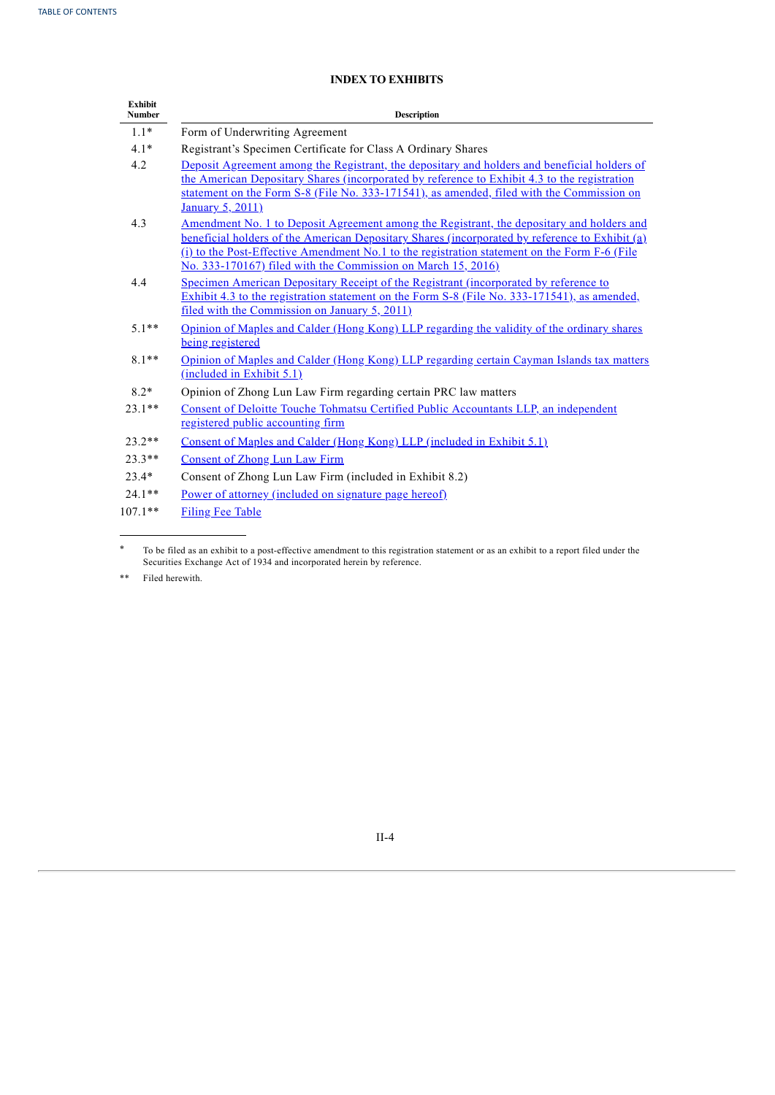# **INDEX TO EXHIBITS**

| <b>Exhibit</b><br><b>Number</b> | <b>Description</b>                                                                                                                                                                                                                                                                                                                                                        |
|---------------------------------|---------------------------------------------------------------------------------------------------------------------------------------------------------------------------------------------------------------------------------------------------------------------------------------------------------------------------------------------------------------------------|
| $1.1*$                          | Form of Underwriting Agreement                                                                                                                                                                                                                                                                                                                                            |
| $4.1*$                          | Registrant's Specimen Certificate for Class A Ordinary Shares                                                                                                                                                                                                                                                                                                             |
| 4.2                             | Deposit Agreement among the Registrant, the depositary and holders and beneficial holders of<br>the American Depositary Shares (incorporated by reference to Exhibit 4.3 to the registration<br>statement on the Form S-8 (File No. 333-171541), as amended, filed with the Commission on<br>January 5, 2011)                                                             |
| 4.3                             | <u>Amendment No. 1 to Deposit Agreement among the Registrant, the depositary and holders and</u><br>beneficial holders of the American Depositary Shares (incorporated by reference to Exhibit (a)<br>(i) to the Post-Effective Amendment No.1 to the registration statement on the Form F-6 (File<br><u>No. 333-170167) filed with the Commission on March 15, 2016)</u> |
| 4.4                             | <u>Specimen American Depositary Receipt of the Registrant (incorporated by reference to</u><br>Exhibit 4.3 to the registration statement on the Form S-8 (File No. 333-171541), as amended,<br>filed with the Commission on January 5, 2011)                                                                                                                              |
| $51**$                          | Opinion of Maples and Calder (Hong Kong) LLP regarding the validity of the ordinary shares<br>being registered                                                                                                                                                                                                                                                            |
| $8.1**$                         | Opinion of Maples and Calder (Hong Kong) LLP regarding certain Cayman Islands tax matters<br>(included in Exhibit 5.1)                                                                                                                                                                                                                                                    |
| $8.2*$                          | Opinion of Zhong Lun Law Firm regarding certain PRC law matters                                                                                                                                                                                                                                                                                                           |
| $23.1**$                        | <b>Consent of Deloitte Touche Tohmatsu Certified Public Accountants LLP, an independent</b><br>registered public accounting firm                                                                                                                                                                                                                                          |
| $23.2**$                        | <u>Consent of Maples and Calder (Hong Kong) LLP (included in Exhibit 5.1)</u>                                                                                                                                                                                                                                                                                             |
| $23.3**$                        | <b>Consent of Zhong Lun Law Firm</b>                                                                                                                                                                                                                                                                                                                                      |
| $23.4*$                         | Consent of Zhong Lun Law Firm (included in Exhibit 8.2)                                                                                                                                                                                                                                                                                                                   |
| $24.1**$                        | <u>Power of attorney (included on signature page hereof)</u>                                                                                                                                                                                                                                                                                                              |
| $107.1**$                       | <b>Filing Fee Table</b>                                                                                                                                                                                                                                                                                                                                                   |

<sup>\*</sup> To be filed as an exhibit to a post-effective amendment to this registration statement or as an exhibit to a report filed under the Securities Exchange Act of 1934 and incorporated herein by reference.

<span id="page-52-0"></span>\*\* Filed herewith.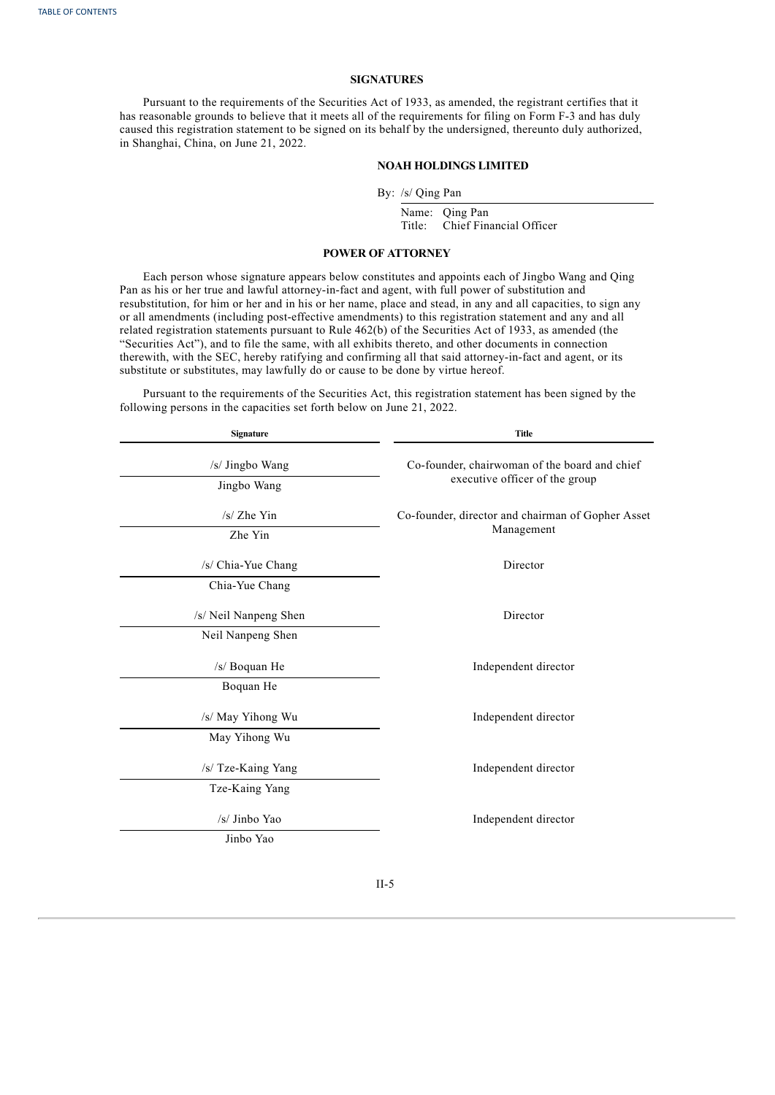## **SIGNATURES**

Pursuant to the requirements of the Securities Act of 1933, as amended, the registrant certifies that it has reasonable grounds to believe that it meets all of the requirements for filing on Form F-3 and has duly caused this registration statement to be signed on its behalf by the undersigned, thereunto duly authorized, in Shanghai, China, on June 21, 2022.

## **NOAH HOLDINGS LIMITED**

By: /s/ Qing Pan

Name: Qing Pan Title: Chief Financial Officer

## **POWER OF ATTORNEY**

Each person whose signature appears below constitutes and appoints each of Jingbo Wang and Qing Pan as his or her true and lawful attorney-in-fact and agent, with full power of substitution and resubstitution, for him or her and in his or her name, place and stead, in any and all capacities, to sign any or all amendments (including post-effective amendments) to this registration statement and any and all related registration statements pursuant to Rule 462(b) of the Securities Act of 1933, as amended (the "Securities Act"), and to file the same, with all exhibits thereto, and other documents in connection therewith, with the SEC, hereby ratifying and confirming all that said attorney-in-fact and agent, or its substitute or substitutes, may lawfully do or cause to be done by virtue hereof.

Pursuant to the requirements of the Securities Act, this registration statement has been signed by the following persons in the capacities set forth below on June 21, 2022.

| <b>Signature</b>           | <b>Title</b>                                      |  |  |  |  |  |
|----------------------------|---------------------------------------------------|--|--|--|--|--|
| /s/ Jingbo Wang            | Co-founder, chairwoman of the board and chief     |  |  |  |  |  |
| Jingbo Wang                | executive officer of the group                    |  |  |  |  |  |
| $/s/$ Zhe Yin              | Co-founder, director and chairman of Gopher Asset |  |  |  |  |  |
| Zhe Yin                    | Management                                        |  |  |  |  |  |
| /s/ Chia-Yue Chang         | Director                                          |  |  |  |  |  |
| Chia-Yue Chang             |                                                   |  |  |  |  |  |
| /s/ Neil Nanpeng Shen      | Director                                          |  |  |  |  |  |
| Neil Nanpeng Shen          |                                                   |  |  |  |  |  |
| /s/ Boquan He              | Independent director                              |  |  |  |  |  |
| Boquan He                  |                                                   |  |  |  |  |  |
| /s/ May Yihong Wu          | Independent director                              |  |  |  |  |  |
| May Yihong Wu              |                                                   |  |  |  |  |  |
| /s/ Tze-Kaing Yang         | Independent director                              |  |  |  |  |  |
| Tze-Kaing Yang             |                                                   |  |  |  |  |  |
| /s/ Jinbo Yao<br>Jinbo Yao | Independent director                              |  |  |  |  |  |
|                            |                                                   |  |  |  |  |  |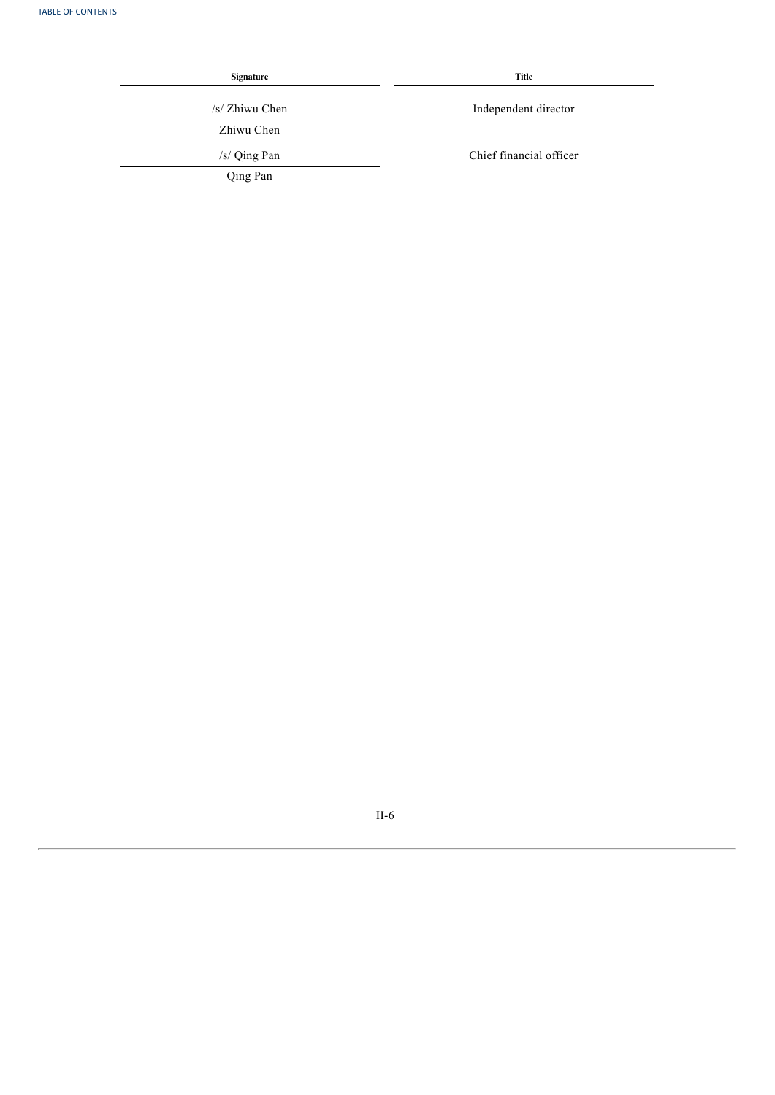| <b>Signature</b> | Title                   |  |  |  |  |
|------------------|-------------------------|--|--|--|--|
| /s/ Zhiwu Chen   | Independent director    |  |  |  |  |
| Zhiwu Chen       |                         |  |  |  |  |
| /s/ Qing Pan     | Chief financial officer |  |  |  |  |
| Qing Pan         |                         |  |  |  |  |

II-6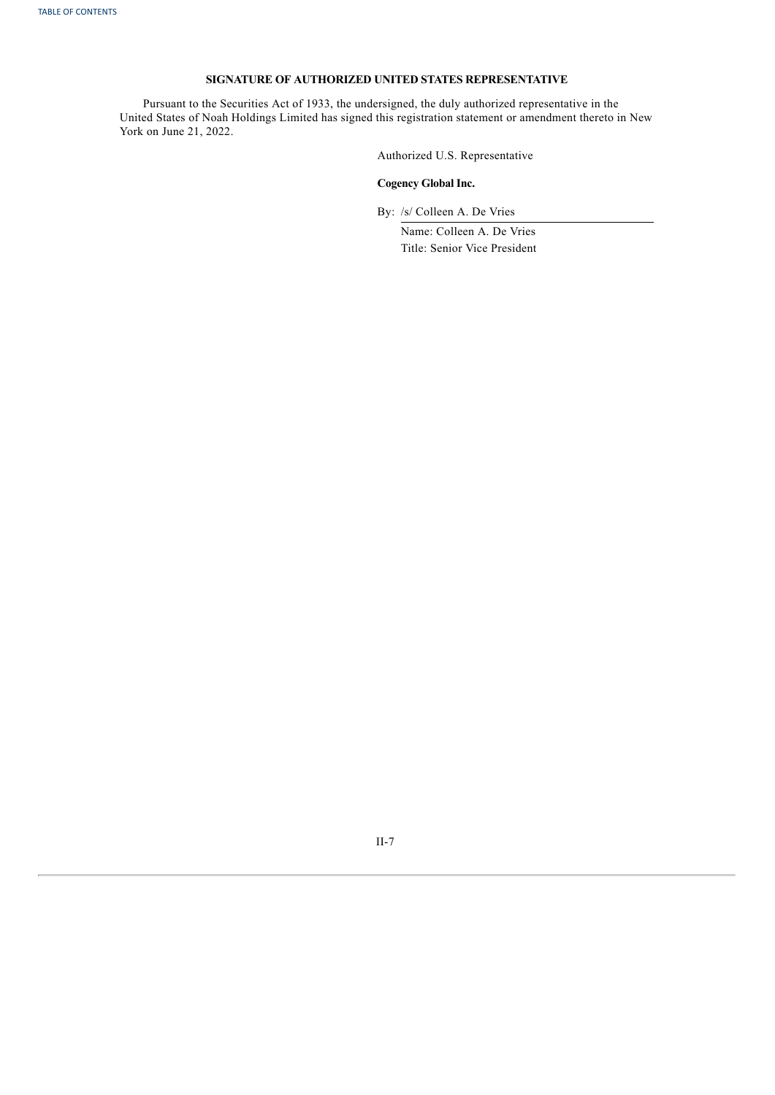## **SIGNATURE OF AUTHORIZED UNITED STATES REPRESENTATIVE**

Pursuant to the Securities Act of 1933, the undersigned, the duly authorized representative in the United States of Noah Holdings Limited has signed this registration statement or amendment thereto in New York on June 21, 2022.

Authorized U.S. Representative

## **Cogency Global Inc.**

By: /s/ Colleen A. De Vries

Name: Colleen A. De Vries Title: Senior Vice President

II-7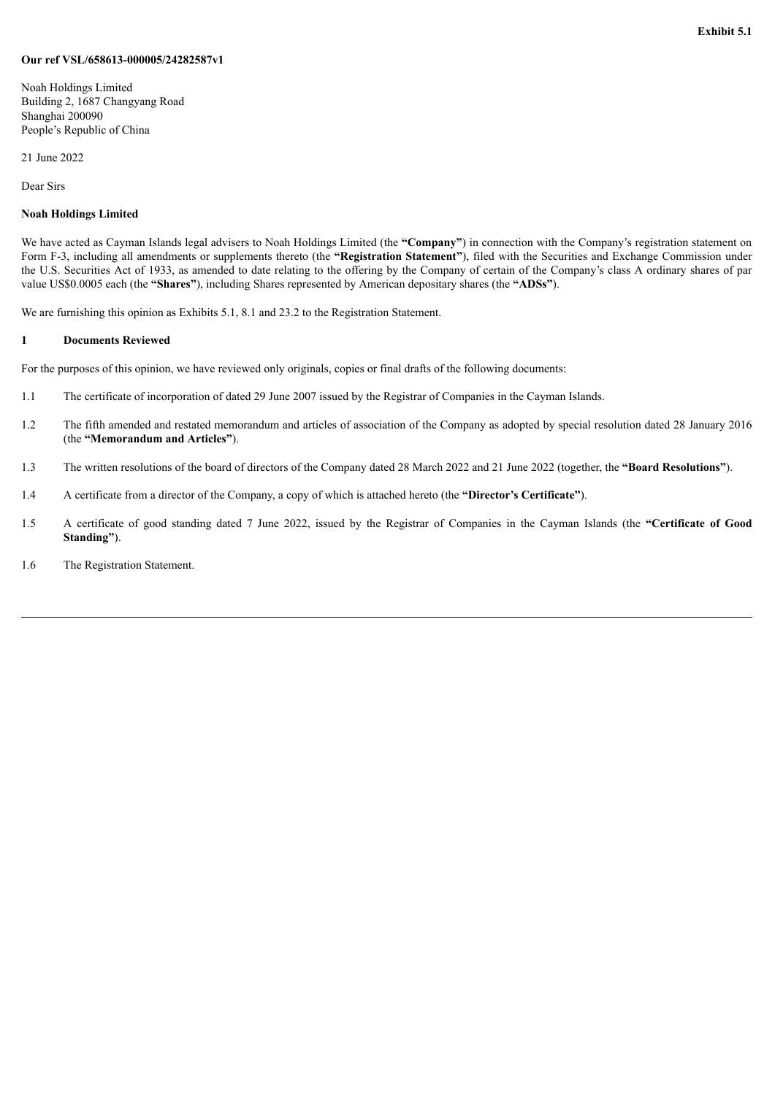## <span id="page-56-0"></span>**Our ref VSL/658613-000005/24282587v1**

Noah Holdings Limited Building 2, 1687 Changyang Road Shanghai 200090 People's Republic of China

21 June 2022

Dear Sirs

## **Noah Holdings Limited**

We have acted as Cayman Islands legal advisers to Noah Holdings Limited (the "Company") in connection with the Company's registration statement on Form F-3, including all amendments or supplements thereto (the **"Registration Statement"**), filed with the Securities and Exchange Commission under the U.S. Securities Act of 1933, as amended to date relating to the offering by the Company of certain of the Company's class A ordinary shares of par value US\$0.0005 each (the **"Shares"**), including Shares represented by American depositary shares (the **"ADSs"**).

We are furnishing this opinion as Exhibits 5.1, 8.1 and 23.2 to the Registration Statement.

## **1 Documents Reviewed**

For the purposes of this opinion, we have reviewed only originals, copies or final drafts of the following documents:

- 1.1 The certificate of incorporation of dated 29 June 2007 issued by the Registrar of Companies in the Cayman Islands.
- 1.2 The fifth amended and restated memorandum and articles of association of the Company as adopted by special resolution dated 28 January 2016 (the **"Memorandum and Articles"**).
- 1.3 The written resolutions of the board of directors of the Company dated 28 March 2022 and 21 June 2022 (together, the **"Board Resolutions"**).
- 1.4 A certificate from a director of the Company, a copy of which is attached hereto (the **"Director's Certificate"**).
- 1.5 A certificate of good standing dated 7 June 2022, issued by the Registrar of Companies in the Cayman Islands (the **"Certificate of Good Standing"**).
- 1.6 The Registration Statement.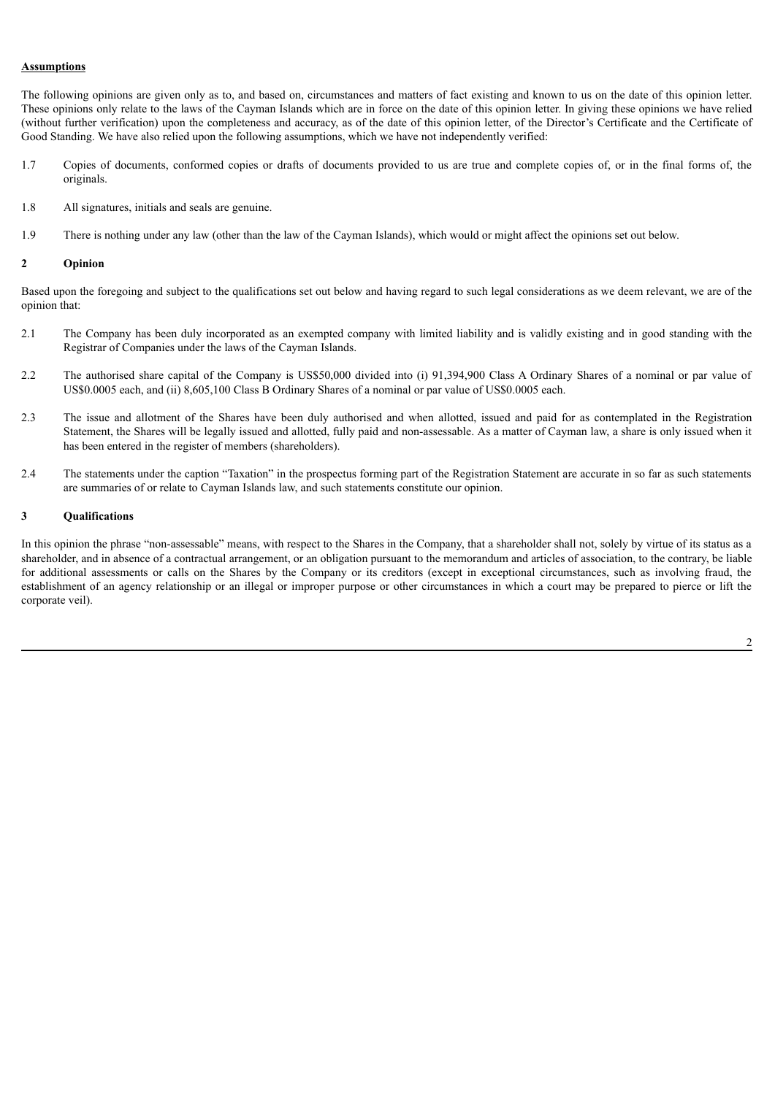## **Assumptions**

The following opinions are given only as to, and based on, circumstances and matters of fact existing and known to us on the date of this opinion letter. These opinions only relate to the laws of the Cayman Islands which are in force on the date of this opinion letter. In giving these opinions we have relied (without further verification) upon the completeness and accuracy, as of the date of this opinion letter, of the Director's Certificate and the Certificate of Good Standing. We have also relied upon the following assumptions, which we have not independently verified:

- 1.7 Copies of documents, conformed copies or drafts of documents provided to us are true and complete copies of, or in the final forms of, the originals.
- 1.8 All signatures, initials and seals are genuine.
- 1.9 There is nothing under any law (other than the law of the Cayman Islands), which would or might affect the opinions set out below.

## **2 Opinion**

Based upon the foregoing and subject to the qualifications set out below and having regard to such legal considerations as we deem relevant, we are of the opinion that:

- 2.1 The Company has been duly incorporated as an exempted company with limited liability and is validly existing and in good standing with the Registrar of Companies under the laws of the Cayman Islands.
- 2.2 The authorised share capital of the Company is US\$50,000 divided into (i) 91,394,900 Class A Ordinary Shares of a nominal or par value of US\$0.0005 each, and (ii) 8,605,100 Class B Ordinary Shares of a nominal or par value of US\$0.0005 each.
- 2.3 The issue and allotment of the Shares have been duly authorised and when allotted, issued and paid for as contemplated in the Registration Statement, the Shares will be legally issued and allotted, fully paid and non-assessable. As a matter of Cayman law, a share is only issued when it has been entered in the register of members (shareholders).
- 2.4 The statements under the caption "Taxation" in the prospectus forming part of the Registration Statement are accurate in so far as such statements are summaries of or relate to Cayman Islands law, and such statements constitute our opinion.

## **3 Qualifications**

In this opinion the phrase "non-assessable" means, with respect to the Shares in the Company, that a shareholder shall not, solely by virtue of its status as a shareholder, and in absence of a contractual arrangement, or an obligation pursuant to the memorandum and articles of association, to the contrary, be liable for additional assessments or calls on the Shares by the Company or its creditors (except in exceptional circumstances, such as involving fraud, the establishment of an agency relationship or an illegal or improper purpose or other circumstances in which a court may be prepared to pierce or lift the corporate veil).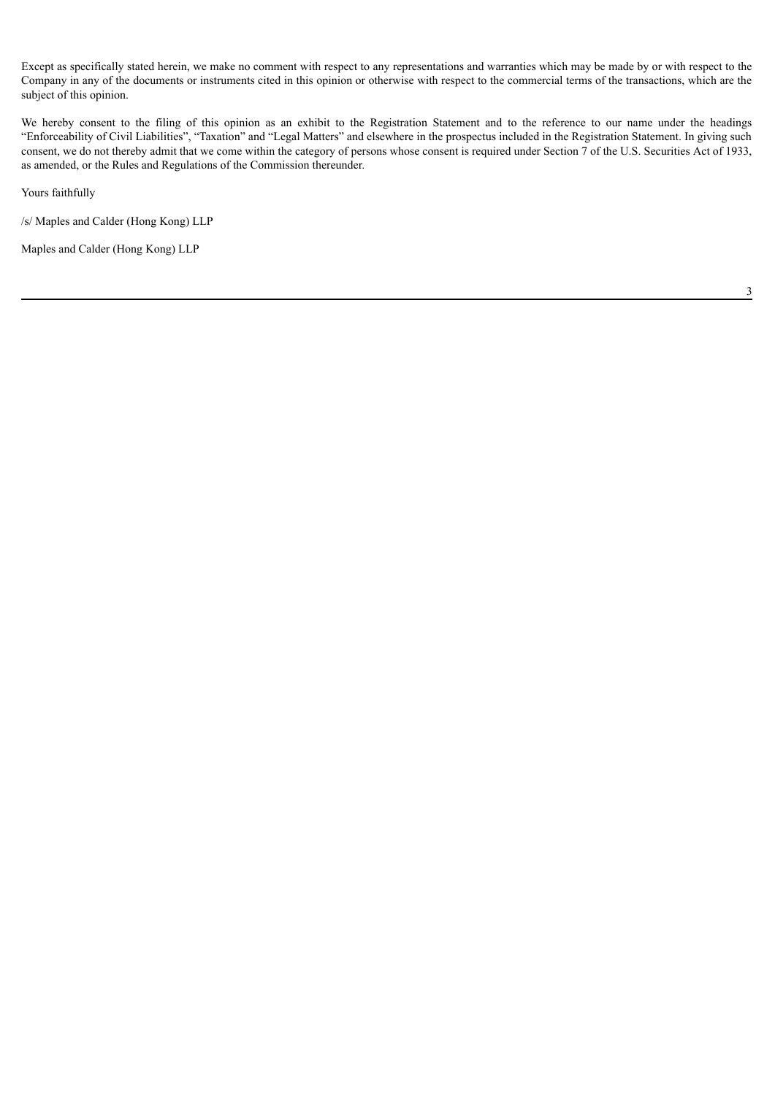Except as specifically stated herein, we make no comment with respect to any representations and warranties which may be made by or with respect to the Company in any of the documents or instruments cited in this opinion or otherwise with respect to the commercial terms of the transactions, which are the subject of this opinion.

We hereby consent to the filing of this opinion as an exhibit to the Registration Statement and to the reference to our name under the headings "Enforceability of Civil Liabilities", "Taxation" and "Legal Matters" and elsewhere in the prospectus included in the Registration Statement. In giving such consent, we do not thereby admit that we come within the category of persons whose consent is required under Section 7 of the U.S. Securities Act of 1933, as amended, or the Rules and Regulations of the Commission thereunder.

Yours faithfully

/s/ Maples and Calder (Hong Kong) LLP

Maples and Calder (Hong Kong) LLP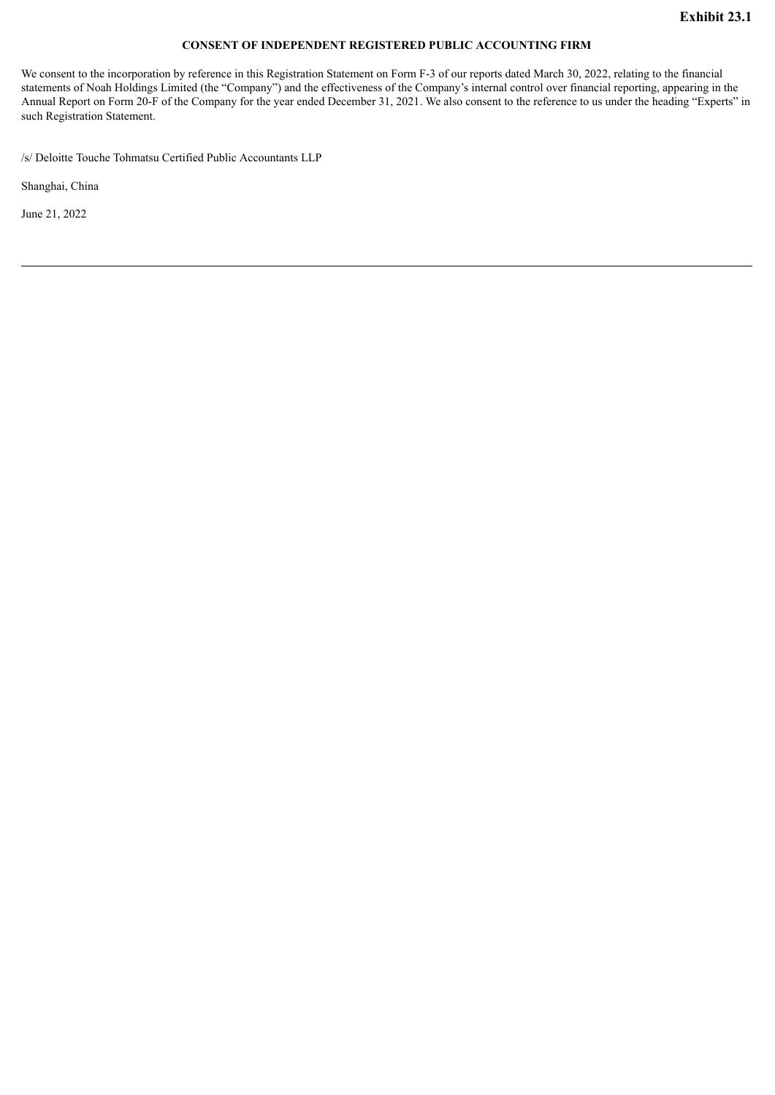## **CONSENT OF INDEPENDENT REGISTERED PUBLIC ACCOUNTING FIRM**

<span id="page-59-0"></span>We consent to the incorporation by reference in this Registration Statement on Form F-3 of our reports dated March 30, 2022, relating to the financial statements of Noah Holdings Limited (the "Company") and the effectiveness of the Company's internal control over financial reporting, appearing in the Annual Report on Form 20-F of the Company for the year ended December 31, 2021. We also consent to the reference to us under the heading "Experts" in such Registration Statement.

/s/ Deloitte Touche Tohmatsu Certified Public Accountants LLP

Shanghai, China

June 21, 2022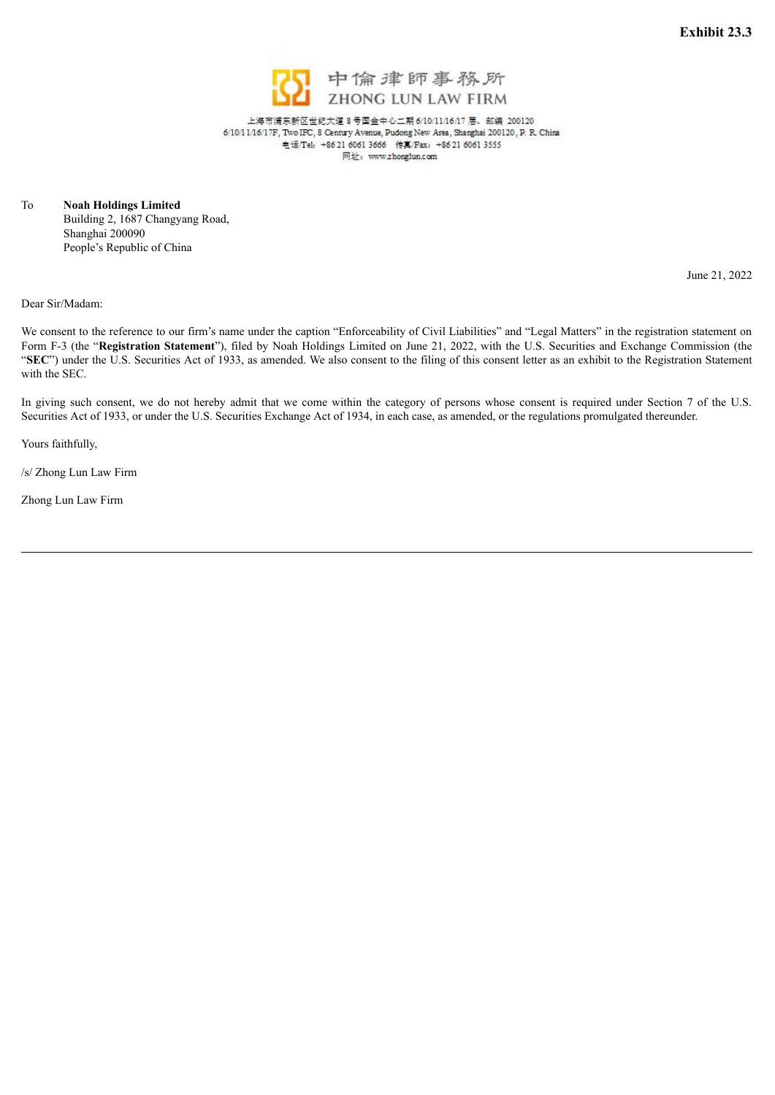

上海市浦东新区世纪大道 8号国金中心二期 6/10/11/16/17 层, 邮编 200120 网址: www.zhonglun.com

<span id="page-60-0"></span>To **Noah Holdings Limited** Building 2, 1687 Changyang Road, Shanghai 200090 People's Republic of China

June 21, 2022

Dear Sir/Madam:

We consent to the reference to our firm's name under the caption "Enforceability of Civil Liabilities" and "Legal Matters" in the registration statement on Form F-3 (the "**Registration Statement**"), filed by Noah Holdings Limited on June 21, 2022, with the U.S. Securities and Exchange Commission (the "SEC") under the U.S. Securities Act of 1933, as amended. We also consent to the filing of this consent letter as an exhibit to the Registration Statement with the SEC.

In giving such consent, we do not hereby admit that we come within the category of persons whose consent is required under Section 7 of the U.S. Securities Act of 1933, or under the U.S. Securities Exchange Act of 1934, in each case, as amended, or the regulations promulgated thereunder.

Yours faithfully,

/s/ Zhong Lun Law Firm

Zhong Lun Law Firm